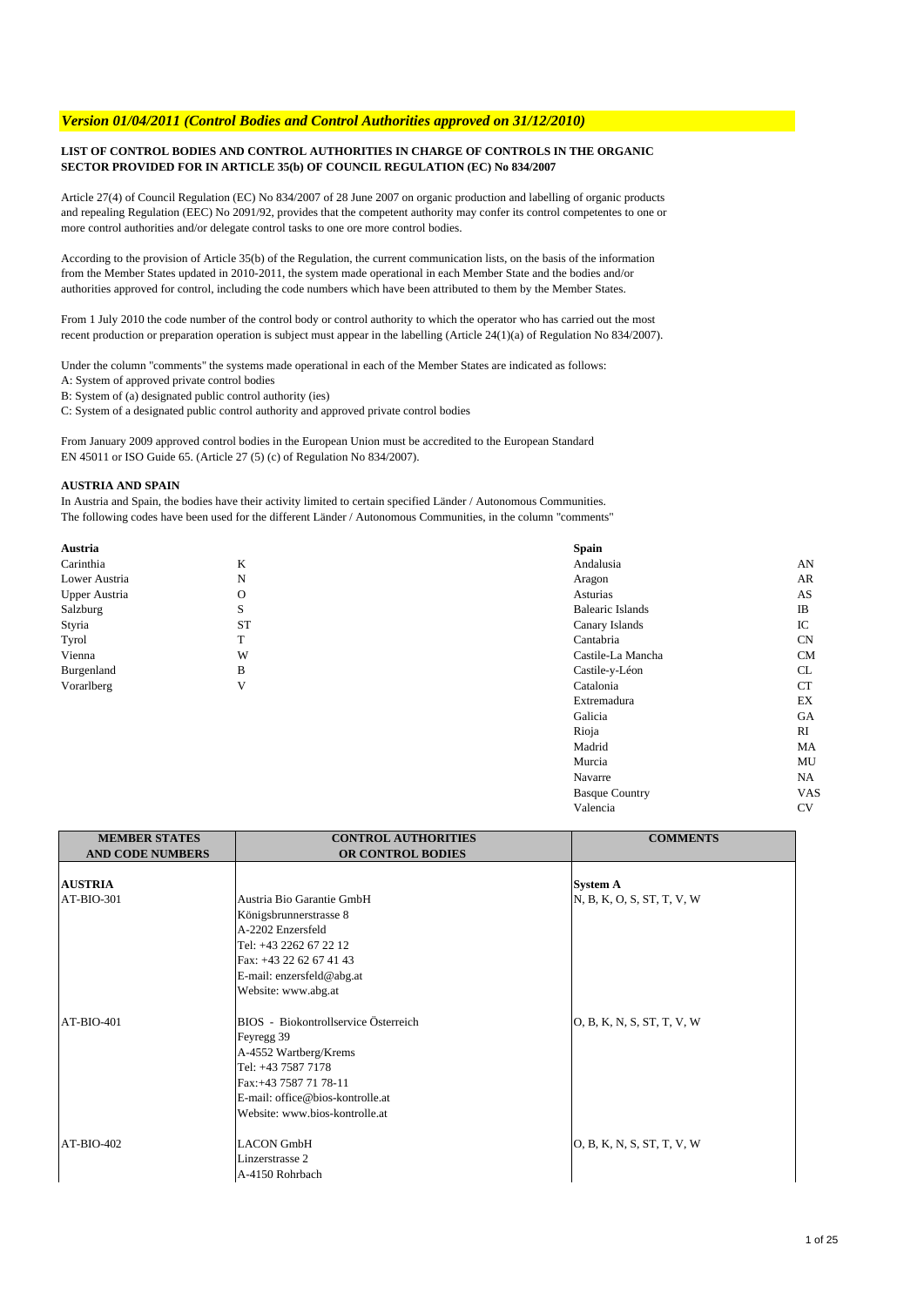## *Version 01/04/2011 (Control Bodies and Control Authorities approved on 31/12/2010)*

## **LIST OF CONTROL BODIES AND CONTROL AUTHORITIES IN CHARGE OF CONTROLS IN THE ORGANIC SECTOR PROVIDED FOR IN ARTICLE 35(b) OF COUNCIL REGULATION (EC) No 834/2007**

Article 27(4) of Council Regulation (EC) No 834/2007 of 28 June 2007 on organic production and labelling of organic products and repealing Regulation (EEC) No 2091/92, provides that the competent authority may confer its control competentes to one or more control authorities and/or delegate control tasks to one ore more control bodies.

According to the provision of Article 35(b) of the Regulation, the current communication lists, on the basis of the information from the Member States updated in 2010-2011, the system made operational in each Member State and the bodies and/or authorities approved for control, including the code numbers which have been attributed to them by the Member States.

From 1 July 2010 the code number of the control body or control authority to which the operator who has carried out the most recent production or preparation operation is subject must appear in the labelling (Article 24(1)(a) of Regulation No 834/2007).

Under the column "comments" the systems made operational in each of the Member States are indicated as follows:

- A: System of approved private control bodies
- B: System of (a) designated public control authority (ies)

C: System of a designated public control authority and approved private control bodies

From January 2009 approved control bodies in the European Union must be accredited to the European Standard EN 45011 or ISO Guide 65. (Article 27 (5) (c) of Regulation No 834/2007).

## **AUSTRIA AND SPAIN**

In Austria and Spain, the bodies have their activity limited to certain specified Länder / Autonomous Communities. The following codes have been used for the different Länder / Autonomous Communities, in the column "comments"

| Austria | Spain |
|---------|-------|
|---------|-------|

| Carinthia     |  |
|---------------|--|
| Lower Austria |  |
| Upper Austria |  |
| Salzburg      |  |
| Styria        |  |
| Tyrol         |  |
| Vienna        |  |
| Burgenland    |  |
| Vorarlberg    |  |

| Austria              |           | <b>Spain</b>            |                |
|----------------------|-----------|-------------------------|----------------|
| Carinthia            | K         | Andalusia               | AN             |
| Lower Austria        | N         | Aragon                  | AR             |
| <b>Upper Austria</b> | O         | Asturias                | AS             |
| Salzburg             | S         | <b>Balearic Islands</b> | $_{\text{IB}}$ |
| Styria               | <b>ST</b> | Canary Islands          | IC             |
| Tyrol                | T         | Cantabria               | <b>CN</b>      |
| Vienna               | W         | Castile-La Mancha       | <b>CM</b>      |
| Burgenland           | В         | Castile-y-Léon          | CL             |
| Vorarlberg           | V         | Catalonia               | <b>CT</b>      |
|                      |           | Extremadura             | EX             |
|                      |           | Galicia                 | GA             |
|                      |           | Rioja                   | RI             |
|                      |           | Madrid                  | MA             |
|                      |           | Murcia                  | MU             |
|                      |           | Navarre                 | NA             |
|                      |           | <b>Basque Country</b>   | <b>VAS</b>     |
|                      |           | Valencia                | CV             |

| <b>MEMBER STATES</b><br><b>AND CODE NUMBERS</b> | <b>CONTROL AUTHORITIES</b><br>OR CONTROL BODIES | <b>COMMENTS</b>            |
|-------------------------------------------------|-------------------------------------------------|----------------------------|
|                                                 |                                                 |                            |
| <b>AUSTRIA</b>                                  |                                                 | <b>System A</b>            |
| AT-BIO-301                                      | Austria Bio Garantie GmbH                       | N, B, K, O, S, ST, T, V, W |
|                                                 | Königsbrunnerstrasse 8                          |                            |
|                                                 | A-2202 Enzersfeld                               |                            |
|                                                 | Tel: +43 2262 67 22 12                          |                            |
|                                                 | Fax: +43 22 62 67 41 43                         |                            |
|                                                 | E-mail: enzersfeld@abg.at                       |                            |
|                                                 | Website: www.abg.at                             |                            |
|                                                 |                                                 |                            |
| $AT-BIO-401$                                    | BIOS - Biokontrollservice Österreich            | O, B, K, N, S, ST, T, V, W |
|                                                 | Feyregg 39                                      |                            |
|                                                 | A-4552 Wartberg/Krems                           |                            |
|                                                 | Tel: +43 7587 7178                              |                            |
|                                                 | Fax: +43 7587 71 78-11                          |                            |
|                                                 | E-mail: office@bios-kontrolle.at                |                            |
|                                                 | Website: www.bios-kontrolle.at                  |                            |
|                                                 |                                                 |                            |
| $AT-BIO-402$                                    | <b>LACON GmbH</b>                               | O, B, K, N, S, ST, T, V, W |
|                                                 | Linzerstrasse 2                                 |                            |
|                                                 | A-4150 Rohrbach                                 |                            |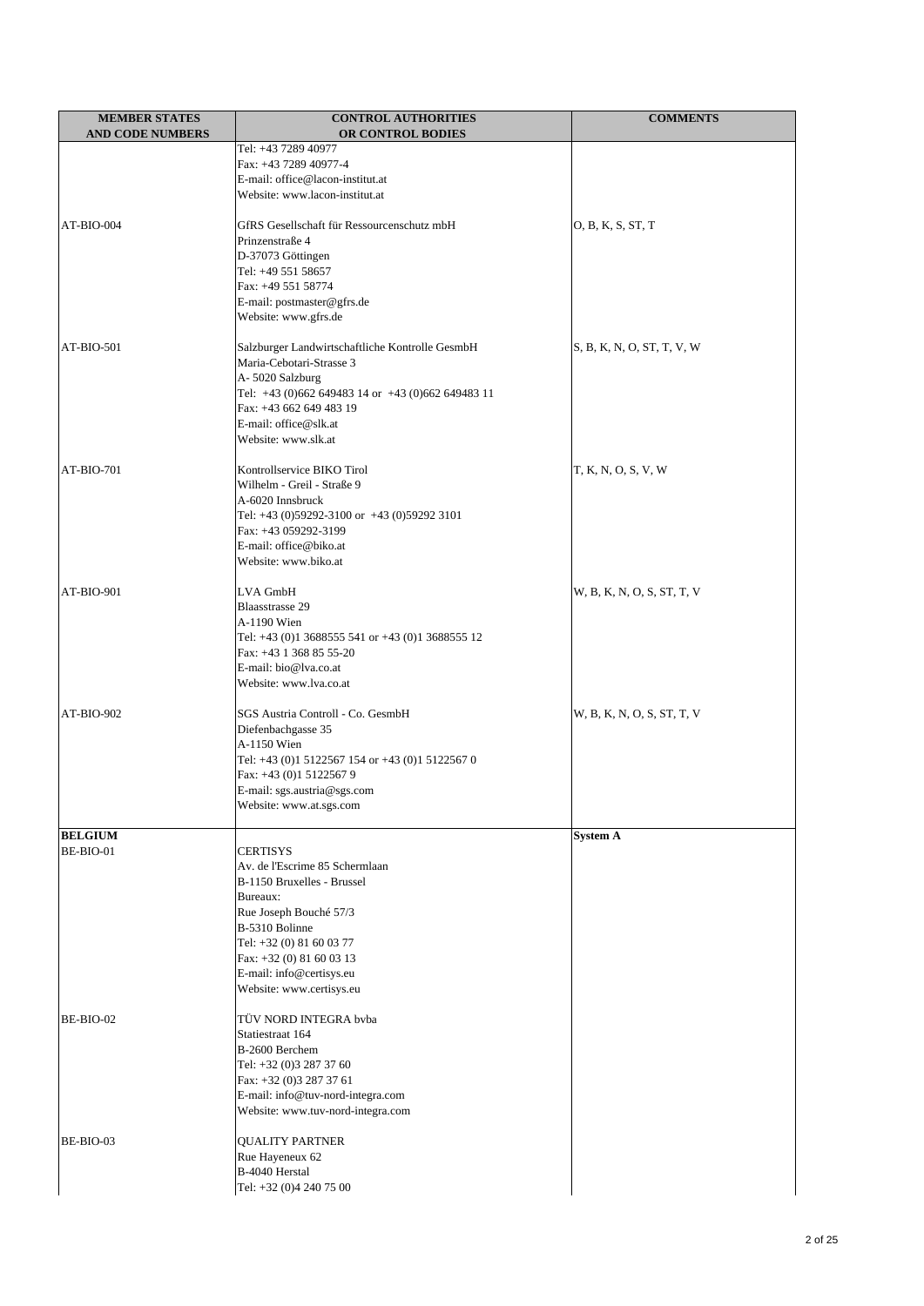| <b>MEMBER STATES</b>    | <b>CONTROL AUTHORITIES</b>                                         | <b>COMMENTS</b>            |
|-------------------------|--------------------------------------------------------------------|----------------------------|
| <b>AND CODE NUMBERS</b> | OR CONTROL BODIES                                                  |                            |
|                         | Tel: +43 7289 40977                                                |                            |
|                         | Fax: +43 7289 40977-4                                              |                            |
|                         | E-mail: office@lacon-institut.at<br>Website: www.lacon-institut.at |                            |
|                         |                                                                    |                            |
| AT-BIO-004              | GfRS Gesellschaft für Ressourcenschutz mbH                         | O, B, K, S, ST, T          |
|                         | Prinzenstraße 4                                                    |                            |
|                         | D-37073 Göttingen                                                  |                            |
|                         | Tel: +49 551 58657                                                 |                            |
|                         | Fax: +49 551 58774                                                 |                            |
|                         | E-mail: postmaster@gfrs.de<br>Website: www.gfrs.de                 |                            |
|                         |                                                                    |                            |
| AT-BIO-501              | Salzburger Landwirtschaftliche Kontrolle GesmbH                    | S, B, K, N, O, ST, T, V, W |
|                         | Maria-Cebotari-Strasse 3                                           |                            |
|                         | A-5020 Salzburg                                                    |                            |
|                         | Tel: +43 (0)662 649483 14 or +43 (0)662 649483 11                  |                            |
|                         | Fax: +43 662 649 483 19                                            |                            |
|                         | E-mail: office@slk.at<br>Website: www.slk.at                       |                            |
|                         |                                                                    |                            |
| <b>AT-BIO-701</b>       | Kontrollservice BIKO Tirol                                         | T, K, N, O, S, V, W        |
|                         | Wilhelm - Greil - Straße 9                                         |                            |
|                         | A-6020 Innsbruck                                                   |                            |
|                         | Tel: +43 (0)59292-3100 or +43 (0)59292 3101                        |                            |
|                         | Fax: +43 059292-3199                                               |                            |
|                         | E-mail: office@biko.at                                             |                            |
|                         | Website: www.biko.at                                               |                            |
| AT-BIO-901              | LVA GmbH                                                           | W, B, K, N, O, S, ST, T, V |
|                         | <b>Blaasstrasse 29</b>                                             |                            |
|                         | A-1190 Wien                                                        |                            |
|                         | Tel: +43 (0)1 3688555 541 or +43 (0)1 3688555 12                   |                            |
|                         | Fax: +43 1 368 85 55-20                                            |                            |
|                         | E-mail: bio@lva.co.at                                              |                            |
|                         | Website: www.lva.co.at                                             |                            |
| AT-BIO-902              |                                                                    |                            |
|                         | SGS Austria Controll - Co. GesmbH<br>Diefenbachgasse 35            | W, B, K, N, O, S, ST, T, V |
|                         | A-1150 Wien                                                        |                            |
|                         | Tel: +43 (0)1 5122567 154 or +43 (0)1 5122567 0                    |                            |
|                         | Fax: +43 (0)1 5122567 9                                            |                            |
|                         | E-mail: sgs.austria@sgs.com                                        |                            |
|                         | Website: www.at.sgs.com                                            |                            |
| <b>BELGIUM</b>          |                                                                    |                            |
| BE-BIO-01               | <b>CERTISYS</b>                                                    | <b>System A</b>            |
|                         | Av. de l'Escrime 85 Schermlaan                                     |                            |
|                         | B-1150 Bruxelles - Brussel                                         |                            |
|                         | Bureaux:                                                           |                            |
|                         | Rue Joseph Bouché 57/3                                             |                            |
|                         | B-5310 Bolinne                                                     |                            |
|                         | Tel: +32 (0) 81 60 03 77                                           |                            |
|                         | Fax: +32 (0) 81 60 03 13                                           |                            |
|                         | E-mail: info@certisys.eu<br>Website: www.certisys.eu               |                            |
|                         |                                                                    |                            |
| BE-BIO-02               | TÜV NORD INTEGRA bvba                                              |                            |
|                         | Statiestraat 164                                                   |                            |
|                         | B-2600 Berchem                                                     |                            |
|                         | Tel: +32 (0)3 287 37 60                                            |                            |
|                         | Fax: +32 (0)3 287 37 61                                            |                            |
|                         | E-mail: info@tuv-nord-integra.com                                  |                            |
|                         | Website: www.tuv-nord-integra.com                                  |                            |
| BE-BIO-03               | <b>QUALITY PARTNER</b>                                             |                            |
|                         | Rue Hayeneux 62                                                    |                            |
|                         | B-4040 Herstal                                                     |                            |
|                         | Tel: +32 (0)4 240 75 00                                            |                            |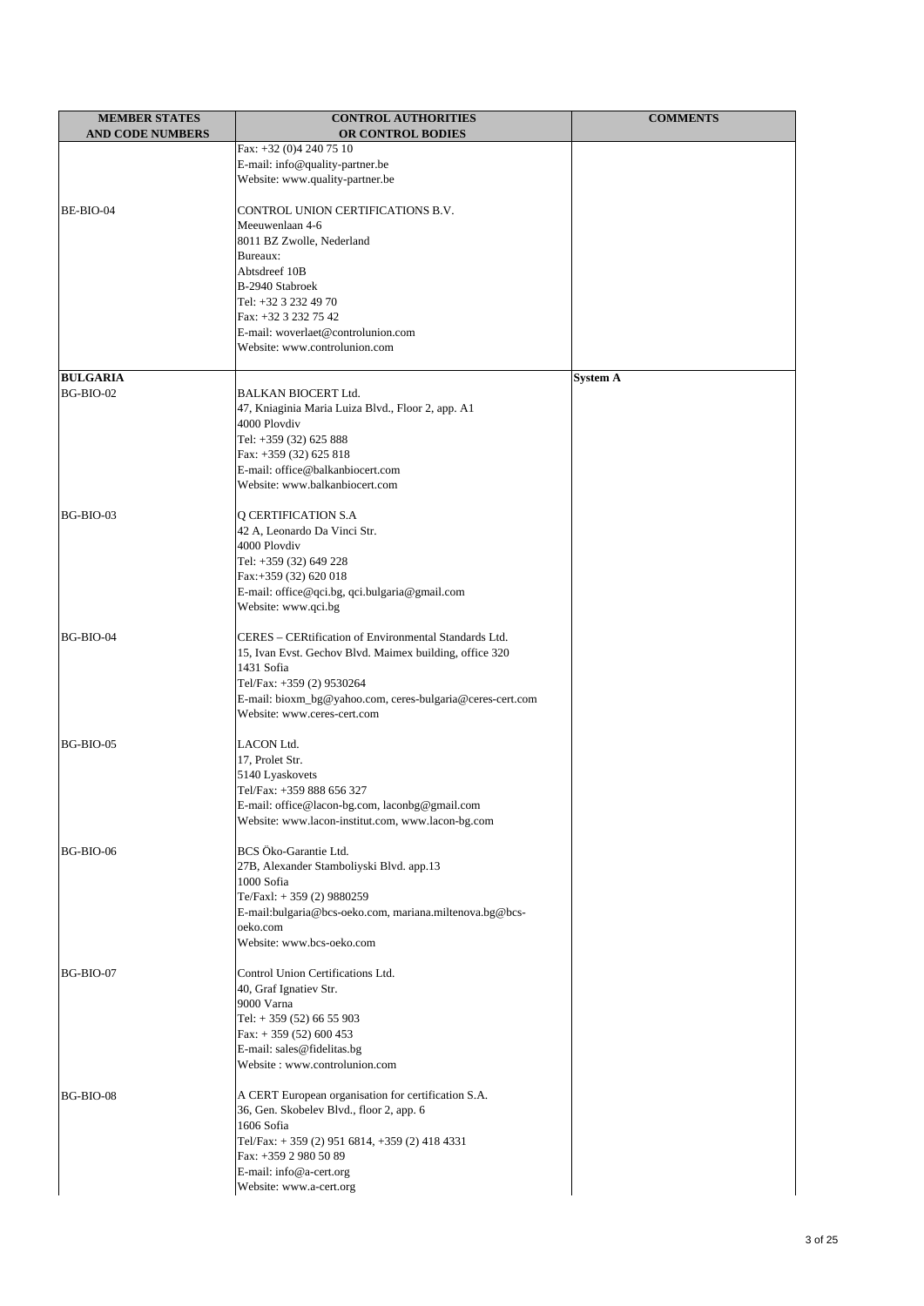| <b>MEMBER STATES</b>    | <b>CONTROL AUTHORITIES</b>                                          | <b>COMMENTS</b> |
|-------------------------|---------------------------------------------------------------------|-----------------|
| <b>AND CODE NUMBERS</b> | OR CONTROL BODIES                                                   |                 |
|                         | Fax: +32 (0)4 240 75 10                                             |                 |
|                         | E-mail: info@quality-partner.be<br>Website: www.quality-partner.be  |                 |
|                         |                                                                     |                 |
| BE-BIO-04               | CONTROL UNION CERTIFICATIONS B.V.                                   |                 |
|                         | Meeuwenlaan 4-6                                                     |                 |
|                         | 8011 BZ Zwolle, Nederland                                           |                 |
|                         | Bureaux:                                                            |                 |
|                         | Abtsdreef 10B                                                       |                 |
|                         | B-2940 Stabroek                                                     |                 |
|                         | Tel: +32 3 232 49 70                                                |                 |
|                         | Fax: +32 3 232 75 42<br>E-mail: woverlaet@controlunion.com          |                 |
|                         | Website: www.controlunion.com                                       |                 |
|                         |                                                                     |                 |
| <b>BULGARIA</b>         |                                                                     | <b>System A</b> |
| BG-BIO-02               | <b>BALKAN BIOCERT Ltd.</b>                                          |                 |
|                         | 47, Kniaginia Maria Luiza Blvd., Floor 2, app. A1                   |                 |
|                         | 4000 Plovdiv                                                        |                 |
|                         | Tel: +359 (32) 625 888                                              |                 |
|                         | Fax: +359 (32) 625 818                                              |                 |
|                         | E-mail: office@balkanbiocert.com<br>Website: www.balkanbiocert.com  |                 |
|                         |                                                                     |                 |
| BG-BIO-03               | Q CERTIFICATION S.A                                                 |                 |
|                         | 42 A, Leonardo Da Vinci Str.                                        |                 |
|                         | 4000 Plovdiv                                                        |                 |
|                         | Tel: +359 (32) 649 228                                              |                 |
|                         | Fax:+359 (32) 620 018                                               |                 |
|                         | E-mail: office@qci.bg, qci.bulgaria@gmail.com                       |                 |
|                         | Website: www.qci.bg                                                 |                 |
| BG-BIO-04               | CERES - CERtification of Environmental Standards Ltd.               |                 |
|                         | 15, Ivan Evst. Gechov Blvd. Maimex building, office 320             |                 |
|                         | 1431 Sofia                                                          |                 |
|                         | Tel/Fax: +359 (2) 9530264                                           |                 |
|                         | E-mail: bioxm_bg@yahoo.com, ceres-bulgaria@ceres-cert.com           |                 |
|                         | Website: www.ceres-cert.com                                         |                 |
|                         |                                                                     |                 |
| BG-BIO-05               | L CON Ltd.                                                          |                 |
|                         | 17, Prolet Str.                                                     |                 |
|                         | 5140 Lyaskovets<br>Tel/Fax: +359 888 656 327                        |                 |
|                         | E-mail: office@lacon-bg.com, laconbg@gmail.com                      |                 |
|                         | Website: www.lacon-institut.com, www.lacon-bg.com                   |                 |
|                         |                                                                     |                 |
| BG-BIO-06               | BCS Öko-Garantie Ltd.                                               |                 |
|                         | 27B, Alexander Stamboliyski Blvd. app.13                            |                 |
|                         | 1000 Sofia                                                          |                 |
|                         | Te/Faxl: +359 (2) 9880259                                           |                 |
|                         | E-mail:bulgaria@bcs-oeko.com, mariana.miltenova.bg@bcs-<br>oeko.com |                 |
|                         | Website: www.bcs-oeko.com                                           |                 |
|                         |                                                                     |                 |
| BG-BIO-07               | Control Union Certifications Ltd.                                   |                 |
|                         | 40, Graf Ignatiev Str.                                              |                 |
|                         | 9000 Varna                                                          |                 |
|                         | Tel: $+359(52)6655903$                                              |                 |
|                         | Fax: $+359(52)600453$                                               |                 |
|                         | E-mail: sales@fidelitas.bg<br>Website: www.controlunion.com         |                 |
|                         |                                                                     |                 |
| BG-BIO-08               | A CERT European organisation for certification S.A.                 |                 |
|                         | 36, Gen. Skobelev Blvd., floor 2, app. 6                            |                 |
|                         | 1606 Sofia                                                          |                 |
|                         | Tel/Fax: +359 (2) 951 6814, +359 (2) 418 4331                       |                 |
|                         | Fax: +359 2 980 50 89                                               |                 |
|                         | E-mail: info@a-cert.org                                             |                 |
|                         | Website: www.a-cert.org                                             |                 |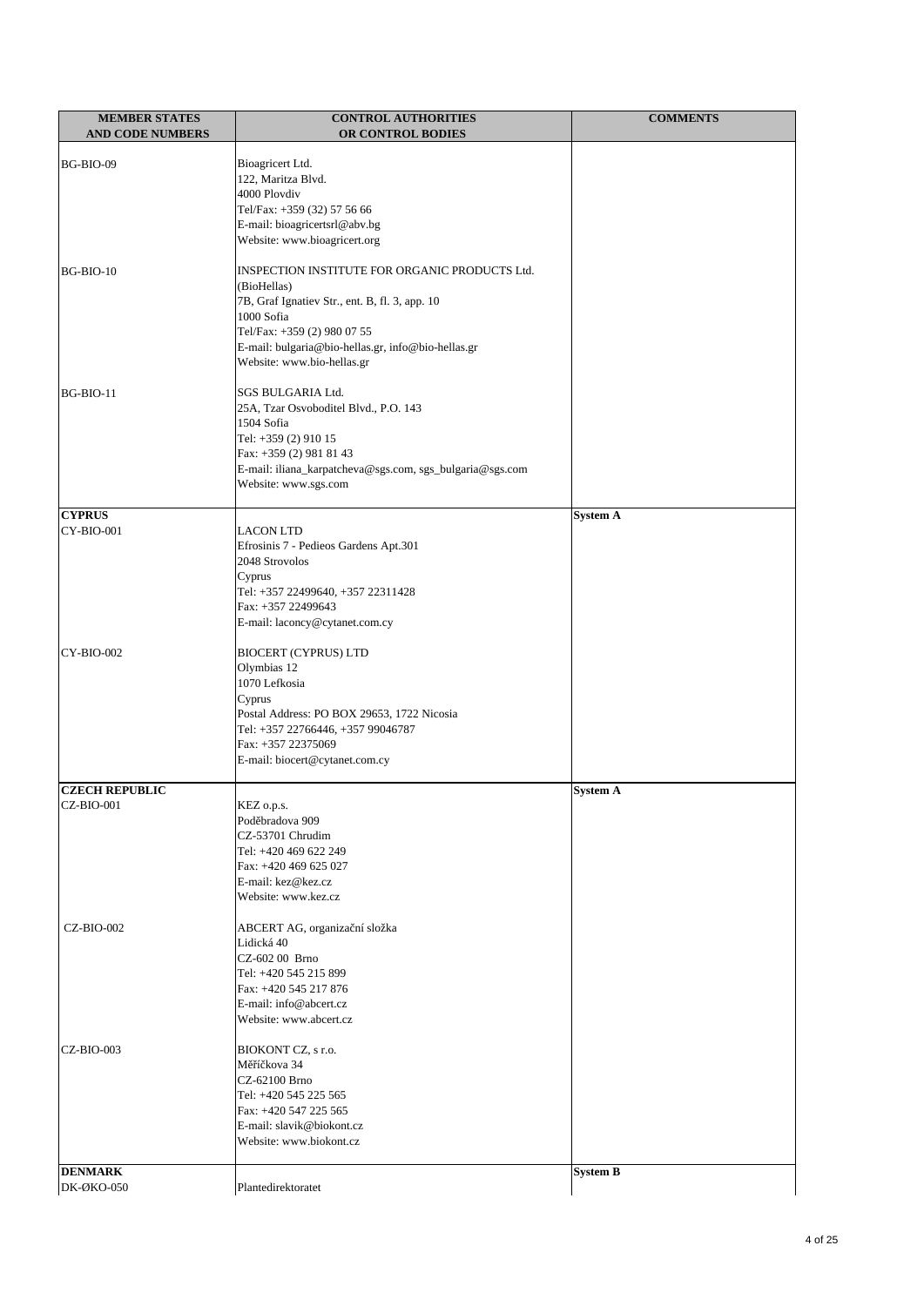| <b>MEMBER STATES</b>    | <b>CONTROL AUTHORITIES</b>                                                       | <b>COMMENTS</b> |
|-------------------------|----------------------------------------------------------------------------------|-----------------|
| <b>AND CODE NUMBERS</b> | OR CONTROL BODIES                                                                |                 |
|                         |                                                                                  |                 |
| BG-BIO-09               | Bioagricert Ltd.                                                                 |                 |
|                         | 122, Maritza Blvd.                                                               |                 |
|                         | 4000 Plovdiv<br>Tel/Fax: +359 (32) 57 56 66                                      |                 |
|                         | E-mail: bioagricertsrl@abv.bg                                                    |                 |
|                         | Website: www.bioagricert.org                                                     |                 |
|                         |                                                                                  |                 |
| BG-BIO-10               | INSPECTION INSTITUTE FOR ORGANIC PRODUCTS Ltd.                                   |                 |
|                         | (BioHellas)                                                                      |                 |
|                         | 7B, Graf Ignatiev Str., ent. B, fl. 3, app. 10                                   |                 |
|                         | 1000 Sofia                                                                       |                 |
|                         | Tel/Fax: +359 (2) 980 07 55                                                      |                 |
|                         | E-mail: bulgaria@bio-hellas.gr, info@bio-hellas.gr<br>Website: www.bio-hellas.gr |                 |
|                         |                                                                                  |                 |
| BG-BIO-11               | SGS BULGARIA Ltd.                                                                |                 |
|                         | 25A, Tzar Osvoboditel Blvd., P.O. 143                                            |                 |
|                         | 1504 Sofia                                                                       |                 |
|                         | Tel: +359 (2) 910 15                                                             |                 |
|                         | Fax: +359 (2) 981 81 43                                                          |                 |
|                         | E-mail: iliana_karpatcheva@sgs.com, sgs_bulgaria@sgs.com                         |                 |
|                         | Website: www.sgs.com                                                             |                 |
| <b>CYPRUS</b>           |                                                                                  | <b>System A</b> |
| CY-BIO-001              | <b>LACON LTD</b>                                                                 |                 |
|                         | Efrosinis 7 - Pedieos Gardens Apt.301                                            |                 |
|                         | 2048 Strovolos                                                                   |                 |
|                         | Cyprus                                                                           |                 |
|                         | Tel: +357 22499640, +357 22311428                                                |                 |
|                         | Fax: +357 22499643                                                               |                 |
|                         | E-mail: laconcy@cytanet.com.cy                                                   |                 |
| <b>CY-BIO-002</b>       | <b>BIOCERT (CYPRUS) LTD</b>                                                      |                 |
|                         | Olymbias 12                                                                      |                 |
|                         | 1070 Lefkosia                                                                    |                 |
|                         | Cyprus                                                                           |                 |
|                         | Postal Address: PO BOX 29653, 1722 Nicosia                                       |                 |
|                         | Tel: +357 22766446, +357 99046787                                                |                 |
|                         | Fax: +357 22375069                                                               |                 |
|                         | E-mail: biocert@cytanet.com.cy                                                   |                 |
| <b>CZECH REPUBLIC</b>   |                                                                                  | <b>System A</b> |
| CZ-BIO-001              | KEZ o.p.s.                                                                       |                 |
|                         | Pod bradova 909                                                                  |                 |
|                         | CZ-53701 Chrudim                                                                 |                 |
|                         | Tel: +420 469 622 249                                                            |                 |
|                         | Fax: +420 469 625 027                                                            |                 |
|                         | E-mail: kez@kez.cz                                                               |                 |
|                         | Website: www.kez.cz                                                              |                 |
| <b>CZ-BIO-002</b>       | ABCERT AG, organiza ní složka                                                    |                 |
|                         | Lidická 40                                                                       |                 |
|                         | CZ-602 00 Brno                                                                   |                 |
|                         | Tel: +420 545 215 899                                                            |                 |
|                         | Fax: +420 545 217 876                                                            |                 |
|                         | E-mail: info@abcert.cz                                                           |                 |
|                         | Website: www.abcert.cz                                                           |                 |
|                         |                                                                                  |                 |
| CZ-BIO-003              | BIOKONT CZ, s r.o.                                                               |                 |
|                         | M í kova 34<br>CZ-62100 Brno                                                     |                 |
|                         | Tel: +420 545 225 565                                                            |                 |
|                         | Fax: +420 547 225 565                                                            |                 |
|                         | E-mail: slavik@biokont.cz                                                        |                 |
|                         | Website: www.biokont.cz                                                          |                 |
|                         |                                                                                  |                 |
| <b>DENMARK</b>          |                                                                                  | <b>System B</b> |
| DK-ØKO-050              | Plantedirektoratet                                                               |                 |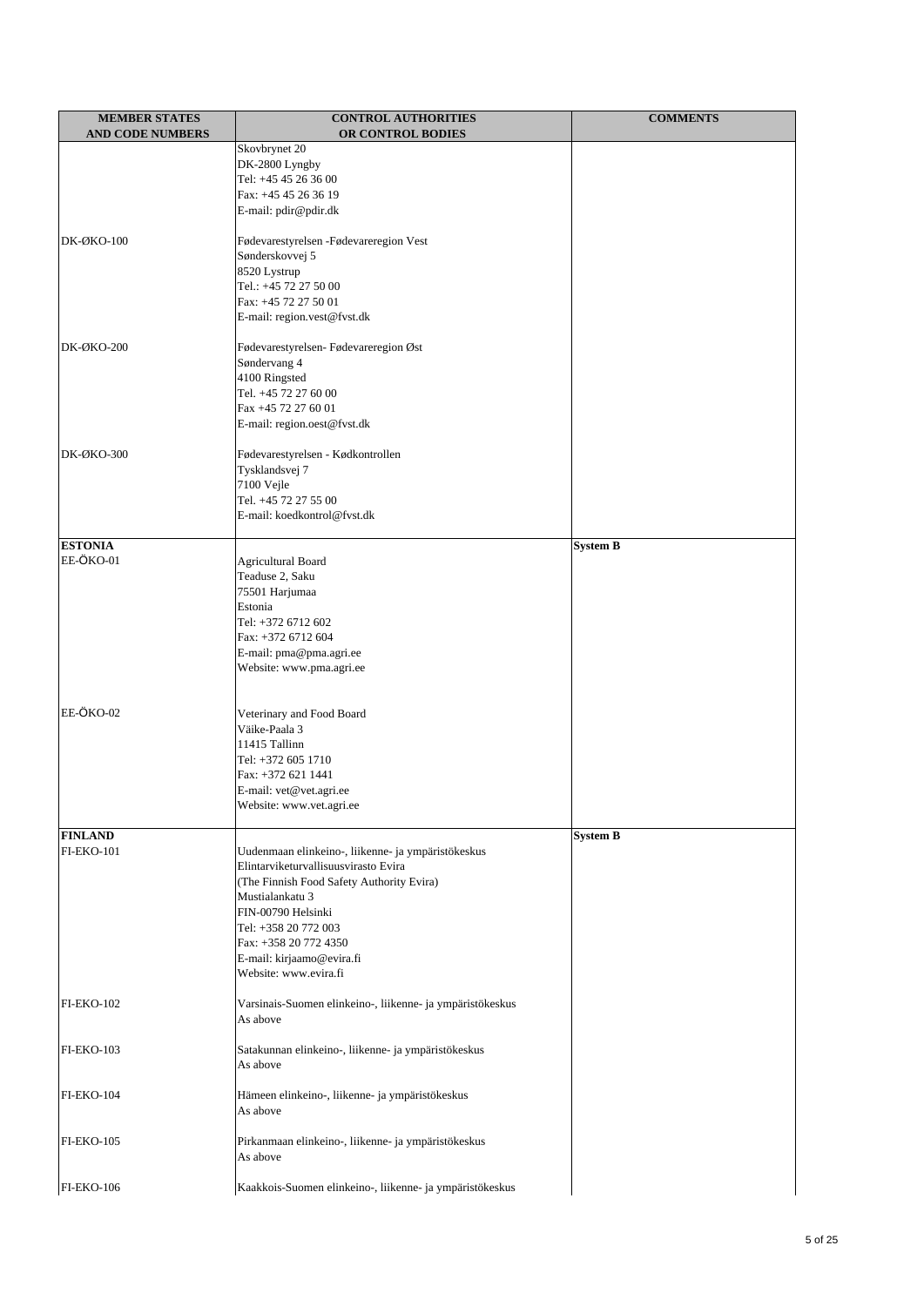| <b>MEMBER STATES</b>    | <b>CONTROL AUTHORITIES</b>                                                                 | <b>COMMENTS</b> |
|-------------------------|--------------------------------------------------------------------------------------------|-----------------|
| <b>AND CODE NUMBERS</b> | OR CONTROL BODIES                                                                          |                 |
|                         | Skovbrynet 20                                                                              |                 |
|                         | DK-2800 Lyngby<br>Tel: +45 45 26 36 00                                                     |                 |
|                         | Fax: +45 45 26 36 19                                                                       |                 |
|                         | E-mail: pdir@pdir.dk                                                                       |                 |
|                         |                                                                                            |                 |
| <b>DK-ØKO-100</b>       | Fødevarestyrelsen -Fødevareregion Vest                                                     |                 |
|                         | Sønderskovvej 5                                                                            |                 |
|                         | 8520 Lystrup                                                                               |                 |
|                         | Tel.: +45 72 27 50 00                                                                      |                 |
|                         | Fax: +45 72 27 50 01                                                                       |                 |
|                         | E-mail: region.vest@fvst.dk                                                                |                 |
| <b>DK-ØKO-200</b>       | Fødevarestyrelsen-Fødevareregion Øst                                                       |                 |
|                         | Søndervang 4                                                                               |                 |
|                         | 4100 Ringsted                                                                              |                 |
|                         | Tel. +45 72 27 60 00                                                                       |                 |
|                         | Fax +45 72 27 60 01                                                                        |                 |
|                         | E-mail: region.oest@fvst.dk                                                                |                 |
| DK-ØKO-300              | Fødevarestyrelsen - Kødkontrollen                                                          |                 |
|                         | Tysklandsvej 7                                                                             |                 |
|                         | 7100 Vejle                                                                                 |                 |
|                         | Tel. +45 72 27 55 00                                                                       |                 |
|                         | E-mail: koedkontrol@fvst.dk                                                                |                 |
|                         |                                                                                            |                 |
| <b>ESTONIA</b>          |                                                                                            | <b>System B</b> |
| EE-ÖKO-01               | <b>Agricultural Board</b>                                                                  |                 |
|                         | Teaduse 2, Saku                                                                            |                 |
|                         | 75501 Harjumaa<br>Estonia                                                                  |                 |
|                         | Tel: +372 6712 602                                                                         |                 |
|                         | Fax: +372 6712 604                                                                         |                 |
|                         | E-mail: pma@pma.agri.ee                                                                    |                 |
|                         | Website: www.pma.agri.ee                                                                   |                 |
|                         |                                                                                            |                 |
|                         |                                                                                            |                 |
| EE-ÖKO-02               | Veterinary and Food Board                                                                  |                 |
|                         | Väike-Paala 3<br>11415 Tallinn                                                             |                 |
|                         | Tel: +372 605 1710                                                                         |                 |
|                         | Fax: +372 621 1441                                                                         |                 |
|                         | E-mail: vet@vet.agri.ee                                                                    |                 |
|                         | Website: www.vet.agri.ee                                                                   |                 |
|                         |                                                                                            |                 |
| <b>FINLAND</b>          |                                                                                            | <b>System B</b> |
| <b>FI-EKO-101</b>       | Uudenmaan elinkeino-, liikenne- ja ympäristökeskus<br>Elintarviketurvallisuusvirasto Evira |                 |
|                         | (The Finnish Food Safety Authority Evira)                                                  |                 |
|                         | Mustialankatu 3                                                                            |                 |
|                         | FIN-00790 Helsinki                                                                         |                 |
|                         | Tel: +358 20 772 003                                                                       |                 |
|                         | Fax: +358 20 772 4350                                                                      |                 |
|                         | E-mail: kirjaamo@evira.fi                                                                  |                 |
|                         | Website: www.evira.fi                                                                      |                 |
|                         |                                                                                            |                 |
| <b>FI-EKO-102</b>       | Varsinais-Suomen elinkeino-, liikenne- ja ympäristökeskus<br>As above                      |                 |
|                         |                                                                                            |                 |
| <b>FI-EKO-103</b>       | Satakunnan elinkeino-, liikenne- ja ympäristökeskus                                        |                 |
|                         | As above                                                                                   |                 |
|                         |                                                                                            |                 |
| <b>FI-EKO-104</b>       | Hämeen elinkeino-, liikenne- ja ympäristökeskus                                            |                 |
|                         | As above                                                                                   |                 |
|                         |                                                                                            |                 |
| <b>FI-EKO-105</b>       | Pirkanmaan elinkeino-, liikenne- ja ympäristökeskus                                        |                 |
|                         | As above                                                                                   |                 |
| <b>FI-EKO-106</b>       | Kaakkois-Suomen elinkeino-, liikenne- ja ympäristökeskus                                   |                 |
|                         |                                                                                            |                 |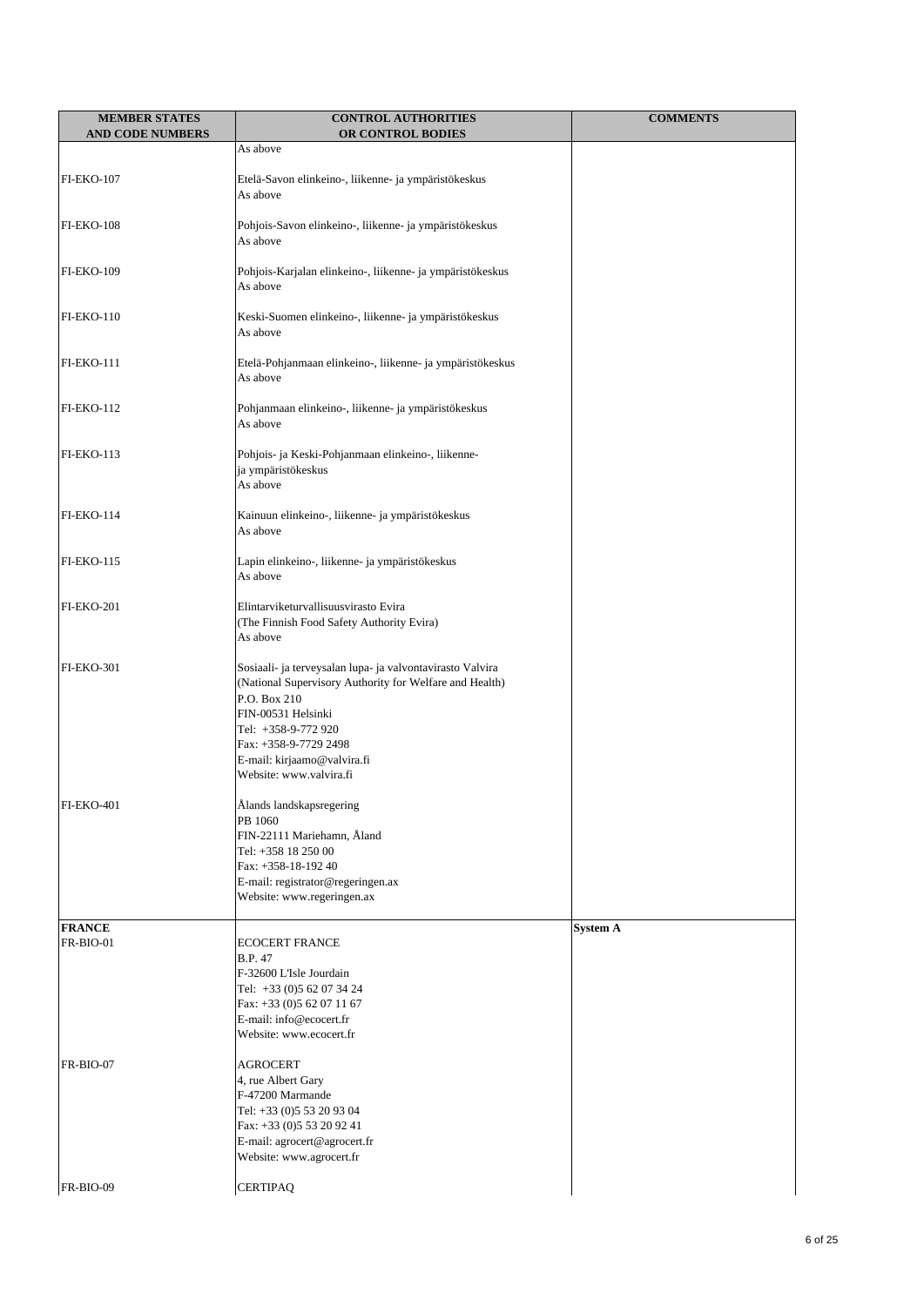| <b>MEMBER STATES</b>    | <b>CONTROL AUTHORITIES</b>                                                                                                                                                                                                                                           | <b>COMMENTS</b> |
|-------------------------|----------------------------------------------------------------------------------------------------------------------------------------------------------------------------------------------------------------------------------------------------------------------|-----------------|
| <b>AND CODE NUMBERS</b> | <b>OR CONTROL BODIES</b><br>As above                                                                                                                                                                                                                                 |                 |
| <b>FI-EKO-107</b>       | Etelä-Savon elinkeino-, liikenne- ja ympäristökeskus<br>As above                                                                                                                                                                                                     |                 |
| <b>FI-EKO-108</b>       | Pohjois-Savon elinkeino-, liikenne- ja ympäristökeskus<br>As above                                                                                                                                                                                                   |                 |
| <b>FI-EKO-109</b>       | Pohjois-Karjalan elinkeino-, liikenne- ja ympäristökeskus<br>As above                                                                                                                                                                                                |                 |
| <b>FI-EKO-110</b>       | Keski-Suomen elinkeino-, liikenne- ja ympäristökeskus<br>As above                                                                                                                                                                                                    |                 |
| <b>FI-EKO-111</b>       | Etelä-Pohjanmaan elinkeino-, liikenne- ja ympäristökeskus<br>As above                                                                                                                                                                                                |                 |
| <b>FI-EKO-112</b>       | Pohjanmaan elinkeino-, liikenne- ja ympäristökeskus<br>As above                                                                                                                                                                                                      |                 |
| <b>FI-EKO-113</b>       | Pohjois- ja Keski-Pohjanmaan elinkeino-, liikenne-<br>ja ympäristökeskus<br>As above                                                                                                                                                                                 |                 |
| <b>FI-EKO-114</b>       | Kainuun elinkeino-, liikenne- ja ympäristökeskus<br>As above                                                                                                                                                                                                         |                 |
| <b>FI-EKO-115</b>       | Lapin elinkeino-, liikenne- ja ympäristökeskus<br>As above                                                                                                                                                                                                           |                 |
| <b>FI-EKO-201</b>       | Elintarviketurvallisuusvirasto Evira<br>(The Finnish Food Safety Authority Evira)<br>As above                                                                                                                                                                        |                 |
| <b>FI-EKO-301</b>       | Sosiaali- ja terveysalan lupa- ja valvontavirasto Valvira<br>(National Supervisory Authority for Welfare and Health)<br>P.O. Box 210<br>FIN-00531 Helsinki<br>Tel: +358-9-772 920<br>Fax: +358-9-7729 2498<br>E-mail: kirjaamo@valvira.fi<br>Website: www.valvira.fi |                 |
| <b>FI-EKO-401</b>       | Ålands landskapsregering<br>PB 1060<br>FIN-22111 Mariehamn, Åland<br>Tel: +358 18 250 00<br>Fax: +358-18-192 40<br>E-mail: registrator@regeringen.ax<br>Website: www.regeringen.ax                                                                                   |                 |
| <b>FRANCE</b>           |                                                                                                                                                                                                                                                                      | <b>System A</b> |
| FR-BIO-01               | <b>ECOCERT FRANCE</b><br>B.P. 47<br>F-32600 L'Isle Jourdain<br>Tel: +33 (0)5 62 07 34 24<br>Fax: +33 (0)5 62 07 11 67<br>E-mail: info@ecocert.fr<br>Website: www.ecocert.fr                                                                                          |                 |
| FR-BIO-07               | <b>AGROCERT</b><br>4, rue Albert Gary<br>F-47200 Marmande<br>Tel: +33 (0)5 53 20 93 04<br>Fax: +33 (0)5 53 20 92 41<br>E-mail: agrocert@agrocert.fr<br>Website: www.agrocert.fr                                                                                      |                 |
| FR-BIO-09               | <b>CERTIPAQ</b>                                                                                                                                                                                                                                                      |                 |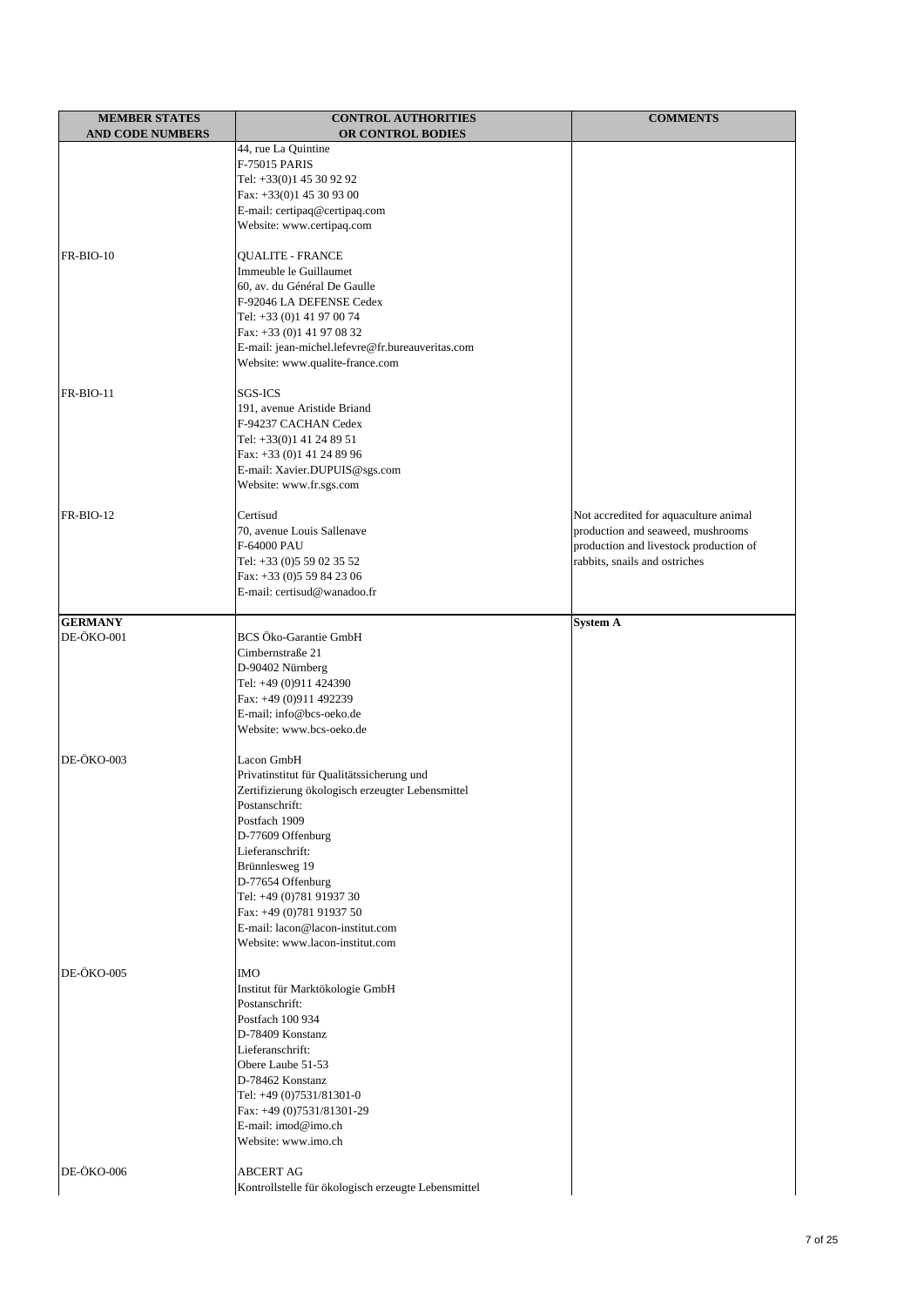| 44, rue La Quintine<br>F-75015 PARIS<br>Tel: +33(0)1 45 30 92 92<br>Fax: +33(0)1 45 30 93 00<br>E-mail: certipaq@certipaq.com<br>Website: www.certipaq.com<br>FR-BIO-10<br><b>QUALITE - FRANCE</b><br>Immeuble le Guillaumet<br>60, av. du Général De Gaulle<br>F-92046 LA DEFENSE Cedex<br>Tel: +33 (0)1 41 97 00 74<br>Fax: +33 (0)1 41 97 08 32<br>E-mail: jean-michel.lefevre@fr.bureauveritas.com<br>Website: www.qualite-france.com<br>FR-BIO-11<br><b>SGS-ICS</b><br>191, avenue Aristide Briand<br>F-94237 CACHAN Cedex<br>Tel: $+33(0)1$ 41 24 89 51<br>Fax: +33 (0)1 41 24 89 96<br>E-mail: Xavier.DUPUIS@sgs.com<br>Website: www.fr.sgs.com<br>FR-BIO-12<br>Certisud<br>Not accredited for aquaculture animal<br>production and seaweed, mushrooms<br>70, avenue Louis Sallenave<br>F-64000 PAU<br>production and livestock production of<br>Tel: +33 (0)5 59 02 35 52<br>rabbits, snails and ostriches<br>Fax: +33 (0)5 59 84 23 06<br>E-mail: certisud@wanadoo.fr<br><b>GERMANY</b><br><b>System A</b><br>DE-ÖKO-001<br>BCS Öko-Garantie GmbH<br>Cimbernstraße 21<br>D-90402 Nürnberg<br>Tel: +49 (0)911 424390<br>Fax: +49 (0)911 492239<br>E-mail: info@bcs-oeko.de<br>Website: www.bcs-oeko.de<br>DE-ÖKO-003<br>Lacon GmbH<br>Privatinstitut für Qualitätssicherung und<br>Zertifizierung ökologisch erzeugter Lebensmittel<br>Postanschrift:<br>Postfach 1909<br>D-77609 Offenburg<br>Lieferanschrift:<br>Brünnlesweg 19<br>D-77654 Offenburg<br>Tel: +49 (0)781 91937 30<br>Fax: +49 (0)781 91937 50<br>E-mail: lacon@lacon-institut.com<br>Website: www.lacon-institut.com<br>DE-ÖKO-005<br><b>IMO</b><br>Institut für Marktökologie GmbH<br>Postanschrift:<br>Postfach 100 934<br>D-78409 Konstanz<br>Lieferanschrift:<br>Obere Laube 51-53<br>D-78462 Konstanz<br>Tel: +49 (0)7531/81301-0<br>Fax: +49 (0)7531/81301-29<br>E-mail: imod@imo.ch<br>Website: www.imo.ch<br>DE-ÖKO-006<br><b>ABCERT AG</b><br>Kontrollstelle für ökologisch erzeugte Lebensmittel | <b>MEMBER STATES</b>    | <b>CONTROL AUTHORITIES</b> | <b>COMMENTS</b> |
|-------------------------------------------------------------------------------------------------------------------------------------------------------------------------------------------------------------------------------------------------------------------------------------------------------------------------------------------------------------------------------------------------------------------------------------------------------------------------------------------------------------------------------------------------------------------------------------------------------------------------------------------------------------------------------------------------------------------------------------------------------------------------------------------------------------------------------------------------------------------------------------------------------------------------------------------------------------------------------------------------------------------------------------------------------------------------------------------------------------------------------------------------------------------------------------------------------------------------------------------------------------------------------------------------------------------------------------------------------------------------------------------------------------------------------------------------------------------------------------------------------------------------------------------------------------------------------------------------------------------------------------------------------------------------------------------------------------------------------------------------------------------------------------------------------------------------------------------------------------------------------------------------------------------------------------------------------------------------------------|-------------------------|----------------------------|-----------------|
|                                                                                                                                                                                                                                                                                                                                                                                                                                                                                                                                                                                                                                                                                                                                                                                                                                                                                                                                                                                                                                                                                                                                                                                                                                                                                                                                                                                                                                                                                                                                                                                                                                                                                                                                                                                                                                                                                                                                                                                     | <b>AND CODE NUMBERS</b> | OR CONTROL BODIES          |                 |
|                                                                                                                                                                                                                                                                                                                                                                                                                                                                                                                                                                                                                                                                                                                                                                                                                                                                                                                                                                                                                                                                                                                                                                                                                                                                                                                                                                                                                                                                                                                                                                                                                                                                                                                                                                                                                                                                                                                                                                                     |                         |                            |                 |
|                                                                                                                                                                                                                                                                                                                                                                                                                                                                                                                                                                                                                                                                                                                                                                                                                                                                                                                                                                                                                                                                                                                                                                                                                                                                                                                                                                                                                                                                                                                                                                                                                                                                                                                                                                                                                                                                                                                                                                                     |                         |                            |                 |
|                                                                                                                                                                                                                                                                                                                                                                                                                                                                                                                                                                                                                                                                                                                                                                                                                                                                                                                                                                                                                                                                                                                                                                                                                                                                                                                                                                                                                                                                                                                                                                                                                                                                                                                                                                                                                                                                                                                                                                                     |                         |                            |                 |
|                                                                                                                                                                                                                                                                                                                                                                                                                                                                                                                                                                                                                                                                                                                                                                                                                                                                                                                                                                                                                                                                                                                                                                                                                                                                                                                                                                                                                                                                                                                                                                                                                                                                                                                                                                                                                                                                                                                                                                                     |                         |                            |                 |
|                                                                                                                                                                                                                                                                                                                                                                                                                                                                                                                                                                                                                                                                                                                                                                                                                                                                                                                                                                                                                                                                                                                                                                                                                                                                                                                                                                                                                                                                                                                                                                                                                                                                                                                                                                                                                                                                                                                                                                                     |                         |                            |                 |
|                                                                                                                                                                                                                                                                                                                                                                                                                                                                                                                                                                                                                                                                                                                                                                                                                                                                                                                                                                                                                                                                                                                                                                                                                                                                                                                                                                                                                                                                                                                                                                                                                                                                                                                                                                                                                                                                                                                                                                                     |                         |                            |                 |
|                                                                                                                                                                                                                                                                                                                                                                                                                                                                                                                                                                                                                                                                                                                                                                                                                                                                                                                                                                                                                                                                                                                                                                                                                                                                                                                                                                                                                                                                                                                                                                                                                                                                                                                                                                                                                                                                                                                                                                                     |                         |                            |                 |
|                                                                                                                                                                                                                                                                                                                                                                                                                                                                                                                                                                                                                                                                                                                                                                                                                                                                                                                                                                                                                                                                                                                                                                                                                                                                                                                                                                                                                                                                                                                                                                                                                                                                                                                                                                                                                                                                                                                                                                                     |                         |                            |                 |
|                                                                                                                                                                                                                                                                                                                                                                                                                                                                                                                                                                                                                                                                                                                                                                                                                                                                                                                                                                                                                                                                                                                                                                                                                                                                                                                                                                                                                                                                                                                                                                                                                                                                                                                                                                                                                                                                                                                                                                                     |                         |                            |                 |
|                                                                                                                                                                                                                                                                                                                                                                                                                                                                                                                                                                                                                                                                                                                                                                                                                                                                                                                                                                                                                                                                                                                                                                                                                                                                                                                                                                                                                                                                                                                                                                                                                                                                                                                                                                                                                                                                                                                                                                                     |                         |                            |                 |
|                                                                                                                                                                                                                                                                                                                                                                                                                                                                                                                                                                                                                                                                                                                                                                                                                                                                                                                                                                                                                                                                                                                                                                                                                                                                                                                                                                                                                                                                                                                                                                                                                                                                                                                                                                                                                                                                                                                                                                                     |                         |                            |                 |
|                                                                                                                                                                                                                                                                                                                                                                                                                                                                                                                                                                                                                                                                                                                                                                                                                                                                                                                                                                                                                                                                                                                                                                                                                                                                                                                                                                                                                                                                                                                                                                                                                                                                                                                                                                                                                                                                                                                                                                                     |                         |                            |                 |
|                                                                                                                                                                                                                                                                                                                                                                                                                                                                                                                                                                                                                                                                                                                                                                                                                                                                                                                                                                                                                                                                                                                                                                                                                                                                                                                                                                                                                                                                                                                                                                                                                                                                                                                                                                                                                                                                                                                                                                                     |                         |                            |                 |
|                                                                                                                                                                                                                                                                                                                                                                                                                                                                                                                                                                                                                                                                                                                                                                                                                                                                                                                                                                                                                                                                                                                                                                                                                                                                                                                                                                                                                                                                                                                                                                                                                                                                                                                                                                                                                                                                                                                                                                                     |                         |                            |                 |
|                                                                                                                                                                                                                                                                                                                                                                                                                                                                                                                                                                                                                                                                                                                                                                                                                                                                                                                                                                                                                                                                                                                                                                                                                                                                                                                                                                                                                                                                                                                                                                                                                                                                                                                                                                                                                                                                                                                                                                                     |                         |                            |                 |
|                                                                                                                                                                                                                                                                                                                                                                                                                                                                                                                                                                                                                                                                                                                                                                                                                                                                                                                                                                                                                                                                                                                                                                                                                                                                                                                                                                                                                                                                                                                                                                                                                                                                                                                                                                                                                                                                                                                                                                                     |                         |                            |                 |
|                                                                                                                                                                                                                                                                                                                                                                                                                                                                                                                                                                                                                                                                                                                                                                                                                                                                                                                                                                                                                                                                                                                                                                                                                                                                                                                                                                                                                                                                                                                                                                                                                                                                                                                                                                                                                                                                                                                                                                                     |                         |                            |                 |
|                                                                                                                                                                                                                                                                                                                                                                                                                                                                                                                                                                                                                                                                                                                                                                                                                                                                                                                                                                                                                                                                                                                                                                                                                                                                                                                                                                                                                                                                                                                                                                                                                                                                                                                                                                                                                                                                                                                                                                                     |                         |                            |                 |
|                                                                                                                                                                                                                                                                                                                                                                                                                                                                                                                                                                                                                                                                                                                                                                                                                                                                                                                                                                                                                                                                                                                                                                                                                                                                                                                                                                                                                                                                                                                                                                                                                                                                                                                                                                                                                                                                                                                                                                                     |                         |                            |                 |
|                                                                                                                                                                                                                                                                                                                                                                                                                                                                                                                                                                                                                                                                                                                                                                                                                                                                                                                                                                                                                                                                                                                                                                                                                                                                                                                                                                                                                                                                                                                                                                                                                                                                                                                                                                                                                                                                                                                                                                                     |                         |                            |                 |
|                                                                                                                                                                                                                                                                                                                                                                                                                                                                                                                                                                                                                                                                                                                                                                                                                                                                                                                                                                                                                                                                                                                                                                                                                                                                                                                                                                                                                                                                                                                                                                                                                                                                                                                                                                                                                                                                                                                                                                                     |                         |                            |                 |
|                                                                                                                                                                                                                                                                                                                                                                                                                                                                                                                                                                                                                                                                                                                                                                                                                                                                                                                                                                                                                                                                                                                                                                                                                                                                                                                                                                                                                                                                                                                                                                                                                                                                                                                                                                                                                                                                                                                                                                                     |                         |                            |                 |
|                                                                                                                                                                                                                                                                                                                                                                                                                                                                                                                                                                                                                                                                                                                                                                                                                                                                                                                                                                                                                                                                                                                                                                                                                                                                                                                                                                                                                                                                                                                                                                                                                                                                                                                                                                                                                                                                                                                                                                                     |                         |                            |                 |
|                                                                                                                                                                                                                                                                                                                                                                                                                                                                                                                                                                                                                                                                                                                                                                                                                                                                                                                                                                                                                                                                                                                                                                                                                                                                                                                                                                                                                                                                                                                                                                                                                                                                                                                                                                                                                                                                                                                                                                                     |                         |                            |                 |
|                                                                                                                                                                                                                                                                                                                                                                                                                                                                                                                                                                                                                                                                                                                                                                                                                                                                                                                                                                                                                                                                                                                                                                                                                                                                                                                                                                                                                                                                                                                                                                                                                                                                                                                                                                                                                                                                                                                                                                                     |                         |                            |                 |
|                                                                                                                                                                                                                                                                                                                                                                                                                                                                                                                                                                                                                                                                                                                                                                                                                                                                                                                                                                                                                                                                                                                                                                                                                                                                                                                                                                                                                                                                                                                                                                                                                                                                                                                                                                                                                                                                                                                                                                                     |                         |                            |                 |
|                                                                                                                                                                                                                                                                                                                                                                                                                                                                                                                                                                                                                                                                                                                                                                                                                                                                                                                                                                                                                                                                                                                                                                                                                                                                                                                                                                                                                                                                                                                                                                                                                                                                                                                                                                                                                                                                                                                                                                                     |                         |                            |                 |
|                                                                                                                                                                                                                                                                                                                                                                                                                                                                                                                                                                                                                                                                                                                                                                                                                                                                                                                                                                                                                                                                                                                                                                                                                                                                                                                                                                                                                                                                                                                                                                                                                                                                                                                                                                                                                                                                                                                                                                                     |                         |                            |                 |
|                                                                                                                                                                                                                                                                                                                                                                                                                                                                                                                                                                                                                                                                                                                                                                                                                                                                                                                                                                                                                                                                                                                                                                                                                                                                                                                                                                                                                                                                                                                                                                                                                                                                                                                                                                                                                                                                                                                                                                                     |                         |                            |                 |
|                                                                                                                                                                                                                                                                                                                                                                                                                                                                                                                                                                                                                                                                                                                                                                                                                                                                                                                                                                                                                                                                                                                                                                                                                                                                                                                                                                                                                                                                                                                                                                                                                                                                                                                                                                                                                                                                                                                                                                                     |                         |                            |                 |
|                                                                                                                                                                                                                                                                                                                                                                                                                                                                                                                                                                                                                                                                                                                                                                                                                                                                                                                                                                                                                                                                                                                                                                                                                                                                                                                                                                                                                                                                                                                                                                                                                                                                                                                                                                                                                                                                                                                                                                                     |                         |                            |                 |
|                                                                                                                                                                                                                                                                                                                                                                                                                                                                                                                                                                                                                                                                                                                                                                                                                                                                                                                                                                                                                                                                                                                                                                                                                                                                                                                                                                                                                                                                                                                                                                                                                                                                                                                                                                                                                                                                                                                                                                                     |                         |                            |                 |
|                                                                                                                                                                                                                                                                                                                                                                                                                                                                                                                                                                                                                                                                                                                                                                                                                                                                                                                                                                                                                                                                                                                                                                                                                                                                                                                                                                                                                                                                                                                                                                                                                                                                                                                                                                                                                                                                                                                                                                                     |                         |                            |                 |
|                                                                                                                                                                                                                                                                                                                                                                                                                                                                                                                                                                                                                                                                                                                                                                                                                                                                                                                                                                                                                                                                                                                                                                                                                                                                                                                                                                                                                                                                                                                                                                                                                                                                                                                                                                                                                                                                                                                                                                                     |                         |                            |                 |
|                                                                                                                                                                                                                                                                                                                                                                                                                                                                                                                                                                                                                                                                                                                                                                                                                                                                                                                                                                                                                                                                                                                                                                                                                                                                                                                                                                                                                                                                                                                                                                                                                                                                                                                                                                                                                                                                                                                                                                                     |                         |                            |                 |
|                                                                                                                                                                                                                                                                                                                                                                                                                                                                                                                                                                                                                                                                                                                                                                                                                                                                                                                                                                                                                                                                                                                                                                                                                                                                                                                                                                                                                                                                                                                                                                                                                                                                                                                                                                                                                                                                                                                                                                                     |                         |                            |                 |
|                                                                                                                                                                                                                                                                                                                                                                                                                                                                                                                                                                                                                                                                                                                                                                                                                                                                                                                                                                                                                                                                                                                                                                                                                                                                                                                                                                                                                                                                                                                                                                                                                                                                                                                                                                                                                                                                                                                                                                                     |                         |                            |                 |
|                                                                                                                                                                                                                                                                                                                                                                                                                                                                                                                                                                                                                                                                                                                                                                                                                                                                                                                                                                                                                                                                                                                                                                                                                                                                                                                                                                                                                                                                                                                                                                                                                                                                                                                                                                                                                                                                                                                                                                                     |                         |                            |                 |
|                                                                                                                                                                                                                                                                                                                                                                                                                                                                                                                                                                                                                                                                                                                                                                                                                                                                                                                                                                                                                                                                                                                                                                                                                                                                                                                                                                                                                                                                                                                                                                                                                                                                                                                                                                                                                                                                                                                                                                                     |                         |                            |                 |
|                                                                                                                                                                                                                                                                                                                                                                                                                                                                                                                                                                                                                                                                                                                                                                                                                                                                                                                                                                                                                                                                                                                                                                                                                                                                                                                                                                                                                                                                                                                                                                                                                                                                                                                                                                                                                                                                                                                                                                                     |                         |                            |                 |
|                                                                                                                                                                                                                                                                                                                                                                                                                                                                                                                                                                                                                                                                                                                                                                                                                                                                                                                                                                                                                                                                                                                                                                                                                                                                                                                                                                                                                                                                                                                                                                                                                                                                                                                                                                                                                                                                                                                                                                                     |                         |                            |                 |
|                                                                                                                                                                                                                                                                                                                                                                                                                                                                                                                                                                                                                                                                                                                                                                                                                                                                                                                                                                                                                                                                                                                                                                                                                                                                                                                                                                                                                                                                                                                                                                                                                                                                                                                                                                                                                                                                                                                                                                                     |                         |                            |                 |
|                                                                                                                                                                                                                                                                                                                                                                                                                                                                                                                                                                                                                                                                                                                                                                                                                                                                                                                                                                                                                                                                                                                                                                                                                                                                                                                                                                                                                                                                                                                                                                                                                                                                                                                                                                                                                                                                                                                                                                                     |                         |                            |                 |
|                                                                                                                                                                                                                                                                                                                                                                                                                                                                                                                                                                                                                                                                                                                                                                                                                                                                                                                                                                                                                                                                                                                                                                                                                                                                                                                                                                                                                                                                                                                                                                                                                                                                                                                                                                                                                                                                                                                                                                                     |                         |                            |                 |
|                                                                                                                                                                                                                                                                                                                                                                                                                                                                                                                                                                                                                                                                                                                                                                                                                                                                                                                                                                                                                                                                                                                                                                                                                                                                                                                                                                                                                                                                                                                                                                                                                                                                                                                                                                                                                                                                                                                                                                                     |                         |                            |                 |
|                                                                                                                                                                                                                                                                                                                                                                                                                                                                                                                                                                                                                                                                                                                                                                                                                                                                                                                                                                                                                                                                                                                                                                                                                                                                                                                                                                                                                                                                                                                                                                                                                                                                                                                                                                                                                                                                                                                                                                                     |                         |                            |                 |
|                                                                                                                                                                                                                                                                                                                                                                                                                                                                                                                                                                                                                                                                                                                                                                                                                                                                                                                                                                                                                                                                                                                                                                                                                                                                                                                                                                                                                                                                                                                                                                                                                                                                                                                                                                                                                                                                                                                                                                                     |                         |                            |                 |
|                                                                                                                                                                                                                                                                                                                                                                                                                                                                                                                                                                                                                                                                                                                                                                                                                                                                                                                                                                                                                                                                                                                                                                                                                                                                                                                                                                                                                                                                                                                                                                                                                                                                                                                                                                                                                                                                                                                                                                                     |                         |                            |                 |
|                                                                                                                                                                                                                                                                                                                                                                                                                                                                                                                                                                                                                                                                                                                                                                                                                                                                                                                                                                                                                                                                                                                                                                                                                                                                                                                                                                                                                                                                                                                                                                                                                                                                                                                                                                                                                                                                                                                                                                                     |                         |                            |                 |
|                                                                                                                                                                                                                                                                                                                                                                                                                                                                                                                                                                                                                                                                                                                                                                                                                                                                                                                                                                                                                                                                                                                                                                                                                                                                                                                                                                                                                                                                                                                                                                                                                                                                                                                                                                                                                                                                                                                                                                                     |                         |                            |                 |
|                                                                                                                                                                                                                                                                                                                                                                                                                                                                                                                                                                                                                                                                                                                                                                                                                                                                                                                                                                                                                                                                                                                                                                                                                                                                                                                                                                                                                                                                                                                                                                                                                                                                                                                                                                                                                                                                                                                                                                                     |                         |                            |                 |
|                                                                                                                                                                                                                                                                                                                                                                                                                                                                                                                                                                                                                                                                                                                                                                                                                                                                                                                                                                                                                                                                                                                                                                                                                                                                                                                                                                                                                                                                                                                                                                                                                                                                                                                                                                                                                                                                                                                                                                                     |                         |                            |                 |
|                                                                                                                                                                                                                                                                                                                                                                                                                                                                                                                                                                                                                                                                                                                                                                                                                                                                                                                                                                                                                                                                                                                                                                                                                                                                                                                                                                                                                                                                                                                                                                                                                                                                                                                                                                                                                                                                                                                                                                                     |                         |                            |                 |
|                                                                                                                                                                                                                                                                                                                                                                                                                                                                                                                                                                                                                                                                                                                                                                                                                                                                                                                                                                                                                                                                                                                                                                                                                                                                                                                                                                                                                                                                                                                                                                                                                                                                                                                                                                                                                                                                                                                                                                                     |                         |                            |                 |
|                                                                                                                                                                                                                                                                                                                                                                                                                                                                                                                                                                                                                                                                                                                                                                                                                                                                                                                                                                                                                                                                                                                                                                                                                                                                                                                                                                                                                                                                                                                                                                                                                                                                                                                                                                                                                                                                                                                                                                                     |                         |                            |                 |
|                                                                                                                                                                                                                                                                                                                                                                                                                                                                                                                                                                                                                                                                                                                                                                                                                                                                                                                                                                                                                                                                                                                                                                                                                                                                                                                                                                                                                                                                                                                                                                                                                                                                                                                                                                                                                                                                                                                                                                                     |                         |                            |                 |
|                                                                                                                                                                                                                                                                                                                                                                                                                                                                                                                                                                                                                                                                                                                                                                                                                                                                                                                                                                                                                                                                                                                                                                                                                                                                                                                                                                                                                                                                                                                                                                                                                                                                                                                                                                                                                                                                                                                                                                                     |                         |                            |                 |
|                                                                                                                                                                                                                                                                                                                                                                                                                                                                                                                                                                                                                                                                                                                                                                                                                                                                                                                                                                                                                                                                                                                                                                                                                                                                                                                                                                                                                                                                                                                                                                                                                                                                                                                                                                                                                                                                                                                                                                                     |                         |                            |                 |
|                                                                                                                                                                                                                                                                                                                                                                                                                                                                                                                                                                                                                                                                                                                                                                                                                                                                                                                                                                                                                                                                                                                                                                                                                                                                                                                                                                                                                                                                                                                                                                                                                                                                                                                                                                                                                                                                                                                                                                                     |                         |                            |                 |
|                                                                                                                                                                                                                                                                                                                                                                                                                                                                                                                                                                                                                                                                                                                                                                                                                                                                                                                                                                                                                                                                                                                                                                                                                                                                                                                                                                                                                                                                                                                                                                                                                                                                                                                                                                                                                                                                                                                                                                                     |                         |                            |                 |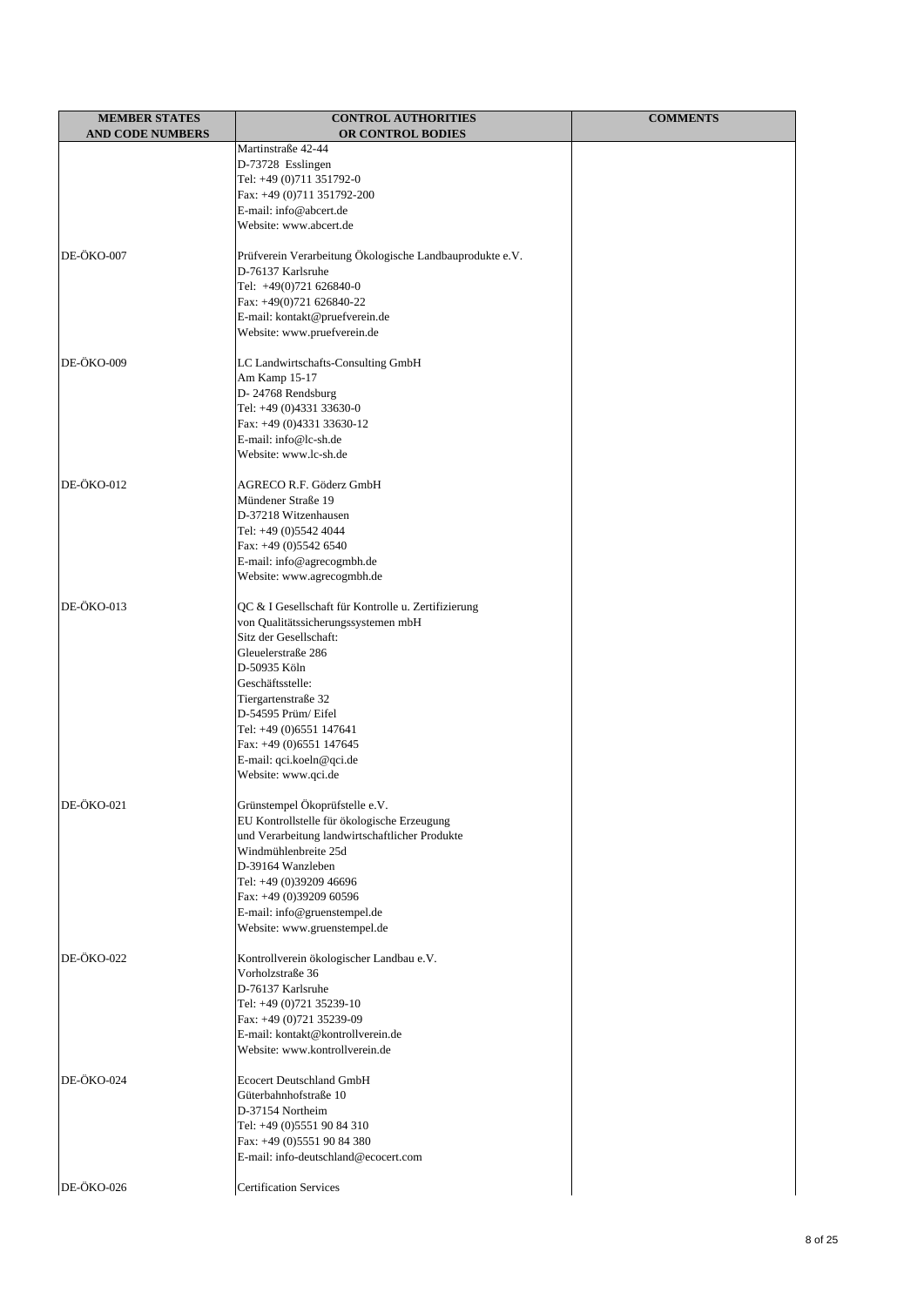| <b>MEMBER STATES</b>    | <b>CONTROL AUTHORITIES</b>                                         | <b>COMMENTS</b> |
|-------------------------|--------------------------------------------------------------------|-----------------|
| <b>AND CODE NUMBERS</b> | OR CONTROL BODIES                                                  |                 |
|                         | Martinstraße 42-44                                                 |                 |
|                         | D-73728 Esslingen                                                  |                 |
|                         | Tel: +49 (0)711 351792-0                                           |                 |
|                         | Fax: +49 (0)711 351792-200                                         |                 |
|                         | E-mail: info@abcert.de                                             |                 |
|                         | Website: www.abcert.de                                             |                 |
| DE-ÖKO-007              | Prüfverein Verarbeitung Ökologische Landbauprodukte e.V.           |                 |
|                         | D-76137 Karlsruhe                                                  |                 |
|                         | Tel: +49(0)721 626840-0                                            |                 |
|                         | Fax: +49(0)721 626840-22                                           |                 |
|                         | E-mail: kontakt@pruefverein.de                                     |                 |
|                         | Website: www.pruefverein.de                                        |                 |
|                         |                                                                    |                 |
| DE-ÖKO-009              | LC Landwirtschafts-Consulting GmbH                                 |                 |
|                         | Am Kamp 15-17                                                      |                 |
|                         | D-24768 Rendsburg                                                  |                 |
|                         | Tel: +49 (0)4331 33630-0                                           |                 |
|                         | Fax: +49 (0)4331 33630-12<br>E-mail: info@lc-sh.de                 |                 |
|                         | Website: www.lc-sh.de                                              |                 |
|                         |                                                                    |                 |
| DE-ÖKO-012              | AGRECO R.F. Göderz GmbH                                            |                 |
|                         | Mündener Straße 19                                                 |                 |
|                         | D-37218 Witzenhausen                                               |                 |
|                         | Tel: +49 (0)5542 4044                                              |                 |
|                         | Fax: $+49$ (0)5542 6540                                            |                 |
|                         | E-mail: info@agrecogmbh.de                                         |                 |
|                         | Website: www.agrecogmbh.de                                         |                 |
| DE-ÖKO-013              | QC & I Gesellschaft für Kontrolle u. Zertifizierung                |                 |
|                         | von Qualitätssicherungssystemen mbH                                |                 |
|                         | Sitz der Gesellschaft:                                             |                 |
|                         | Gleuelerstraße 286                                                 |                 |
|                         | D-50935 Köln                                                       |                 |
|                         | Geschäftsstelle:                                                   |                 |
|                         | Tiergartenstraße 32                                                |                 |
|                         | D-54595 Prüm/Eifel                                                 |                 |
|                         | Tel: +49 (0)6551 147641                                            |                 |
|                         | Fax: +49 (0)6551 147645                                            |                 |
|                         | E-mail: qci.koeln@qci.de                                           |                 |
|                         | Website: www.qci.de                                                |                 |
| DE-ÖKO-021              | Grünstempel Ökoprüfstelle e.V.                                     |                 |
|                         | EU Kontrollstelle für ökologische Erzeugung                        |                 |
|                         | und Verarbeitung landwirtschaftlicher Produkte                     |                 |
|                         | Windmühlenbreite 25d                                               |                 |
|                         | D-39164 Wanzleben                                                  |                 |
|                         | Tel: +49 (0)39209 46696                                            |                 |
|                         | Fax: +49 (0)39209 60596                                            |                 |
|                         | E-mail: info@gruenstempel.de                                       |                 |
|                         | Website: www.gruenstempel.de                                       |                 |
|                         |                                                                    |                 |
| DE-ÖKO-022              | Kontrollverein ökologischer Landbau e.V.<br>Vorholzstraße 36       |                 |
|                         | D-76137 Karlsruhe                                                  |                 |
|                         | Tel: +49 (0)721 35239-10                                           |                 |
|                         | Fax: +49 (0)721 35239-09                                           |                 |
|                         | E-mail: kontakt@kontrollverein.de                                  |                 |
|                         | Website: www.kontrollverein.de                                     |                 |
|                         |                                                                    |                 |
| DE-ÖKO-024              | <b>Ecocert Deutschland GmbH</b>                                    |                 |
|                         | Güterbahnhofstraße 10                                              |                 |
|                         | D-37154 Northeim                                                   |                 |
|                         | Tel: +49 (0)5551 90 84 310                                         |                 |
|                         | Fax: +49 (0)5551 90 84 380<br>E-mail: info-deutschland@ecocert.com |                 |
|                         |                                                                    |                 |
| DE-ÖKO-026              | <b>Certification Services</b>                                      |                 |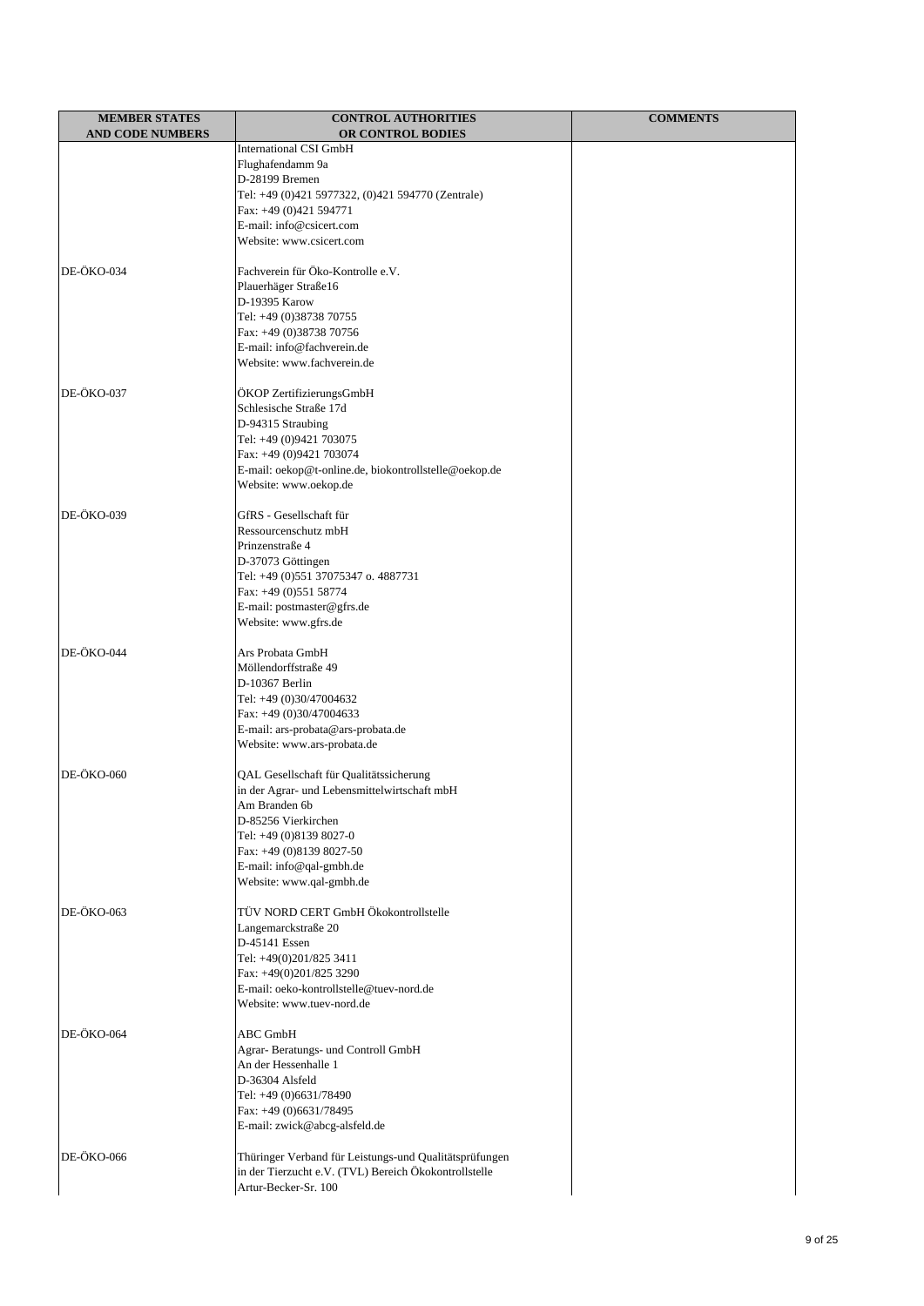| <b>MEMBER STATES</b>    | <b>CONTROL AUTHORITIES</b>                                                  | <b>COMMENTS</b> |
|-------------------------|-----------------------------------------------------------------------------|-----------------|
| <b>AND CODE NUMBERS</b> | <b>OR CONTROL BODIES</b>                                                    |                 |
|                         | <b>International CSI GmbH</b>                                               |                 |
|                         | Flughafendamm 9a                                                            |                 |
|                         | D-28199 Bremen                                                              |                 |
|                         | Tel: +49 (0)421 5977322, (0)421 594770 (Zentrale)<br>Fax: +49 (0)421 594771 |                 |
|                         | E-mail: info@csicert.com                                                    |                 |
|                         | Website: www.csicert.com                                                    |                 |
|                         |                                                                             |                 |
| DE-ÖKO-034              | Fachverein für Öko-Kontrolle e.V.                                           |                 |
|                         | Plauerhäger Straße16                                                        |                 |
|                         | D-19395 Karow                                                               |                 |
|                         | Tel: +49 (0)38738 70755                                                     |                 |
|                         | Fax: +49 (0)38738 70756                                                     |                 |
|                         | E-mail: info@fachverein.de                                                  |                 |
|                         | Website: www.fachverein.de                                                  |                 |
|                         |                                                                             |                 |
| DE-ÖKO-037              | ÖKOP ZertifizierungsGmbH                                                    |                 |
|                         | Schlesische Straße 17d                                                      |                 |
|                         | D-94315 Straubing<br>Tel: +49 (0)9421 703075                                |                 |
|                         | Fax: +49 (0)9421 703074                                                     |                 |
|                         | E-mail: oekop@t-online.de, biokontrollstelle@oekop.de                       |                 |
|                         | Website: www.oekop.de                                                       |                 |
|                         |                                                                             |                 |
| DE-ÖKO-039              | GfRS - Gesellschaft für                                                     |                 |
|                         | Ressourcenschutz mbH                                                        |                 |
|                         | Prinzenstraße 4                                                             |                 |
|                         | D-37073 Göttingen                                                           |                 |
|                         | Tel: +49 (0)551 37075347 o. 4887731                                         |                 |
|                         | Fax: +49 (0)551 58774                                                       |                 |
|                         | E-mail: postmaster@gfrs.de                                                  |                 |
|                         | Website: www.gfrs.de                                                        |                 |
| DE-ÖKO-044              | Ars Probata GmbH                                                            |                 |
|                         | Möllendorffstraße 49                                                        |                 |
|                         | D-10367 Berlin                                                              |                 |
|                         | Tel: +49 (0)30/47004632                                                     |                 |
|                         | Fax: +49 (0)30/47004633                                                     |                 |
|                         | E-mail: ars-probata@ars-probata.de                                          |                 |
|                         | Website: www.ars-probata.de                                                 |                 |
|                         |                                                                             |                 |
| DE-ÖKO-060              | QAL Gesellschaft für Qualitätssicherung                                     |                 |
|                         | in der Agrar- und Lebensmittelwirtschaft mbH                                |                 |
|                         | Am Branden 6b<br>D-85256 Vierkirchen                                        |                 |
|                         | Tel: +49 (0)8139 8027-0                                                     |                 |
|                         | Fax: +49 (0)8139 8027-50                                                    |                 |
|                         | E-mail: info@qal-gmbh.de                                                    |                 |
|                         | Website: www.qal-gmbh.de                                                    |                 |
|                         |                                                                             |                 |
| DE-ÖKO-063              | TÜV NORD CERT GmbH Ökokontrollstelle                                        |                 |
|                         | Langemarckstraße 20                                                         |                 |
|                         | D-45141 Essen                                                               |                 |
|                         | Tel: +49(0)201/825 3411                                                     |                 |
|                         | Fax: +49(0)201/825 3290                                                     |                 |
|                         | E-mail: oeko-kontrollstelle@tuev-nord.de                                    |                 |
|                         | Website: www.tuev-nord.de                                                   |                 |
| DE-ÖKO-064              | ABC GmbH                                                                    |                 |
|                         | Agrar- Beratungs- und Controll GmbH                                         |                 |
|                         | An der Hessenhalle 1                                                        |                 |
|                         | D-36304 Alsfeld                                                             |                 |
|                         | Tel: +49 (0)6631/78490                                                      |                 |
|                         | Fax: +49 (0)6631/78495                                                      |                 |
|                         | E-mail: zwick@abcg-alsfeld.de                                               |                 |
|                         |                                                                             |                 |
| DE-ÖKO-066              | Thüringer Verband für Leistungs-und Qualitätsprüfungen                      |                 |
|                         | in der Tierzucht e.V. (TVL) Bereich Ökokontrollstelle                       |                 |
|                         | Artur-Becker-Sr. 100                                                        |                 |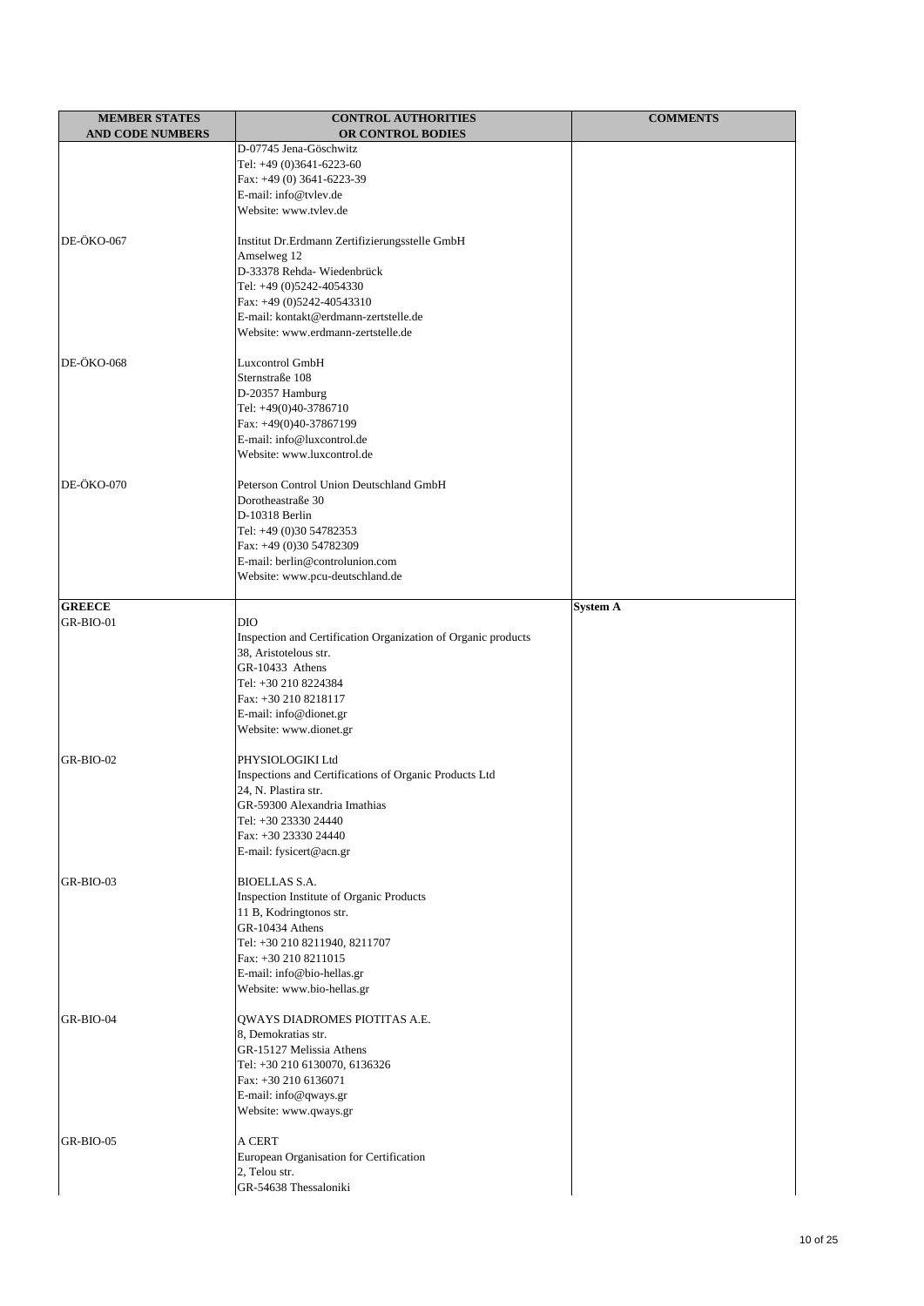| <b>MEMBER STATES</b>       | <b>CONTROL AUTHORITIES</b>                                    | <b>COMMENTS</b> |
|----------------------------|---------------------------------------------------------------|-----------------|
| <b>AND CODE NUMBERS</b>    | OR CONTROL BODIES                                             |                 |
|                            | D-07745 Jena-Göschwitz                                        |                 |
|                            | Tel: +49 (0)3641-6223-60                                      |                 |
|                            | Fax: +49 (0) 3641-6223-39                                     |                 |
|                            | E-mail: info@tvlev.de<br>Website: www.tvlev.de                |                 |
|                            |                                                               |                 |
| DE-ÖKO-067                 | Institut Dr. Erdmann Zertifizierungsstelle GmbH               |                 |
|                            | Amselweg 12                                                   |                 |
|                            | D-33378 Rehda- Wiedenbrück                                    |                 |
|                            | Tel: +49 (0)5242-4054330                                      |                 |
|                            | Fax: +49 (0)5242-40543310                                     |                 |
|                            | E-mail: kontakt@erdmann-zertstelle.de                         |                 |
|                            | Website: www.erdmann-zertstelle.de                            |                 |
| DE-ÖKO-068                 | <b>Luxcontrol GmbH</b>                                        |                 |
|                            | Sternstraße 108                                               |                 |
|                            | D-20357 Hamburg                                               |                 |
|                            | Tel: +49(0)40-3786710                                         |                 |
|                            | Fax: +49(0)40-37867199                                        |                 |
|                            | E-mail: info@luxcontrol.de                                    |                 |
|                            | Website: www.luxcontrol.de                                    |                 |
| DE-ÖKO-070                 | Peterson Control Union Deutschland GmbH                       |                 |
|                            | Dorotheastraße 30                                             |                 |
|                            | D-10318 Berlin                                                |                 |
|                            | Tel: +49 (0)30 54782353                                       |                 |
|                            | Fax: +49 (0)30 54782309                                       |                 |
|                            | E-mail: berlin@controlunion.com                               |                 |
|                            | Website: www.pcu-deutschland.de                               |                 |
|                            |                                                               |                 |
| <b>GREECE</b><br>GR-BIO-01 | DIO                                                           | <b>System A</b> |
|                            | Inspection and Certification Organization of Organic products |                 |
|                            | 38, Aristotelous str.                                         |                 |
|                            | GR-10433 Athens                                               |                 |
|                            | Tel: +30 210 8224384                                          |                 |
|                            | Fax: +30 210 8218117                                          |                 |
|                            | E-mail: info@dionet.gr                                        |                 |
|                            | Website: www.dionet.gr                                        |                 |
| GR-BIO-02                  | PHYSIOLOGIKI Ltd                                              |                 |
|                            | Inspections and Certifications of Organic Products Ltd        |                 |
|                            | 24, N. Plastira str.                                          |                 |
|                            | GR-59300 Alexandria Imathias                                  |                 |
|                            | Tel: +30 23330 24440                                          |                 |
|                            | Fax: +30 23330 24440                                          |                 |
|                            | E-mail: fysicert@acn.gr                                       |                 |
| GR-BIO-03                  | <b>BIOELLAS S.A.</b>                                          |                 |
|                            | <b>Inspection Institute of Organic Products</b>               |                 |
|                            | 11 B, Kodringtonos str.                                       |                 |
|                            | GR-10434 Athens                                               |                 |
|                            | Tel: +30 210 8211940, 8211707                                 |                 |
|                            | Fax: +30 210 8211015                                          |                 |
|                            | E-mail: info@bio-hellas.gr                                    |                 |
|                            | Website: www.bio-hellas.gr                                    |                 |
| GR-BIO-04                  | QWAYS DIADROMES PIOTITAS A.E.                                 |                 |
|                            | 8, Demokratias str.                                           |                 |
|                            | GR-15127 Melissia Athens                                      |                 |
|                            | Tel: +30 210 6130070, 6136326                                 |                 |
|                            | Fax: +30 210 6136071                                          |                 |
|                            | E-mail: info@qways.gr                                         |                 |
|                            | Website: www.qways.gr                                         |                 |
| GR-BIO-05                  | A CERT                                                        |                 |
|                            | European Organisation for Certification                       |                 |
|                            | 2, Telou str.                                                 |                 |
|                            | GR-54638 Thessaloniki                                         |                 |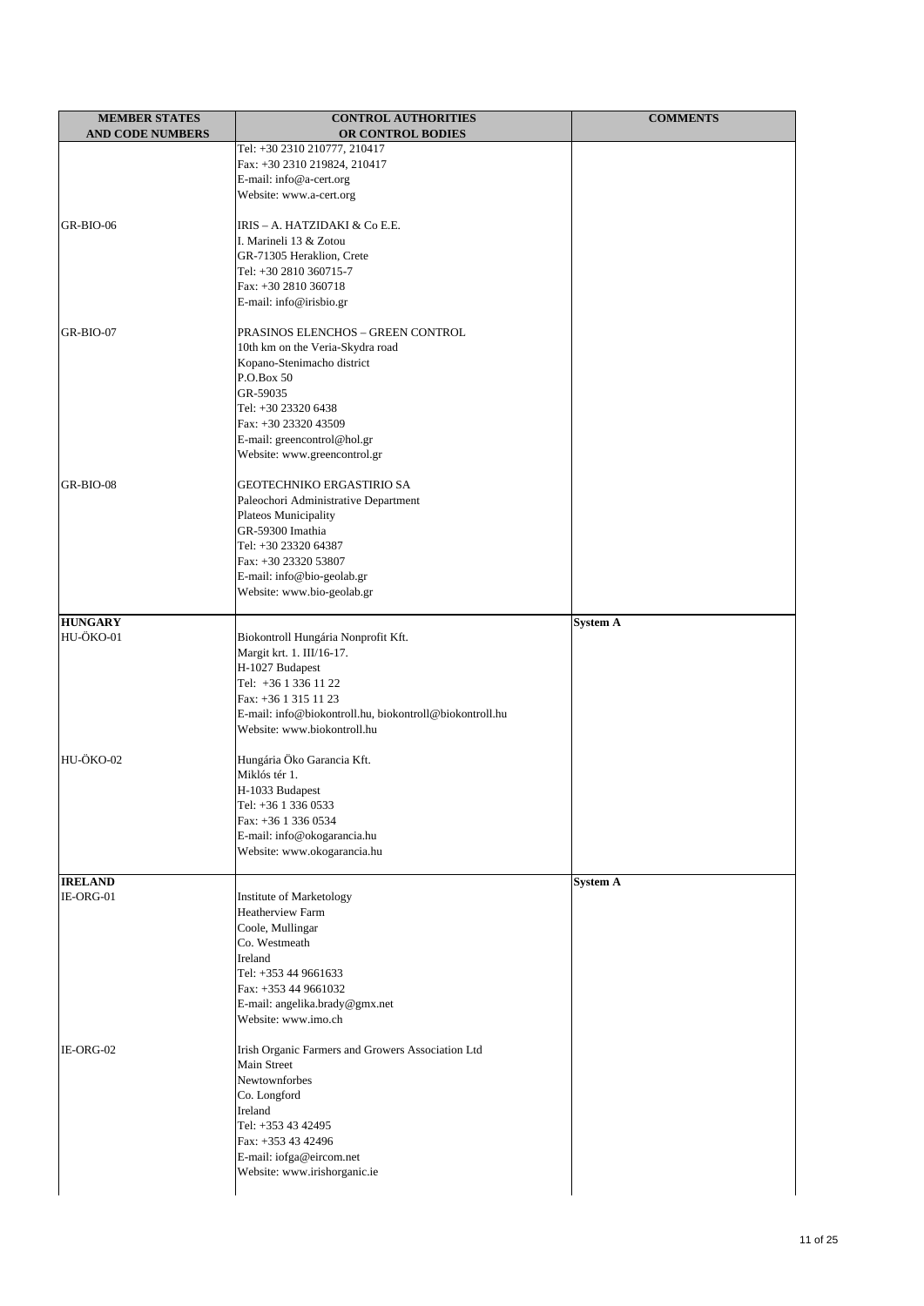| <b>MEMBER STATES</b>        | <b>CONTROL AUTHORITIES</b>                                               | <b>COMMENTS</b> |
|-----------------------------|--------------------------------------------------------------------------|-----------------|
| <b>AND CODE NUMBERS</b>     | OR CONTROL BODIES                                                        |                 |
|                             | Tel: +30 2310 210777, 210417                                             |                 |
|                             | Fax: +30 2310 219824, 210417                                             |                 |
|                             | E-mail: info@a-cert.org                                                  |                 |
|                             | Website: www.a-cert.org                                                  |                 |
| GR-BIO-06                   | IRIS – A. HATZIDAKI & Co E.E.                                            |                 |
|                             | I. Marineli 13 & Zotou                                                   |                 |
|                             | GR-71305 Heraklion, Crete                                                |                 |
|                             | Tel: +30 2810 360715-7                                                   |                 |
|                             | Fax: +30 2810 360718                                                     |                 |
|                             | E-mail: info@irisbio.gr                                                  |                 |
|                             |                                                                          |                 |
| GR-BIO-07                   | PRASINOS ELENCHOS - GREEN CONTROL                                        |                 |
|                             | 10th km on the Veria-Skydra road<br>Kopano-Stenimacho district           |                 |
|                             | P.O.Box 50                                                               |                 |
|                             | GR-59035                                                                 |                 |
|                             | Tel: +30 23320 6438                                                      |                 |
|                             | Fax: +30 23320 43509                                                     |                 |
|                             | E-mail: greencontrol@hol.gr                                              |                 |
|                             | Website: www.greencontrol.gr                                             |                 |
|                             |                                                                          |                 |
| GR-BIO-08                   | <b>GEOTECHNIKO ERGASTIRIO SA</b><br>Paleochori Administrative Department |                 |
|                             | Plateos Municipality                                                     |                 |
|                             | GR-59300 Imathia                                                         |                 |
|                             | Tel: +30 23320 64387                                                     |                 |
|                             | Fax: +30 23320 53807                                                     |                 |
|                             | E-mail: info@bio-geolab.gr                                               |                 |
|                             | Website: www.bio-geolab.gr                                               |                 |
|                             |                                                                          |                 |
| <b>HUNGARY</b><br>HU-ÖKO-01 | Biokontroll Hungária Nonprofit Kft.                                      | <b>System A</b> |
|                             | Margit krt. 1. III/16-17.                                                |                 |
|                             | H-1027 Budapest                                                          |                 |
|                             | Tel: +36 1 336 11 22                                                     |                 |
|                             | Fax: +36 1 315 11 23                                                     |                 |
|                             | E-mail: info@biokontroll.hu, biokontroll@biokontroll.hu                  |                 |
|                             | Website: www.biokontroll.hu                                              |                 |
| HU-ÖKO-02                   |                                                                          |                 |
|                             | Hungária Öko Garancia Kft.<br>Miklós tér 1.                              |                 |
|                             | H-1033 Budapest                                                          |                 |
|                             | Tel: +36 1 336 0533                                                      |                 |
|                             | Fax: +36 1 336 0534                                                      |                 |
|                             | E-mail: info@okogarancia.hu                                              |                 |
|                             | Website: www.okogarancia.hu                                              |                 |
|                             |                                                                          |                 |
| <b>IRELAND</b>              | <b>Institute of Marketology</b>                                          | System A        |
| IE-ORG-01                   | Heatherview Farm                                                         |                 |
|                             | Coole, Mullingar                                                         |                 |
|                             | Co. Westmeath                                                            |                 |
|                             | Ireland                                                                  |                 |
|                             | Tel: +353 44 9661633                                                     |                 |
|                             | Fax: +353 44 9661032                                                     |                 |
|                             | E-mail: angelika.brady@gmx.net                                           |                 |
|                             | Website: www.imo.ch                                                      |                 |
| IE-ORG-02                   |                                                                          |                 |
|                             | Irish Organic Farmers and Growers Association Ltd<br>Main Street         |                 |
|                             | Newtownforbes                                                            |                 |
|                             | Co. Longford                                                             |                 |
|                             | Ireland                                                                  |                 |
|                             | Tel: +353 43 42495                                                       |                 |
|                             | Fax: +353 43 42496                                                       |                 |
|                             | E-mail: iofga@eircom.net                                                 |                 |
|                             | Website: www.irishorganic.ie                                             |                 |
|                             |                                                                          |                 |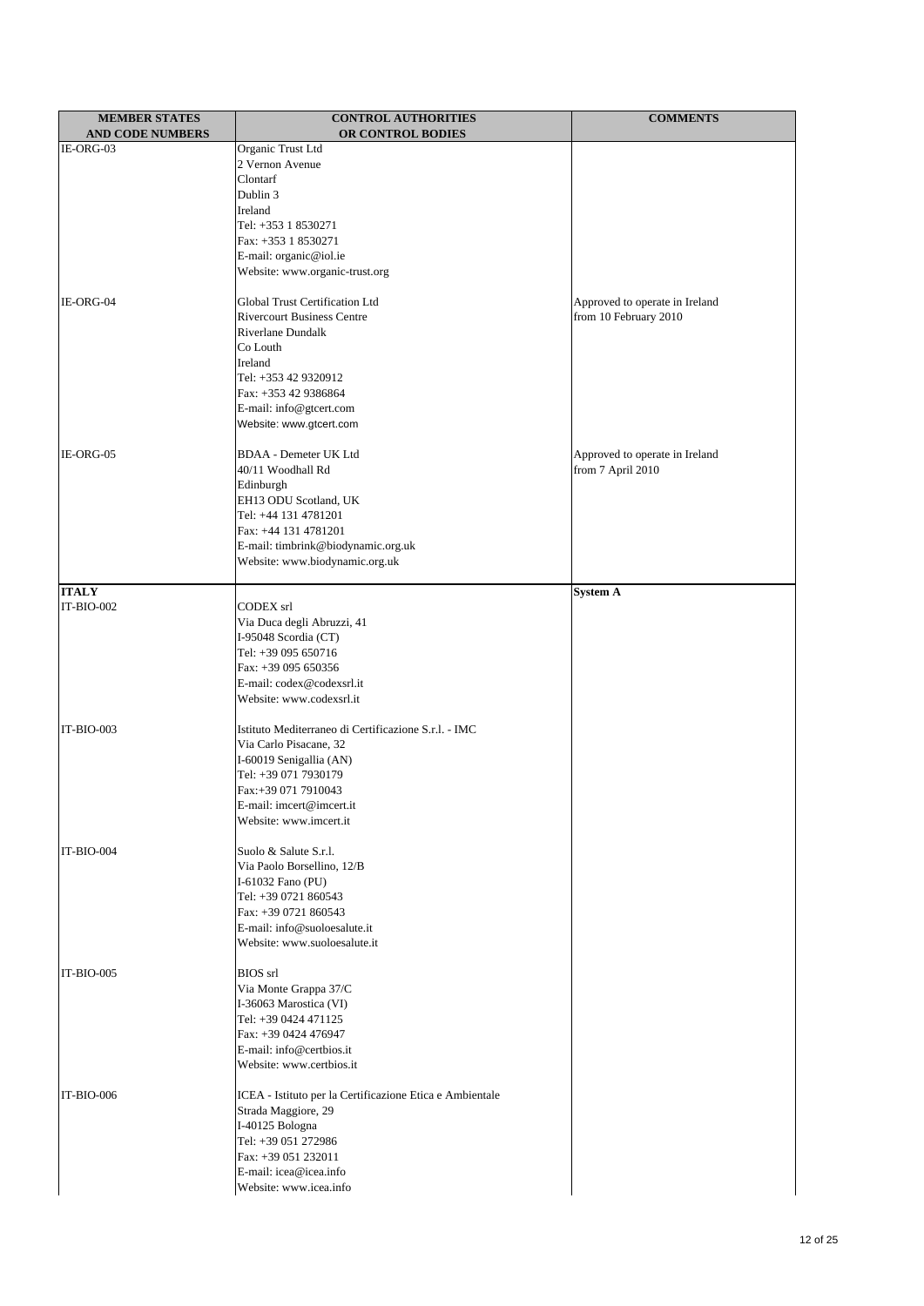| <b>MEMBER STATES</b>    | <b>CONTROL AUTHORITIES</b>                                 | <b>COMMENTS</b>                |
|-------------------------|------------------------------------------------------------|--------------------------------|
| <b>AND CODE NUMBERS</b> | OR CONTROL BODIES                                          |                                |
| IE-ORG-03               | Organic Trust Ltd                                          |                                |
|                         | 2 Vernon Avenue<br>Clontarf                                |                                |
|                         | Dublin 3                                                   |                                |
|                         | Ireland                                                    |                                |
|                         | Tel: +353 1 8530271                                        |                                |
|                         | Fax: +353 1 8530271                                        |                                |
|                         | E-mail: organic@iol.ie                                     |                                |
|                         | Website: www.organic-trust.org                             |                                |
|                         |                                                            |                                |
| IE-ORG-04               | Global Trust Certification Ltd                             | Approved to operate in Ireland |
|                         | <b>Rivercourt Business Centre</b>                          | from 10 February 2010          |
|                         | Riverlane Dundalk<br>Co Louth                              |                                |
|                         | Ireland                                                    |                                |
|                         | Tel: +353 42 9320912                                       |                                |
|                         | Fax: +353 42 9386864                                       |                                |
|                         | E-mail: info@gtcert.com                                    |                                |
|                         | Website: www.gtcert.com                                    |                                |
|                         |                                                            |                                |
| IE-ORG-05               | <b>BDAA</b> - Demeter UK Ltd                               | Approved to operate in Ireland |
|                         | 40/11 Woodhall Rd                                          | from 7 April 2010              |
|                         | Edinburgh                                                  |                                |
|                         | EH13 ODU Scotland, UK                                      |                                |
|                         | Tel: +44 131 4781201                                       |                                |
|                         | Fax: +44 131 4781201<br>E-mail: timbrink@biodynamic.org.uk |                                |
|                         | Website: www.biodynamic.org.uk                             |                                |
|                         |                                                            |                                |
| <b>ITALY</b>            |                                                            | <b>System A</b>                |
| <b>IT-BIO-002</b>       | CODEX srl                                                  |                                |
|                         | Via Duca degli Abruzzi, 41                                 |                                |
|                         | I-95048 Scordia (CT)                                       |                                |
|                         | Tel: +39 095 650716                                        |                                |
|                         | Fax: +39 095 650356                                        |                                |
|                         | E-mail: codex@codexsrl.it                                  |                                |
|                         | Website: www.codexsrl.it                                   |                                |
| <b>IT-BIO-003</b>       | Istituto Mediterraneo di Certificazione S.r.l. - IMC       |                                |
|                         | Via Carlo Pisacane, 32                                     |                                |
|                         | I-60019 Senigallia (AN)                                    |                                |
|                         | Tel: +39 071 7930179                                       |                                |
|                         | Fax:+39 071 7910043                                        |                                |
|                         | E-mail: imcert@imcert.it                                   |                                |
|                         | Website: www.imcert.it                                     |                                |
| IT-BIO-004              | Suolo & Salute S.r.l.                                      |                                |
|                         | Via Paolo Borsellino, 12/B                                 |                                |
|                         | I-61032 Fano (PU)                                          |                                |
|                         | Tel: +39 0721 860543                                       |                                |
|                         | Fax: +39 0721 860543                                       |                                |
|                         | E-mail: info@suoloesalute.it                               |                                |
|                         | Website: www.suoloesalute.it                               |                                |
|                         |                                                            |                                |
| IT-BIO-005              | <b>BIOS</b> srl                                            |                                |
|                         | Via Monte Grappa 37/C                                      |                                |
|                         | I-36063 Marostica (VI)<br>Tel: +39 0424 471125             |                                |
|                         | Fax: +39 0424 476947                                       |                                |
|                         | E-mail: info@certbios.it                                   |                                |
|                         | Website: www.certbios.it                                   |                                |
|                         |                                                            |                                |
| IT-BIO-006              | ICEA - Istituto per la Certificazione Etica e Ambientale   |                                |
|                         | Strada Maggiore, 29                                        |                                |
|                         | I-40125 Bologna                                            |                                |
|                         | Tel: +39 051 272986                                        |                                |
|                         | Fax: +39 051 232011<br>E-mail: icea@icea.info              |                                |
|                         | Website: www.icea.info                                     |                                |
|                         |                                                            |                                |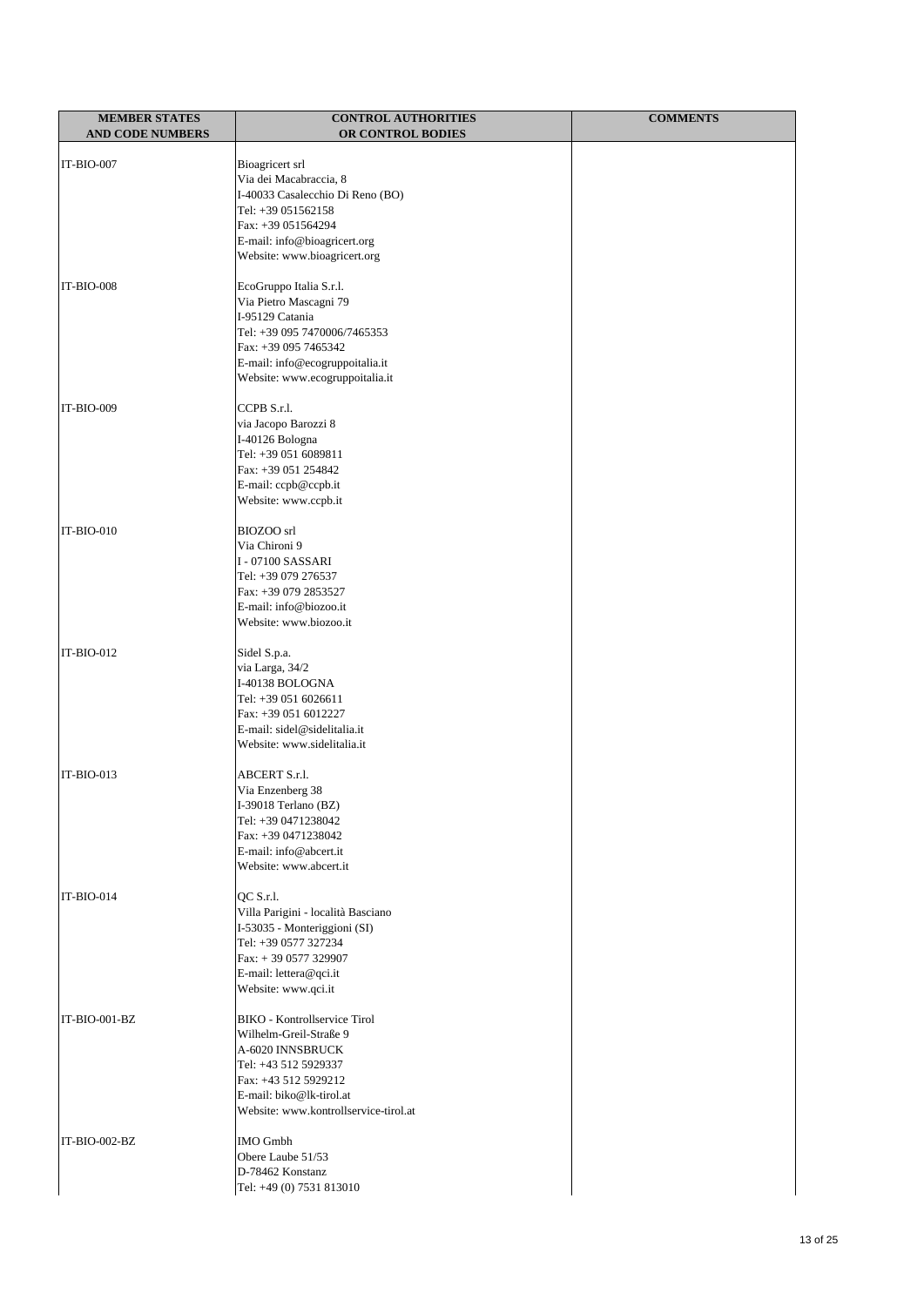| <b>MEMBER STATES</b>    | <b>CONTROL AUTHORITIES</b>                       | <b>COMMENTS</b> |
|-------------------------|--------------------------------------------------|-----------------|
| <b>AND CODE NUMBERS</b> | OR CONTROL BODIES                                |                 |
| IT-BIO-007              | <b>Bioagricert</b> srl                           |                 |
|                         | Via dei Macabraccia, 8                           |                 |
|                         | I-40033 Casalecchio Di Reno (BO)                 |                 |
|                         | Tel: +39 051562158                               |                 |
|                         | Fax: +39 051564294                               |                 |
|                         | E-mail: info@bioagricert.org                     |                 |
|                         | Website: www.bioagricert.org                     |                 |
|                         |                                                  |                 |
| <b>IT-BIO-008</b>       | EcoGruppo Italia S.r.l.                          |                 |
|                         | Via Pietro Mascagni 79<br>I-95129 Catania        |                 |
|                         | Tel: +39 095 7470006/7465353                     |                 |
|                         | Fax: +39 095 7465342                             |                 |
|                         | E-mail: info@ecogruppoitalia.it                  |                 |
|                         | Website: www.ecogruppoitalia.it                  |                 |
|                         |                                                  |                 |
| IT-BIO-009              | CCPB S.r.l.                                      |                 |
|                         | via Jacopo Barozzi 8                             |                 |
|                         | I-40126 Bologna                                  |                 |
|                         | Tel: +39 051 6089811<br>Fax: +39 051 254842      |                 |
|                         | E-mail: ccpb@ccpb.it                             |                 |
|                         | Website: www.ccpb.it                             |                 |
|                         |                                                  |                 |
| <b>IT-BIO-010</b>       | BIOZOO srl                                       |                 |
|                         | Via Chironi 9                                    |                 |
|                         | I-07100 SASSARI                                  |                 |
|                         | Tel: +39 079 276537                              |                 |
|                         | Fax: +39 079 2853527                             |                 |
|                         | E-mail: info@biozoo.it<br>Website: www.biozoo.it |                 |
|                         |                                                  |                 |
| $IT-BIO-012$            | Sidel S.p.a.                                     |                 |
|                         | via Larga, 34/2                                  |                 |
|                         | I-40138 BOLOGNA                                  |                 |
|                         | Tel: +39 051 6026611                             |                 |
|                         | Fax: +39 051 6012227                             |                 |
|                         | E-mail: sidel@sidelitalia.it                     |                 |
|                         | Website: www.sidelitalia.it                      |                 |
| $IT-BIO-013$            | ABCERT S.r.l.                                    |                 |
|                         | Via Enzenberg 38                                 |                 |
|                         | I-39018 Terlano (BZ)                             |                 |
|                         | Tel: +39 0471238042                              |                 |
|                         | Fax: +39 0471238042                              |                 |
|                         | E-mail: info@abcert.it                           |                 |
|                         | Website: www.abcert.it                           |                 |
| $IT-BIO-014$            | QCS.r.1.                                         |                 |
|                         | Villa Parigini - località Basciano               |                 |
|                         | I-53035 - Monteriggioni (SI)                     |                 |
|                         | Tel: +39 0577 327234                             |                 |
|                         | Fax: +39 0577 329907                             |                 |
|                         | E-mail: lettera@qci.it                           |                 |
|                         | Website: www.qci.it                              |                 |
| IT-BIO-001-BZ           | BIKO - Kontrollservice Tirol                     |                 |
|                         | Wilhelm-Greil-Straße 9                           |                 |
|                         | A-6020 INNSBRUCK                                 |                 |
|                         | Tel: +43 512 5929337                             |                 |
|                         | Fax: +43 512 5929212                             |                 |
|                         | E-mail: biko@lk-tirol.at                         |                 |
|                         | Website: www.kontrollservice-tirol.at            |                 |
|                         |                                                  |                 |
| IT-BIO-002-BZ           | <b>IMO</b> Gmbh                                  |                 |
|                         | Obere Laube 51/53<br>D-78462 Konstanz            |                 |
|                         | Tel: +49 (0) 7531 813010                         |                 |
|                         |                                                  |                 |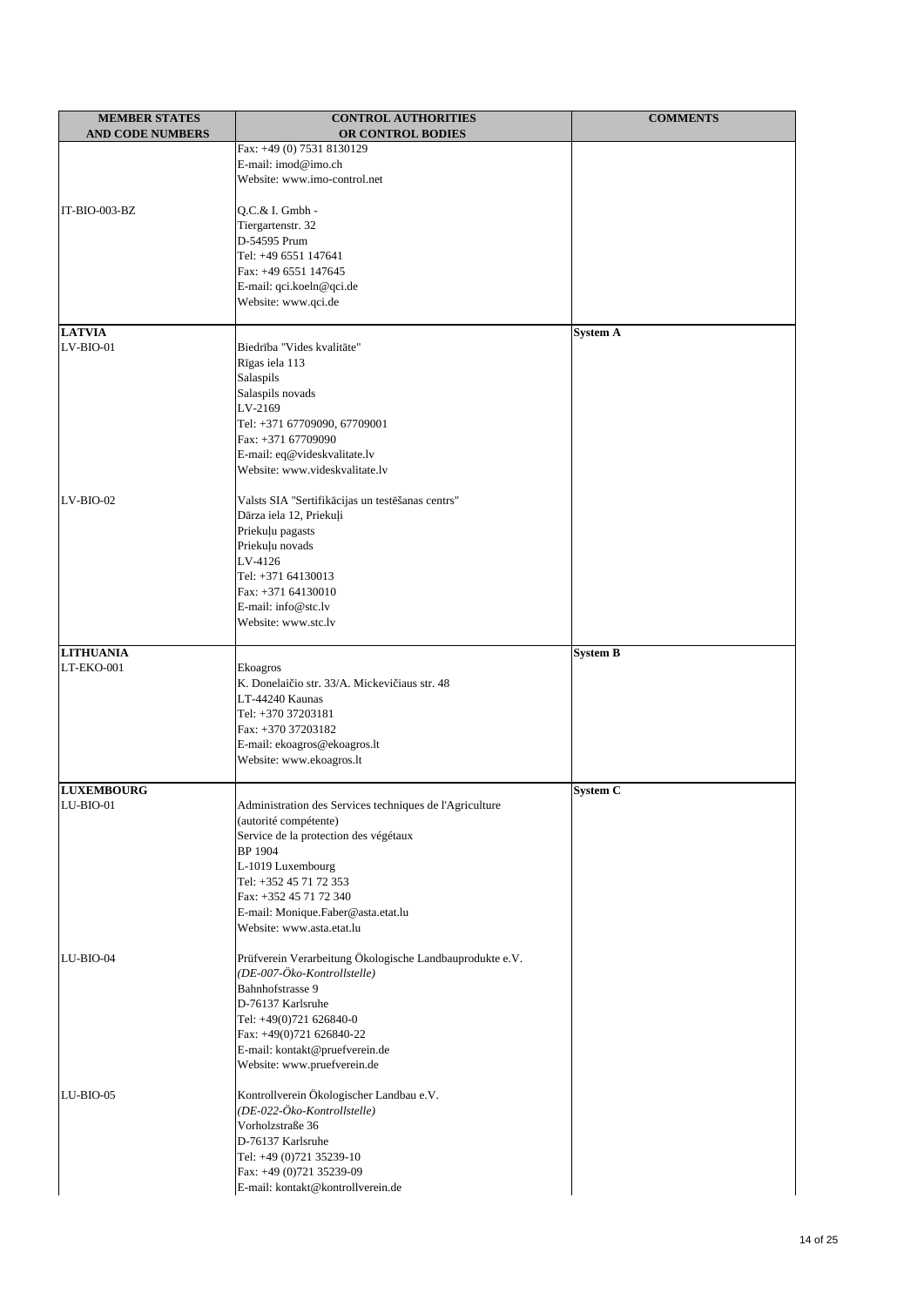| <b>MEMBER STATES</b>    | <b>CONTROL AUTHORITIES</b>                                | <b>COMMENTS</b> |
|-------------------------|-----------------------------------------------------------|-----------------|
| <b>AND CODE NUMBERS</b> | OR CONTROL BODIES                                         |                 |
|                         | Fax: +49 (0) 7531 8130129                                 |                 |
|                         | E-mail: imod@imo.ch                                       |                 |
|                         | Website: www.imo-control.net                              |                 |
|                         |                                                           |                 |
| IT-BIO-003-BZ           | O.C.& I. Gmbh -                                           |                 |
|                         | Tiergartenstr. 32                                         |                 |
|                         | D-54595 Prum                                              |                 |
|                         | Tel: +49 6551 147641                                      |                 |
|                         | Fax: +49 6551 147645                                      |                 |
|                         | E-mail: qci.koeln@qci.de                                  |                 |
|                         | Website: www.qci.de                                       |                 |
|                         |                                                           |                 |
| <b>LATVIA</b>           |                                                           | <b>System A</b> |
| LV-BIO-01               | Biedr ba "Vides kvalit te"                                |                 |
|                         | R gas iela 113                                            |                 |
|                         | Salaspils                                                 |                 |
|                         | Salaspils novads                                          |                 |
|                         | LV-2169                                                   |                 |
|                         | Tel: +371 67709090, 67709001                              |                 |
|                         | Fax: +371 67709090                                        |                 |
|                         | E-mail: eq@videskvalitate.lv                              |                 |
|                         | Website: www.videskvalitate.lv                            |                 |
|                         |                                                           |                 |
| $LV-BIO-02$             | Valsts SIA "Sertifik cijas un test šanas centrs"          |                 |
|                         | D rza iela 12, Prieku i                                   |                 |
|                         | Prieku u pagasts                                          |                 |
|                         | Prieku u novads                                           |                 |
|                         | LV-4126                                                   |                 |
|                         | Tel: +371 64130013                                        |                 |
|                         | Fax: +371 64130010                                        |                 |
|                         | E-mail: info@stc.lv                                       |                 |
|                         | Website: www.stc.lv                                       |                 |
| <b>LITHUANIA</b>        |                                                           |                 |
|                         |                                                           | <b>System B</b> |
| LT-EKO-001              | Ekoagros<br>K. Donelai io str. 33/A. Mickevi iaus str. 48 |                 |
|                         | LT-44240 Kaunas                                           |                 |
|                         | Tel: +370 37203181                                        |                 |
|                         | Fax: +370 37203182                                        |                 |
|                         | E-mail: ekoagros@ekoagros.lt                              |                 |
|                         | Website: www.ekoagros.lt                                  |                 |
|                         |                                                           |                 |
| <b>LUXEMBOURG</b>       |                                                           | <b>System C</b> |
| LU-BIO-01               | Administration des Services techniques de l'Agriculture   |                 |
|                         | (autorité compétente)                                     |                 |
|                         | Service de la protection des végétaux                     |                 |
|                         | <b>BP 1904</b>                                            |                 |
|                         | L-1019 Luxembourg                                         |                 |
|                         | Tel: +352 45 71 72 353                                    |                 |
|                         | Fax: +352 45 71 72 340                                    |                 |
|                         | E-mail: Monique.Faber@asta.etat.lu                        |                 |
|                         | Website: www.asta.etat.lu                                 |                 |
|                         |                                                           |                 |
| LU-BIO-04               | Prüfverein Verarbeitung Ökologische Landbauprodukte e.V.  |                 |
|                         | (DE-007-Öko-Kontrollstelle)                               |                 |
|                         | Bahnhofstrasse 9                                          |                 |
|                         | D-76137 Karlsruhe                                         |                 |
|                         | Tel: +49(0)721 626840-0                                   |                 |
|                         | Fax: +49(0)721 626840-22                                  |                 |
|                         | E-mail: kontakt@pruefverein.de                            |                 |
|                         | Website: www.pruefverein.de                               |                 |
|                         |                                                           |                 |
| LU-BIO-05               | Kontrollverein Ökologischer Landbau e.V.                  |                 |
|                         | (DE-022-Öko-Kontrollstelle)                               |                 |
|                         | Vorholzstraße 36                                          |                 |
|                         | D-76137 Karlsruhe                                         |                 |
|                         | Tel: +49 (0)721 35239-10                                  |                 |
|                         | Fax: +49 (0)721 35239-09                                  |                 |
|                         | E-mail: kontakt@kontrollverein.de                         |                 |
|                         |                                                           |                 |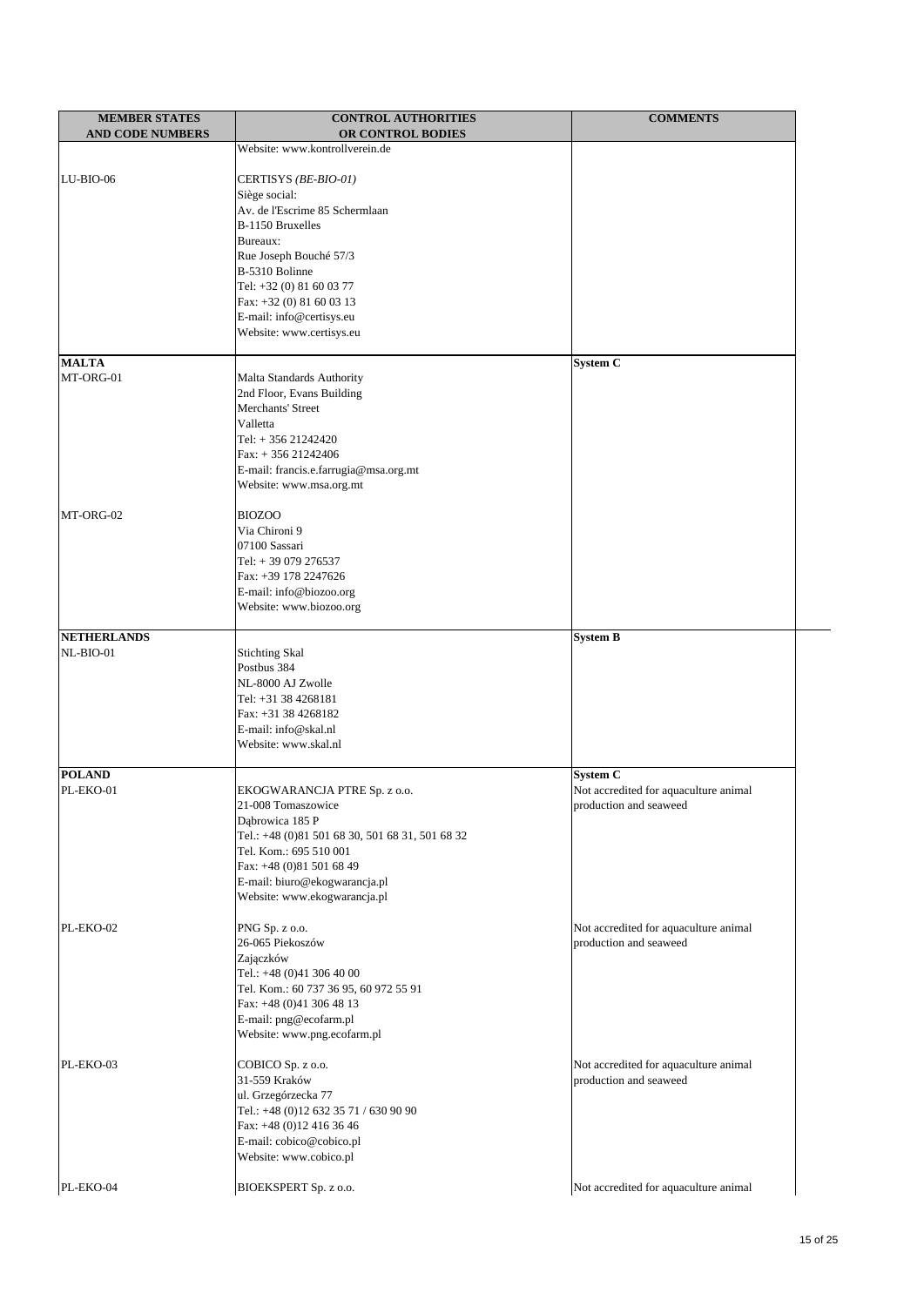| <b>MEMBER STATES</b>    | <b>CONTROL AUTHORITIES</b>                      | <b>COMMENTS</b>                       |
|-------------------------|-------------------------------------------------|---------------------------------------|
| <b>AND CODE NUMBERS</b> | OR CONTROL BODIES                               |                                       |
|                         | Website: www.kontrollverein.de                  |                                       |
|                         |                                                 |                                       |
| $LU-BIO-06$             | CERTISYS (BE-BIO-01)                            |                                       |
|                         | Siège social:                                   |                                       |
|                         | Av. de l'Escrime 85 Schermlaan                  |                                       |
|                         | B-1150 Bruxelles                                |                                       |
|                         | Bureaux:                                        |                                       |
|                         | Rue Joseph Bouché 57/3                          |                                       |
|                         | B-5310 Bolinne                                  |                                       |
|                         | Tel: +32 (0) 81 60 03 77                        |                                       |
|                         | Fax: +32 (0) 81 60 03 13                        |                                       |
|                         | E-mail: info@certisys.eu                        |                                       |
|                         | Website: www.certisys.eu                        |                                       |
|                         |                                                 |                                       |
| <b>MALTA</b>            |                                                 | <b>System C</b>                       |
| MT-ORG-01               | Malta Standards Authority                       |                                       |
|                         | 2nd Floor, Evans Building                       |                                       |
|                         | Merchants' Street                               |                                       |
|                         | Valletta                                        |                                       |
|                         | Tel: +356 21242420                              |                                       |
|                         | $Fax: + 35621242406$                            |                                       |
|                         | E-mail: francis.e.farrugia@msa.org.mt           |                                       |
|                         | Website: www.msa.org.mt                         |                                       |
|                         |                                                 |                                       |
| MT-ORG-02               | <b>BIOZOO</b>                                   |                                       |
|                         | Via Chironi 9                                   |                                       |
|                         | 07100 Sassari                                   |                                       |
|                         | Tel: +39 079 276537                             |                                       |
|                         | Fax: +39 178 2247626                            |                                       |
|                         | E-mail: info@biozoo.org                         |                                       |
|                         | Website: www.biozoo.org                         |                                       |
|                         |                                                 |                                       |
| <b>NETHERLANDS</b>      |                                                 | <b>System B</b>                       |
| NL-BIO-01               | <b>Stichting Skal</b>                           |                                       |
|                         | Postbus 384                                     |                                       |
|                         | NL-8000 AJ Zwolle                               |                                       |
|                         | Tel: +31 38 4268181                             |                                       |
|                         | Fax: +31 38 4268182                             |                                       |
|                         | E-mail: info@skal.nl                            |                                       |
|                         | Website: www.skal.nl                            |                                       |
|                         |                                                 |                                       |
| <b>POLAND</b>           |                                                 | <b>System C</b>                       |
| PL-EKO-01               | EKOGWARANCJA PTRE Sp. z o.o.                    | Not accredited for aquaculture animal |
|                         | 21-008 Tomaszowice                              | production and seaweed                |
|                         | D browica 185 P                                 |                                       |
|                         | Tel.: +48 (0)81 501 68 30, 501 68 31, 501 68 32 |                                       |
|                         | Tel. Kom.: 695 510 001                          |                                       |
|                         | Fax: +48 (0)81 501 68 49                        |                                       |
|                         |                                                 |                                       |
|                         | E-mail: biuro@ekogwarancja.pl                   |                                       |
|                         | Website: www.ekogwarancja.pl                    |                                       |
|                         |                                                 |                                       |
| PL-EKO-02               | PNG Sp. z o.o.                                  | Not accredited for aquaculture animal |
|                         | 26-065 Piekoszów                                | production and seaweed                |
|                         | Zaj czków                                       |                                       |
|                         | Tel.: +48 (0)41 306 40 00                       |                                       |
|                         | Tel. Kom.: 60 737 36 95, 60 972 55 91           |                                       |
|                         | Fax: +48 (0)41 306 48 13                        |                                       |
|                         | E-mail: png@ecofarm.pl                          |                                       |
|                         | Website: www.png.ecofarm.pl                     |                                       |
|                         |                                                 |                                       |
| PL-EKO-03               | COBICO Sp. z o.o.                               | Not accredited for aquaculture animal |
|                         | 31-559 Kraków                                   | production and seaweed                |
|                         | ul. Grzegórzecka 77                             |                                       |
|                         | Tel.: +48 (0)12 632 35 71 / 630 90 90           |                                       |
|                         | Fax: +48 (0)12 416 36 46                        |                                       |
|                         | E-mail: cobico@cobico.pl                        |                                       |
|                         | Website: www.cobico.pl                          |                                       |
|                         |                                                 |                                       |
| PL-EKO-04               | BIOEKSPERT Sp. z o.o.                           | Not accredited for aquaculture animal |
|                         |                                                 |                                       |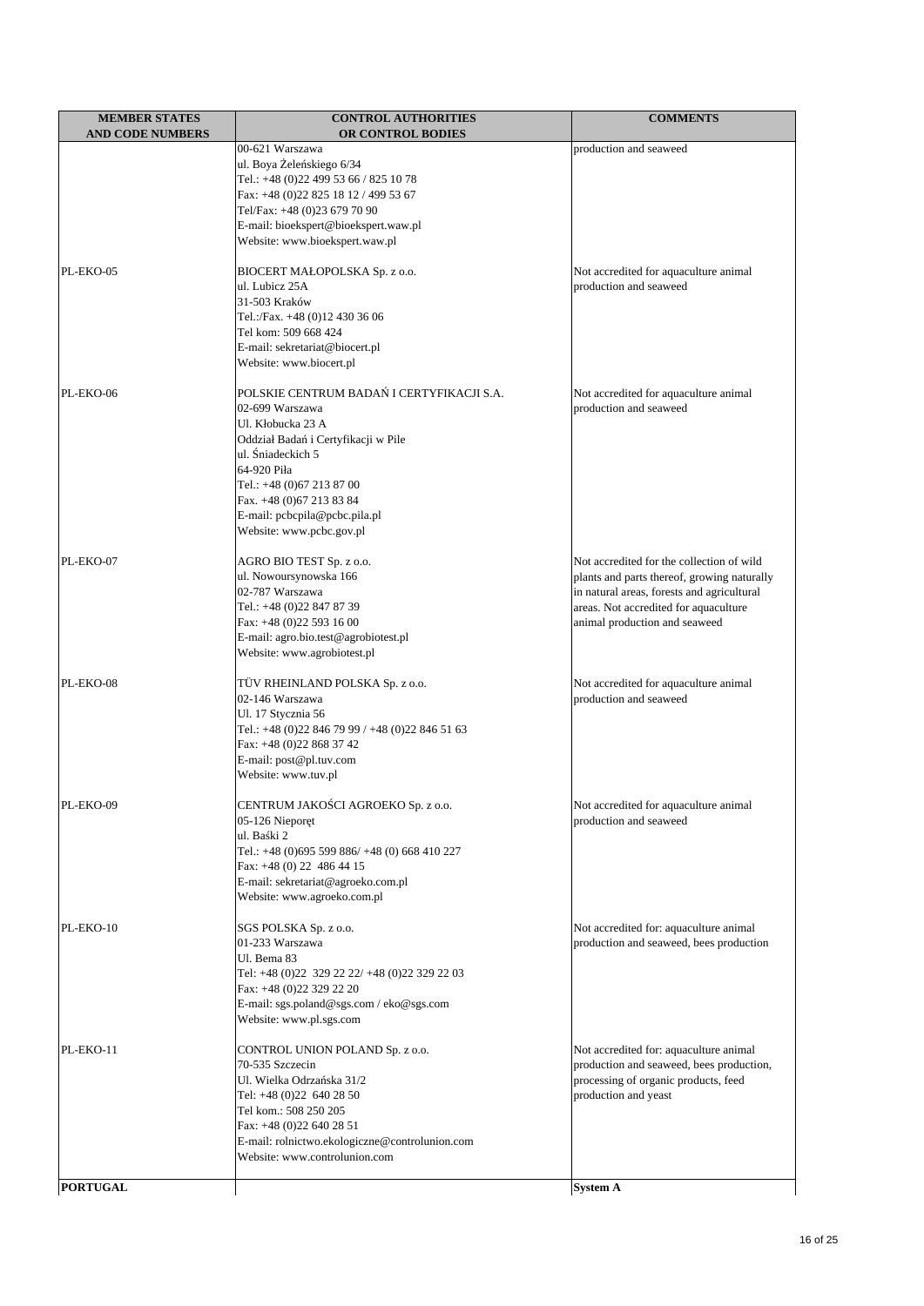| <b>MEMBER STATES</b>    | <b>CONTROL AUTHORITIES</b>                                        | <b>COMMENTS</b>                                                                   |
|-------------------------|-------------------------------------------------------------------|-----------------------------------------------------------------------------------|
| <b>AND CODE NUMBERS</b> | <b>OR CONTROL BODIES</b>                                          |                                                                                   |
|                         | 00-621 Warszawa                                                   | production and seaweed                                                            |
|                         | ul. Boya ele skiego 6/34<br>Tel.: +48 (0)22 499 53 66 / 825 10 78 |                                                                                   |
|                         | Fax: +48 (0)22 825 18 12 / 499 53 67                              |                                                                                   |
|                         | Tel/Fax: +48 (0)23 679 70 90                                      |                                                                                   |
|                         | E-mail: bioekspert@bioekspert.waw.pl                              |                                                                                   |
|                         | Website: www.bioekspert.waw.pl                                    |                                                                                   |
| PL-EKO-05               | BIOCERT MAŁOPOLSKA Sp. z o.o.                                     | Not accredited for aquaculture animal                                             |
|                         | ul. Lubicz 25A                                                    | production and seaweed                                                            |
|                         | 31-503 Kraków                                                     |                                                                                   |
|                         | Tel.:/Fax. +48 (0)12 430 36 06                                    |                                                                                   |
|                         | Tel kom: 509 668 424                                              |                                                                                   |
|                         | E-mail: sekretariat@biocert.pl                                    |                                                                                   |
|                         | Website: www.biocert.pl                                           |                                                                                   |
| PL-EKO-06               | POLSKIE CENTRUM BADA I CERTYFIKACJI S.A.                          | Not accredited for aquaculture animal                                             |
|                         | 02-699 Warszawa                                                   | production and seaweed                                                            |
|                         | Ul. Kłobucka 23 A                                                 |                                                                                   |
|                         | Oddział Bada i Certyfikacji w Pile                                |                                                                                   |
|                         | ul. niadeckich 5<br>64-920 Piła                                   |                                                                                   |
|                         | Tel.: +48 (0)67 213 87 00                                         |                                                                                   |
|                         | Fax. +48 (0)67 213 83 84                                          |                                                                                   |
|                         | E-mail: pcbcpila@pcbc.pila.pl                                     |                                                                                   |
|                         | Website: www.pcbc.gov.pl                                          |                                                                                   |
| PL-EKO-07               |                                                                   | Not accredited for the collection of wild                                         |
|                         | AGRO BIO TEST Sp. z o.o.<br>ul. Nowoursynowska 166                | plants and parts thereof, growing naturally                                       |
|                         | 02-787 Warszawa                                                   | in natural areas, forests and agricultural                                        |
|                         | Tel.: +48 (0)22 847 87 39                                         | areas. Not accredited for aquaculture                                             |
|                         | Fax: +48 (0)22 593 16 00                                          | animal production and seaweed                                                     |
|                         | E-mail: agro.bio.test@agrobiotest.pl                              |                                                                                   |
|                         | Website: www.agrobiotest.pl                                       |                                                                                   |
| PL-EKO-08               | TÜV RHEINLAND POLSKA Sp. z o.o.                                   | Not accredited for aquaculture animal                                             |
|                         | 02-146 Warszawa                                                   | production and seaweed                                                            |
|                         | Ul. 17 Stycznia 56                                                |                                                                                   |
|                         | Tel.: +48 (0)22 846 79 99 / +48 (0)22 846 51 63                   |                                                                                   |
|                         | Fax: +48 (0)22 868 37 42                                          |                                                                                   |
|                         | E-mail: post@pl.tuv.com<br>Website: www.tuv.pl                    |                                                                                   |
|                         |                                                                   |                                                                                   |
| PL-EKO-09               | CENTRUM JAKO CI AGROEKO Sp. z o.o.                                | Not accredited for aquaculture animal                                             |
|                         | $05-126$ Niepor t                                                 | production and seaweed                                                            |
|                         | ul. Ba ki 2<br>Tel.: +48 (0)695 599 886/ +48 (0) 668 410 227      |                                                                                   |
|                         | Fax: +48 (0) 22 486 44 15                                         |                                                                                   |
|                         | E-mail: sekretariat@agroeko.com.pl                                |                                                                                   |
|                         | Website: www.agroeko.com.pl                                       |                                                                                   |
|                         |                                                                   |                                                                                   |
| PL-EKO-10               | SGS POLSKA Sp. z o.o.<br>01-233 Warszawa                          | Not accredited for: aquaculture animal<br>production and seaweed, bees production |
|                         | Ul. Bema 83                                                       |                                                                                   |
|                         | Tel: +48 (0)22 329 22 22/ +48 (0)22 329 22 03                     |                                                                                   |
|                         | Fax: +48 (0)22 329 22 20                                          |                                                                                   |
|                         | E-mail: sgs.poland@sgs.com / eko@sgs.com                          |                                                                                   |
|                         | Website: www.pl.sgs.com                                           |                                                                                   |
| PL-EKO-11               | CONTROL UNION POLAND Sp. z o.o.                                   | Not accredited for: aquaculture animal                                            |
|                         | 70-535 Szczecin                                                   | production and seaweed, bees production,                                          |
|                         | Ul. Wielka Odrza ska 31/2                                         | processing of organic products, feed                                              |
|                         | Tel: $+48(0)226402850$                                            | production and yeast                                                              |
|                         | Tel kom.: 508 250 205<br>Fax: $+48$ (0)22 640 28 51               |                                                                                   |
|                         | E-mail: rolnictwo.ekologiczne@controlunion.com                    |                                                                                   |
|                         | Website: www.controlunion.com                                     |                                                                                   |
|                         |                                                                   |                                                                                   |
| <b>PORTUGAL</b>         |                                                                   | System A                                                                          |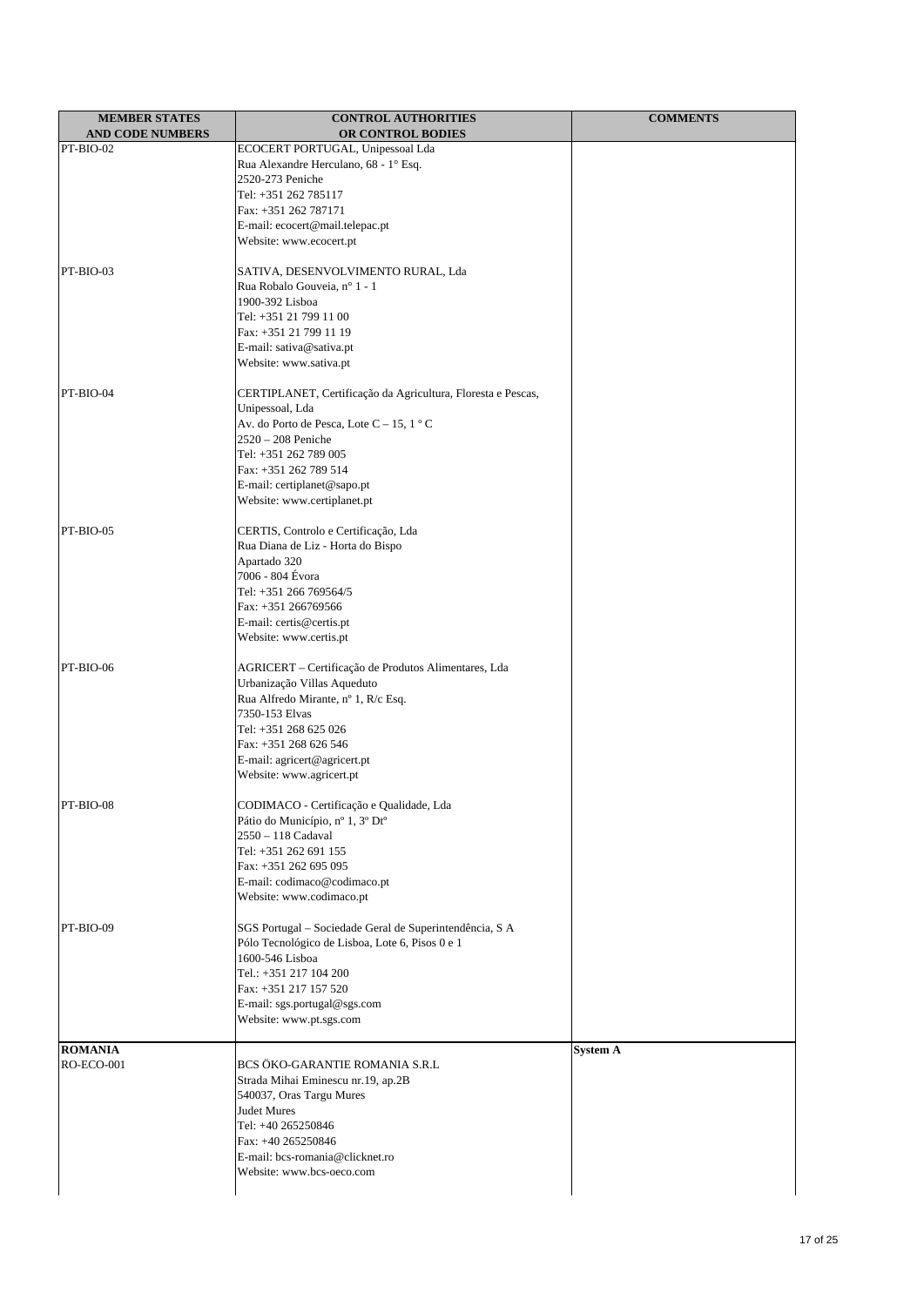| <b>MEMBER STATES</b>                | <b>CONTROL AUTHORITIES</b>                                        | <b>COMMENTS</b> |
|-------------------------------------|-------------------------------------------------------------------|-----------------|
| <b>AND CODE NUMBERS</b>             | OR CONTROL BODIES                                                 |                 |
| PT-BIO-02                           | ECOCERT PORTUGAL, Unipessoal Lda                                  |                 |
|                                     | Rua Alexandre Herculano, 68 - 1° Esq.                             |                 |
|                                     | 2520-273 Peniche                                                  |                 |
|                                     | Tel: +351 262 785117<br>Fax: +351 262 787171                      |                 |
|                                     | E-mail: ecocert@mail.telepac.pt                                   |                 |
|                                     | Website: www.ecocert.pt                                           |                 |
| PT-BIO-03                           | SATIVA, DESENVOLVIMENTO RURAL, Lda                                |                 |
|                                     | Rua Robalo Gouveia, nº 1 - 1                                      |                 |
|                                     | 1900-392 Lisboa                                                   |                 |
|                                     | Tel: +351 21 799 11 00                                            |                 |
|                                     | Fax: +351 21 799 11 19                                            |                 |
|                                     | E-mail: sativa@sativa.pt                                          |                 |
|                                     | Website: www.sativa.pt                                            |                 |
| PT-BIO-04                           | CERTIPLANET, Certificação da Agricultura, Floresta e Pescas,      |                 |
|                                     | Unipessoal, Lda                                                   |                 |
|                                     | Av. do Porto de Pesca, Lote C - 15, 1 ° C<br>$2520 - 208$ Peniche |                 |
|                                     | Tel: +351 262 789 005                                             |                 |
|                                     | Fax: +351 262 789 514                                             |                 |
|                                     | E-mail: certiplanet@sapo.pt                                       |                 |
|                                     | Website: www.certiplanet.pt                                       |                 |
| PT-BIO-05                           | CERTIS, Controlo e Certificação, Lda                              |                 |
|                                     | Rua Diana de Liz - Horta do Bispo                                 |                 |
|                                     | Apartado 320                                                      |                 |
|                                     | 7006 - 804 Évora                                                  |                 |
|                                     | Tel: +351 266 769564/5                                            |                 |
|                                     | Fax: +351 266769566                                               |                 |
|                                     | E-mail: certis@certis.pt<br>Website: www.certis.pt                |                 |
| PT-BIO-06                           | AGRICERT - Certificação de Produtos Alimentares, Lda              |                 |
|                                     | Urbanização Villas Aqueduto                                       |                 |
|                                     | Rua Alfredo Mirante, nº 1, R/c Esq.                               |                 |
|                                     | 7350-153 Elvas                                                    |                 |
|                                     | Tel: +351 268 625 026                                             |                 |
|                                     | Fax: +351 268 626 546                                             |                 |
|                                     | E-mail: agricert@agricert.pt<br>Website: www.agricert.pt          |                 |
|                                     |                                                                   |                 |
| PT-BIO-08                           | CODIMACO - Certificação e Qualidade, Lda                          |                 |
|                                     | Pátio do Município, nº 1, 3º Dtº<br>2550 - 118 Cadaval            |                 |
|                                     | Tel: +351 262 691 155                                             |                 |
|                                     | Fax: +351 262 695 095                                             |                 |
|                                     | E-mail: codimaco@codimaco.pt                                      |                 |
|                                     | Website: www.codimaco.pt                                          |                 |
| PT-BIO-09                           | SGS Portugal - Sociedade Geral de Superintendência, S A           |                 |
|                                     | Pólo Tecnológico de Lisboa, Lote 6, Pisos 0 e 1                   |                 |
|                                     | 1600-546 Lisboa                                                   |                 |
|                                     | Tel.: +351 217 104 200                                            |                 |
|                                     | Fax: +351 217 157 520                                             |                 |
|                                     | E-mail: sgs.portugal@sgs.com<br>Website: www.pt.sgs.com           |                 |
|                                     |                                                                   |                 |
| <b>ROMANIA</b><br><b>RO-ECO-001</b> | BCS ÖKO-GARANTIE ROMANIA S.R.L                                    | <b>System A</b> |
|                                     | Strada Mihai Eminescu nr.19, ap.2B                                |                 |
|                                     | 540037, Oras Targu Mures                                          |                 |
|                                     | Judet Mures                                                       |                 |
|                                     | Tel: +40 265250846                                                |                 |
|                                     | Fax: +40 265250846                                                |                 |
|                                     | E-mail: bcs-romania@clicknet.ro                                   |                 |
|                                     | Website: www.bcs-oeco.com                                         |                 |
|                                     |                                                                   |                 |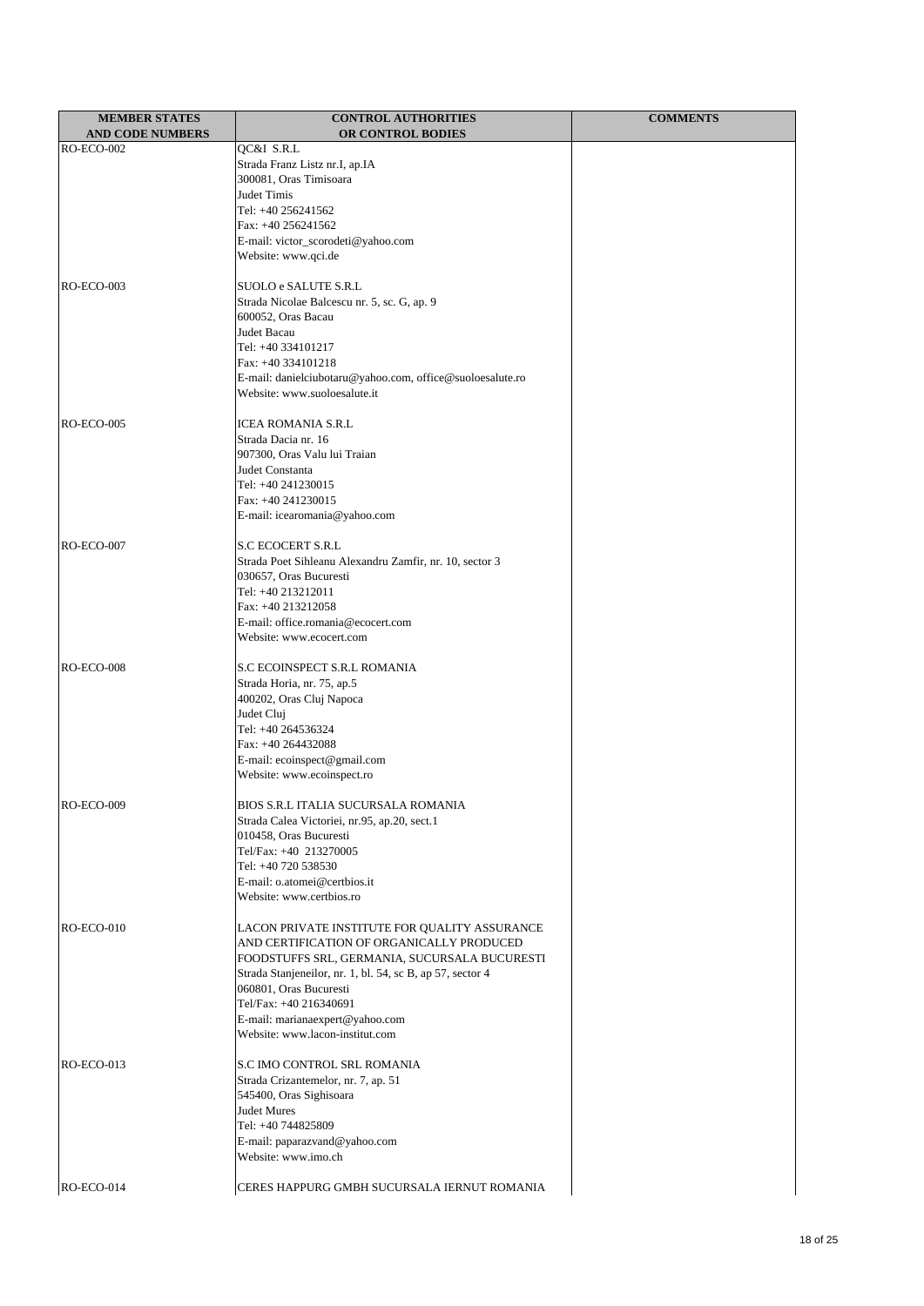| <b>OR CONTROL BODIES</b><br><b>AND CODE NUMBERS</b><br>QC&I S.R.L<br><b>RO-ECO-002</b><br>Strada Franz Listz nr.I, ap.IA<br>300081, Oras Timisoara<br>Judet Timis<br>Tel: +40 256241562<br>Fax: +40 256241562<br>E-mail: victor_scorodeti@yahoo.com<br>Website: www.qci.de<br><b>RO-ECO-003</b><br>SUOLO e SALUTE S.R.L<br>Strada Nicolae Balcescu nr. 5, sc. G, ap. 9<br>600052, Oras Bacau<br>Judet Bacau<br>Tel: +40 334101217<br>Fax: +40 334101218<br>E-mail: danielciubotaru@yahoo.com, office@suoloesalute.ro<br>Website: www.suoloesalute.it<br><b>RO-ECO-005</b><br>ICEA ROMANIA S.R.L<br>Strada Dacia nr. 16<br>907300, Oras Valu lui Traian<br>Judet Constanta<br>Tel: +40 241230015<br>Fax: +40 241230015<br>E-mail: icearomania@yahoo.com<br><b>RO-ECO-007</b><br><b>S.C ECOCERT S.R.L</b><br>Strada Poet Sihleanu Alexandru Zamfir, nr. 10, sector 3<br>030657, Oras Bucuresti<br>Tel: +40 213212011 |
|--------------------------------------------------------------------------------------------------------------------------------------------------------------------------------------------------------------------------------------------------------------------------------------------------------------------------------------------------------------------------------------------------------------------------------------------------------------------------------------------------------------------------------------------------------------------------------------------------------------------------------------------------------------------------------------------------------------------------------------------------------------------------------------------------------------------------------------------------------------------------------------------------------------------|
|                                                                                                                                                                                                                                                                                                                                                                                                                                                                                                                                                                                                                                                                                                                                                                                                                                                                                                                    |
|                                                                                                                                                                                                                                                                                                                                                                                                                                                                                                                                                                                                                                                                                                                                                                                                                                                                                                                    |
|                                                                                                                                                                                                                                                                                                                                                                                                                                                                                                                                                                                                                                                                                                                                                                                                                                                                                                                    |
|                                                                                                                                                                                                                                                                                                                                                                                                                                                                                                                                                                                                                                                                                                                                                                                                                                                                                                                    |
|                                                                                                                                                                                                                                                                                                                                                                                                                                                                                                                                                                                                                                                                                                                                                                                                                                                                                                                    |
|                                                                                                                                                                                                                                                                                                                                                                                                                                                                                                                                                                                                                                                                                                                                                                                                                                                                                                                    |
|                                                                                                                                                                                                                                                                                                                                                                                                                                                                                                                                                                                                                                                                                                                                                                                                                                                                                                                    |
|                                                                                                                                                                                                                                                                                                                                                                                                                                                                                                                                                                                                                                                                                                                                                                                                                                                                                                                    |
|                                                                                                                                                                                                                                                                                                                                                                                                                                                                                                                                                                                                                                                                                                                                                                                                                                                                                                                    |
|                                                                                                                                                                                                                                                                                                                                                                                                                                                                                                                                                                                                                                                                                                                                                                                                                                                                                                                    |
|                                                                                                                                                                                                                                                                                                                                                                                                                                                                                                                                                                                                                                                                                                                                                                                                                                                                                                                    |
|                                                                                                                                                                                                                                                                                                                                                                                                                                                                                                                                                                                                                                                                                                                                                                                                                                                                                                                    |
|                                                                                                                                                                                                                                                                                                                                                                                                                                                                                                                                                                                                                                                                                                                                                                                                                                                                                                                    |
|                                                                                                                                                                                                                                                                                                                                                                                                                                                                                                                                                                                                                                                                                                                                                                                                                                                                                                                    |
|                                                                                                                                                                                                                                                                                                                                                                                                                                                                                                                                                                                                                                                                                                                                                                                                                                                                                                                    |
|                                                                                                                                                                                                                                                                                                                                                                                                                                                                                                                                                                                                                                                                                                                                                                                                                                                                                                                    |
|                                                                                                                                                                                                                                                                                                                                                                                                                                                                                                                                                                                                                                                                                                                                                                                                                                                                                                                    |
|                                                                                                                                                                                                                                                                                                                                                                                                                                                                                                                                                                                                                                                                                                                                                                                                                                                                                                                    |
|                                                                                                                                                                                                                                                                                                                                                                                                                                                                                                                                                                                                                                                                                                                                                                                                                                                                                                                    |
|                                                                                                                                                                                                                                                                                                                                                                                                                                                                                                                                                                                                                                                                                                                                                                                                                                                                                                                    |
|                                                                                                                                                                                                                                                                                                                                                                                                                                                                                                                                                                                                                                                                                                                                                                                                                                                                                                                    |
|                                                                                                                                                                                                                                                                                                                                                                                                                                                                                                                                                                                                                                                                                                                                                                                                                                                                                                                    |
|                                                                                                                                                                                                                                                                                                                                                                                                                                                                                                                                                                                                                                                                                                                                                                                                                                                                                                                    |
|                                                                                                                                                                                                                                                                                                                                                                                                                                                                                                                                                                                                                                                                                                                                                                                                                                                                                                                    |
|                                                                                                                                                                                                                                                                                                                                                                                                                                                                                                                                                                                                                                                                                                                                                                                                                                                                                                                    |
|                                                                                                                                                                                                                                                                                                                                                                                                                                                                                                                                                                                                                                                                                                                                                                                                                                                                                                                    |
|                                                                                                                                                                                                                                                                                                                                                                                                                                                                                                                                                                                                                                                                                                                                                                                                                                                                                                                    |
|                                                                                                                                                                                                                                                                                                                                                                                                                                                                                                                                                                                                                                                                                                                                                                                                                                                                                                                    |
| Fax: +40 213212058                                                                                                                                                                                                                                                                                                                                                                                                                                                                                                                                                                                                                                                                                                                                                                                                                                                                                                 |
| E-mail: office.romania@ecocert.com                                                                                                                                                                                                                                                                                                                                                                                                                                                                                                                                                                                                                                                                                                                                                                                                                                                                                 |
| Website: www.ecocert.com                                                                                                                                                                                                                                                                                                                                                                                                                                                                                                                                                                                                                                                                                                                                                                                                                                                                                           |
|                                                                                                                                                                                                                                                                                                                                                                                                                                                                                                                                                                                                                                                                                                                                                                                                                                                                                                                    |
| <b>RO-ECO-008</b><br>S.C ECOINSPECT S.R.L ROMANIA                                                                                                                                                                                                                                                                                                                                                                                                                                                                                                                                                                                                                                                                                                                                                                                                                                                                  |
| Strada Horia, nr. 75, ap.5                                                                                                                                                                                                                                                                                                                                                                                                                                                                                                                                                                                                                                                                                                                                                                                                                                                                                         |
| 400202, Oras Cluj Napoca<br>Judet Cluj                                                                                                                                                                                                                                                                                                                                                                                                                                                                                                                                                                                                                                                                                                                                                                                                                                                                             |
| Tel: +40 264536324                                                                                                                                                                                                                                                                                                                                                                                                                                                                                                                                                                                                                                                                                                                                                                                                                                                                                                 |
| Fax: +40 264432088                                                                                                                                                                                                                                                                                                                                                                                                                                                                                                                                                                                                                                                                                                                                                                                                                                                                                                 |
| E-mail: ecoinspect@gmail.com                                                                                                                                                                                                                                                                                                                                                                                                                                                                                                                                                                                                                                                                                                                                                                                                                                                                                       |
| Website: www.ecoinspect.ro                                                                                                                                                                                                                                                                                                                                                                                                                                                                                                                                                                                                                                                                                                                                                                                                                                                                                         |
|                                                                                                                                                                                                                                                                                                                                                                                                                                                                                                                                                                                                                                                                                                                                                                                                                                                                                                                    |
| <b>RO-ECO-009</b><br>BIOS S.R.L ITALIA SUCURSALA ROMANIA                                                                                                                                                                                                                                                                                                                                                                                                                                                                                                                                                                                                                                                                                                                                                                                                                                                           |
| Strada Calea Victoriei, nr.95, ap.20, sect.1                                                                                                                                                                                                                                                                                                                                                                                                                                                                                                                                                                                                                                                                                                                                                                                                                                                                       |
| 010458, Oras Bucuresti<br>Tel/Fax: +40 213270005                                                                                                                                                                                                                                                                                                                                                                                                                                                                                                                                                                                                                                                                                                                                                                                                                                                                   |
| Tel: +40 720 538530                                                                                                                                                                                                                                                                                                                                                                                                                                                                                                                                                                                                                                                                                                                                                                                                                                                                                                |
| E-mail: o.atomei@certbios.it                                                                                                                                                                                                                                                                                                                                                                                                                                                                                                                                                                                                                                                                                                                                                                                                                                                                                       |
| Website: www.certbios.ro                                                                                                                                                                                                                                                                                                                                                                                                                                                                                                                                                                                                                                                                                                                                                                                                                                                                                           |
|                                                                                                                                                                                                                                                                                                                                                                                                                                                                                                                                                                                                                                                                                                                                                                                                                                                                                                                    |
| <b>RO-ECO-010</b><br>LACON PRIVATE INSTITUTE FOR QUALITY ASSURANCE                                                                                                                                                                                                                                                                                                                                                                                                                                                                                                                                                                                                                                                                                                                                                                                                                                                 |
| AND CERTIFICATION OF ORGANICALLY PRODUCED                                                                                                                                                                                                                                                                                                                                                                                                                                                                                                                                                                                                                                                                                                                                                                                                                                                                          |
| FOODSTUFFS SRL, GERMANIA, SUCURSALA BUCURESTI                                                                                                                                                                                                                                                                                                                                                                                                                                                                                                                                                                                                                                                                                                                                                                                                                                                                      |
| Strada Stanjeneilor, nr. 1, bl. 54, sc B, ap 57, sector 4                                                                                                                                                                                                                                                                                                                                                                                                                                                                                                                                                                                                                                                                                                                                                                                                                                                          |
| 060801, Oras Bucuresti<br>Tel/Fax: +40 216340691                                                                                                                                                                                                                                                                                                                                                                                                                                                                                                                                                                                                                                                                                                                                                                                                                                                                   |
| E-mail: marianaexpert@yahoo.com                                                                                                                                                                                                                                                                                                                                                                                                                                                                                                                                                                                                                                                                                                                                                                                                                                                                                    |
| Website: www.lacon-institut.com                                                                                                                                                                                                                                                                                                                                                                                                                                                                                                                                                                                                                                                                                                                                                                                                                                                                                    |
|                                                                                                                                                                                                                                                                                                                                                                                                                                                                                                                                                                                                                                                                                                                                                                                                                                                                                                                    |
| RO-ECO-013<br>S.C IMO CONTROL SRL ROMANIA                                                                                                                                                                                                                                                                                                                                                                                                                                                                                                                                                                                                                                                                                                                                                                                                                                                                          |
| Strada Crizantemelor, nr. 7, ap. 51                                                                                                                                                                                                                                                                                                                                                                                                                                                                                                                                                                                                                                                                                                                                                                                                                                                                                |
| 545400, Oras Sighisoara                                                                                                                                                                                                                                                                                                                                                                                                                                                                                                                                                                                                                                                                                                                                                                                                                                                                                            |
| Judet Mures                                                                                                                                                                                                                                                                                                                                                                                                                                                                                                                                                                                                                                                                                                                                                                                                                                                                                                        |
| Tel: +40 744825809                                                                                                                                                                                                                                                                                                                                                                                                                                                                                                                                                                                                                                                                                                                                                                                                                                                                                                 |
| E-mail: paparazvand@yahoo.com<br>Website: www.imo.ch                                                                                                                                                                                                                                                                                                                                                                                                                                                                                                                                                                                                                                                                                                                                                                                                                                                               |
|                                                                                                                                                                                                                                                                                                                                                                                                                                                                                                                                                                                                                                                                                                                                                                                                                                                                                                                    |
| RO-ECO-014<br>CERES HAPPURG GMBH SUCURSALA IERNUT ROMANIA                                                                                                                                                                                                                                                                                                                                                                                                                                                                                                                                                                                                                                                                                                                                                                                                                                                          |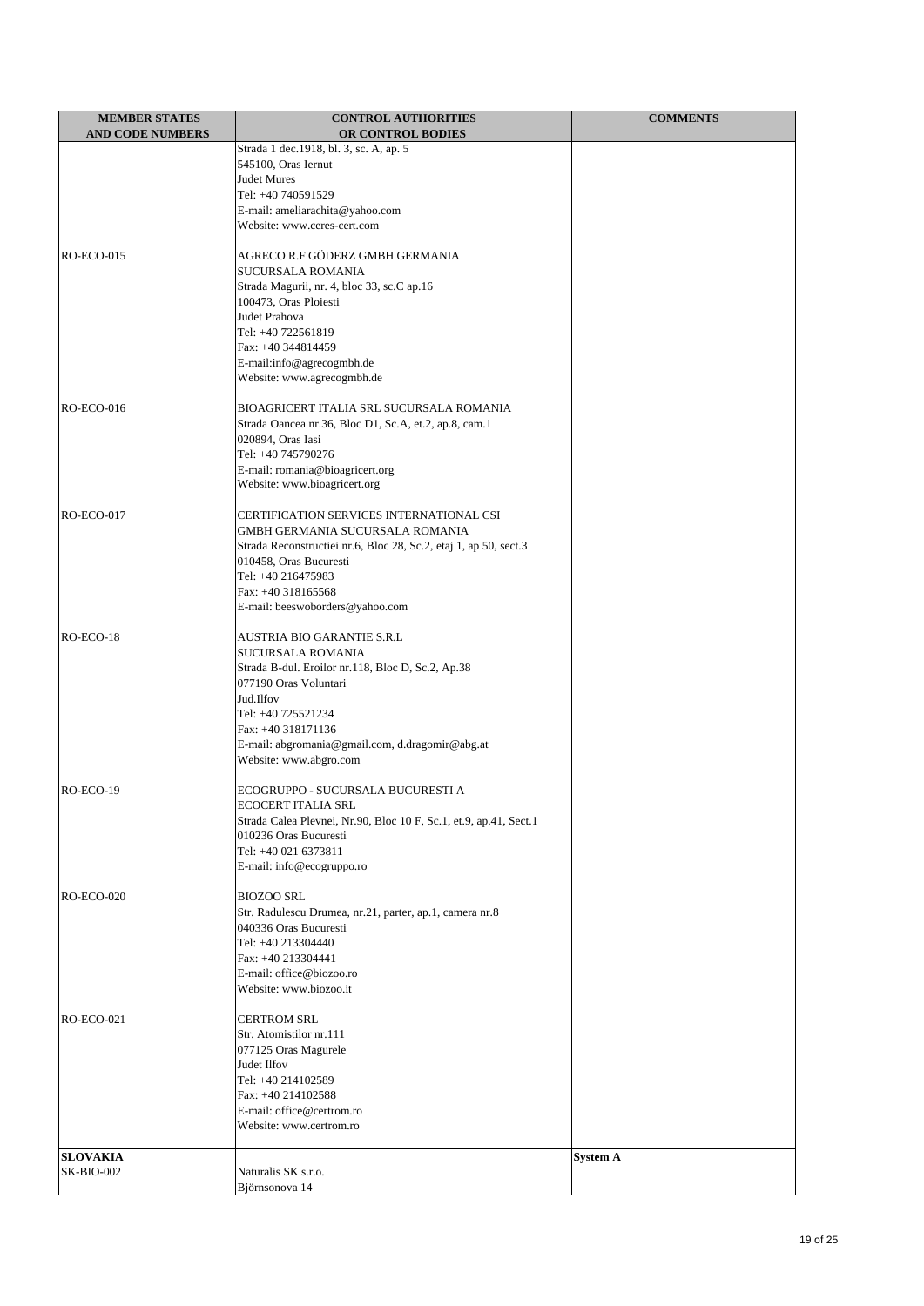| <b>MEMBER STATES</b>    | <b>CONTROL AUTHORITIES</b>                                                                 | <b>COMMENTS</b> |
|-------------------------|--------------------------------------------------------------------------------------------|-----------------|
| <b>AND CODE NUMBERS</b> | OR CONTROL BODIES                                                                          |                 |
|                         | Strada 1 dec.1918, bl. 3, sc. A, ap. 5                                                     |                 |
|                         | 545100, Oras Iernut                                                                        |                 |
|                         | Judet Mures<br>Tel: +40 740591529                                                          |                 |
|                         | E-mail: ameliarachita@yahoo.com                                                            |                 |
|                         | Website: www.ceres-cert.com                                                                |                 |
|                         |                                                                                            |                 |
| <b>RO-ECO-015</b>       | AGRECO R.F GÖDERZ GMBH GERMANIA                                                            |                 |
|                         | SUCURSALA ROMANIA                                                                          |                 |
|                         | Strada Magurii, nr. 4, bloc 33, sc.C ap.16                                                 |                 |
|                         | 100473, Oras Ploiesti                                                                      |                 |
|                         | Judet Prahova                                                                              |                 |
|                         | Tel: +40 722561819                                                                         |                 |
|                         | Fax: +40 344814459                                                                         |                 |
|                         | E-mail:info@agrecogmbh.de<br>Website: www.agrecogmbh.de                                    |                 |
|                         |                                                                                            |                 |
| $RO-ECO-016$            | BIOAGRICERT ITALIA SRL SUCURSALA ROMANIA                                                   |                 |
|                         | Strada Oancea nr.36, Bloc D1, Sc.A, et.2, ap.8, cam.1                                      |                 |
|                         | 020894, Oras Iasi                                                                          |                 |
|                         | Tel: +40 745790276                                                                         |                 |
|                         | E-mail: romania@bioagricert.org                                                            |                 |
|                         | Website: www.bioagricert.org                                                               |                 |
|                         |                                                                                            |                 |
| RO-ECO-017              | CERTIFICATION SERVICES INTERNATIONAL CSI                                                   |                 |
|                         | GMBH GERMANIA SUCURSALA ROMANIA                                                            |                 |
|                         | Strada Reconstructiei nr.6, Bloc 28, Sc.2, etaj 1, ap 50, sect.3<br>010458, Oras Bucuresti |                 |
|                         | Tel: +40 216475983                                                                         |                 |
|                         | Fax: +40 318165568                                                                         |                 |
|                         | E-mail: beeswoborders@yahoo.com                                                            |                 |
|                         |                                                                                            |                 |
| RO-ECO-18               | AUSTRIA BIO GARANTIE S.R.L                                                                 |                 |
|                         | SUCURSALA ROMANIA                                                                          |                 |
|                         | Strada B-dul. Eroilor nr.118, Bloc D, Sc.2, Ap.38                                          |                 |
|                         | 077190 Oras Voluntari<br>Jud.Ilfov                                                         |                 |
|                         | Tel: +40 725521234                                                                         |                 |
|                         | Fax: +40 318171136                                                                         |                 |
|                         | E-mail: abgromania@gmail.com, d.dragomir@abg.at                                            |                 |
|                         | Website: www.abgro.com                                                                     |                 |
|                         |                                                                                            |                 |
| RO-ECO-19               | ECOGRUPPO - SUCURSALA BUCURESTI A                                                          |                 |
|                         | ECOCERT ITALIA SRL                                                                         |                 |
|                         | Strada Calea Plevnei, Nr.90, Bloc 10 F, Sc.1, et.9, ap.41, Sect.1                          |                 |
|                         | 010236 Oras Bucuresti<br>Tel: +40 021 6373811                                              |                 |
|                         | E-mail: info@ecogruppo.ro                                                                  |                 |
|                         |                                                                                            |                 |
| <b>RO-ECO-020</b>       | <b>BIOZOO SRL</b>                                                                          |                 |
|                         | Str. Radulescu Drumea, nr.21, parter, ap.1, camera nr.8                                    |                 |
|                         | 040336 Oras Bucuresti                                                                      |                 |
|                         | Tel: +40 213304440                                                                         |                 |
|                         | Fax: +40 213304441                                                                         |                 |
|                         | E-mail: office@biozoo.ro<br>Website: www.biozoo.it                                         |                 |
|                         |                                                                                            |                 |
| RO-ECO-021              | <b>CERTROM SRL</b>                                                                         |                 |
|                         | Str. Atomistilor nr.111                                                                    |                 |
|                         | 077125 Oras Magurele                                                                       |                 |
|                         | Judet Ilfov                                                                                |                 |
|                         | Tel: +40 214102589                                                                         |                 |
|                         | Fax: +40 214102588                                                                         |                 |
|                         | E-mail: office@certrom.ro                                                                  |                 |
|                         | Website: www.certrom.ro                                                                    |                 |
| <b>SLOVAKIA</b>         |                                                                                            | <b>System A</b> |
| <b>SK-BIO-002</b>       | Naturalis SK s.r.o.                                                                        |                 |
|                         | Björnsonova 14                                                                             |                 |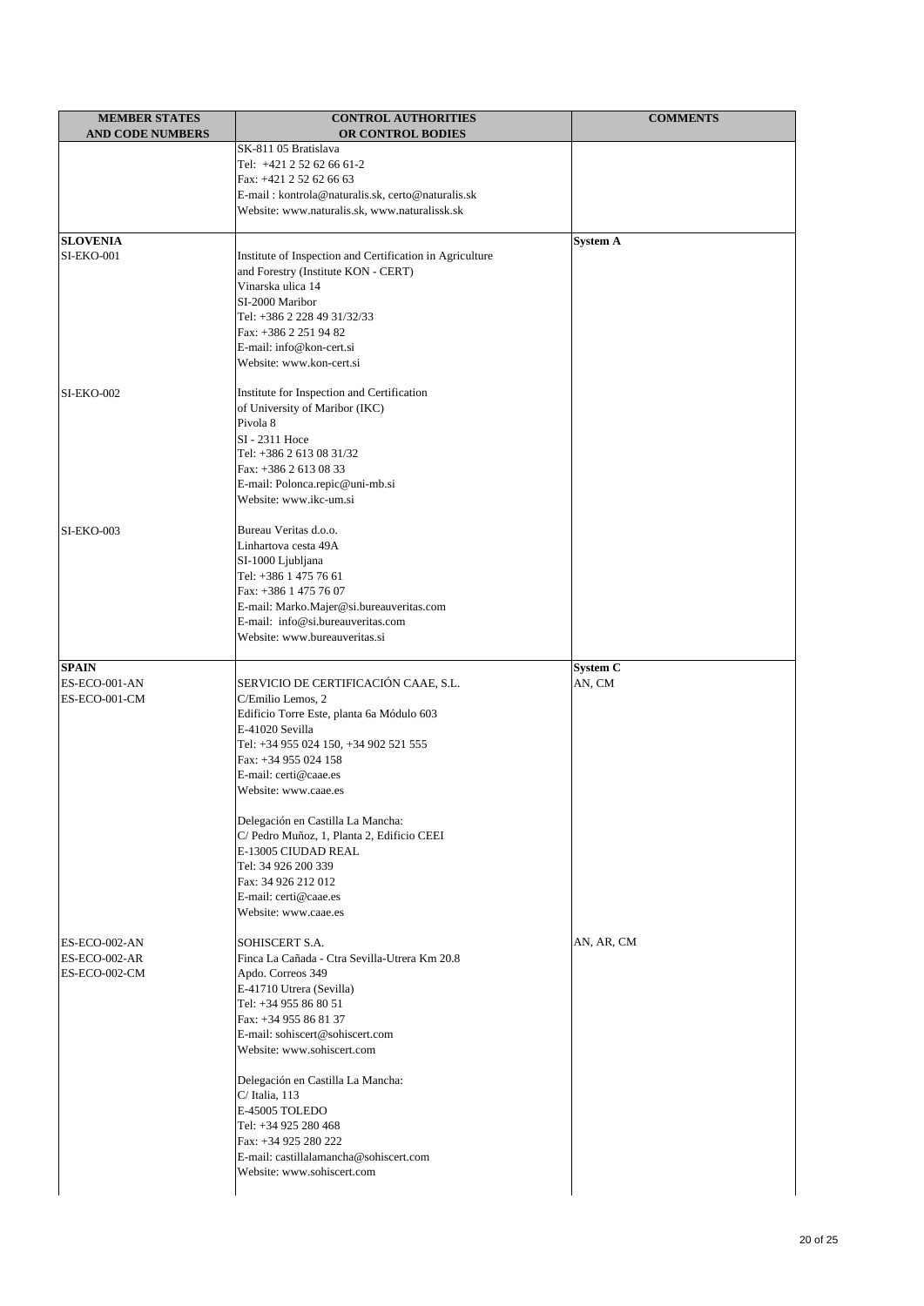| <b>MEMBER STATES</b>          | <b>CONTROL AUTHORITIES</b>                                                                         | <b>COMMENTS</b>           |
|-------------------------------|----------------------------------------------------------------------------------------------------|---------------------------|
| <b>AND CODE NUMBERS</b>       | OR CONTROL BODIES                                                                                  |                           |
|                               | SK-811 05 Bratislava                                                                               |                           |
|                               | Tel: +421 2 52 62 66 61-2                                                                          |                           |
|                               | Fax: +421 2 52 62 66 63                                                                            |                           |
|                               | E-mail: kontrola@naturalis.sk, certo@naturalis.sk<br>Website: www.naturalis.sk, www.naturalissk.sk |                           |
|                               |                                                                                                    |                           |
| <b>SLOVENIA</b>               |                                                                                                    | <b>System A</b>           |
| <b>SI-EKO-001</b>             | Institute of Inspection and Certification in Agriculture                                           |                           |
|                               | and Forestry (Institute KON - CERT)                                                                |                           |
|                               | Vinarska ulica 14                                                                                  |                           |
|                               | SI-2000 Maribor                                                                                    |                           |
|                               | Tel: +386 2 228 49 31/32/33<br>Fax: +386 2 251 94 82                                               |                           |
|                               | E-mail: info@kon-cert.si                                                                           |                           |
|                               | Website: www.kon-cert.si                                                                           |                           |
|                               |                                                                                                    |                           |
| <b>SI-EKO-002</b>             | Institute for Inspection and Certification                                                         |                           |
|                               | of University of Maribor (IKC)                                                                     |                           |
|                               | Pivola 8                                                                                           |                           |
|                               | SI - 2311 Hoce<br>Tel: +386 2 613 08 31/32                                                         |                           |
|                               | Fax: +386 2 613 08 33                                                                              |                           |
|                               | E-mail: Polonca.repic@uni-mb.si                                                                    |                           |
|                               | Website: www.ikc-um.si                                                                             |                           |
|                               |                                                                                                    |                           |
| <b>SI-EKO-003</b>             | Bureau Veritas d.o.o.                                                                              |                           |
|                               | Linhartova cesta 49A                                                                               |                           |
|                               | SI-1000 Ljubljana<br>Tel: +386 1 475 76 61                                                         |                           |
|                               | Fax: +386 1 475 76 07                                                                              |                           |
|                               | E-mail: Marko.Majer@si.bureauveritas.com                                                           |                           |
|                               | E-mail: info@si.bureauveritas.com                                                                  |                           |
|                               | Website: www.bureauveritas.si                                                                      |                           |
|                               |                                                                                                    |                           |
| <b>SPAIN</b><br>ES-ECO-001-AN | SERVICIO DE CERTIFICACIÓN CAAE, S.L.                                                               | <b>System C</b><br>AN, CM |
| ES-ECO-001-CM                 | C/Emilio Lemos, 2                                                                                  |                           |
|                               | Edificio Torre Este, planta 6a Módulo 603                                                          |                           |
|                               | E-41020 Sevilla                                                                                    |                           |
|                               | Tel: +34 955 024 150, +34 902 521 555                                                              |                           |
|                               | Fax: +34 955 024 158                                                                               |                           |
|                               | E-mail: certi@caae.es<br>Website: www.caae.es                                                      |                           |
|                               |                                                                                                    |                           |
|                               | Delegación en Castilla La Mancha:                                                                  |                           |
|                               | C/ Pedro Muñoz, 1, Planta 2, Edificio CEEI                                                         |                           |
|                               | E-13005 CIUDAD REAL                                                                                |                           |
|                               | Tel: 34 926 200 339                                                                                |                           |
|                               | Fax: 34 926 212 012                                                                                |                           |
|                               | E-mail: certi@caae.es<br>Website: www.caae.es                                                      |                           |
|                               |                                                                                                    |                           |
| ES-ECO-002-AN                 | SOHISCERT S.A.                                                                                     | AN, AR, CM                |
| ES-ECO-002-AR                 | Finca La Cañada - Ctra Sevilla-Utrera Km 20.8                                                      |                           |
| ES-ECO-002-CM                 | Apdo. Correos 349                                                                                  |                           |
|                               | E-41710 Utrera (Sevilla)                                                                           |                           |
|                               | Tel: +34 955 86 80 51<br>Fax: +34 955 86 81 37                                                     |                           |
|                               | E-mail: sohiscert@sohiscert.com                                                                    |                           |
|                               | Website: www.sohiscert.com                                                                         |                           |
|                               |                                                                                                    |                           |
|                               | Delegación en Castilla La Mancha:                                                                  |                           |
|                               | $C/$ Italia, 113                                                                                   |                           |
|                               | E-45005 TOLEDO<br>Tel: +34 925 280 468                                                             |                           |
|                               | Fax: +34 925 280 222                                                                               |                           |
|                               | E-mail: castillalamancha@sohiscert.com                                                             |                           |
|                               | Website: www.sohiscert.com                                                                         |                           |
|                               |                                                                                                    |                           |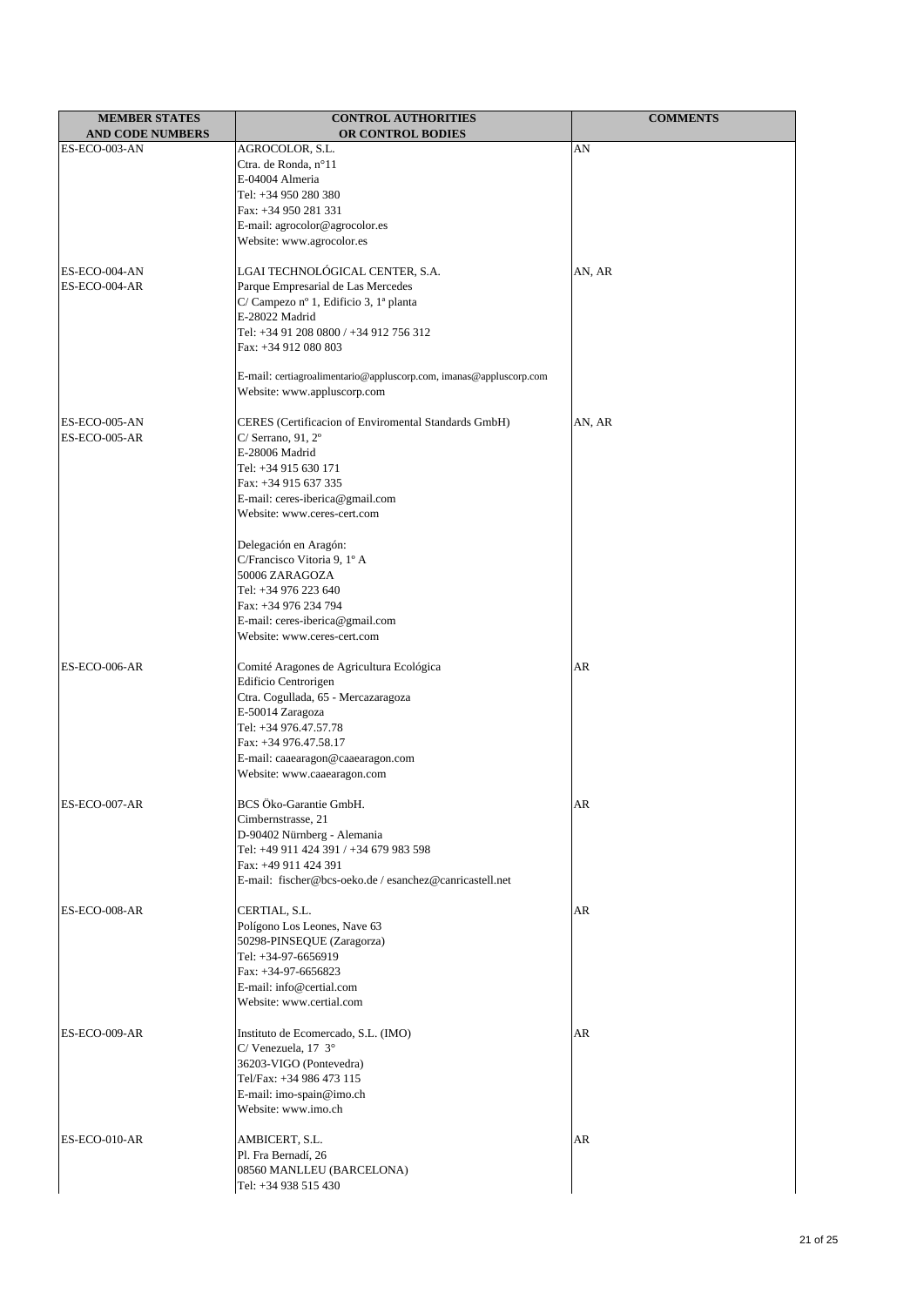| <b>MEMBER STATES</b>    | <b>CONTROL AUTHORITIES</b>                                         | <b>COMMENTS</b> |
|-------------------------|--------------------------------------------------------------------|-----------------|
| <b>AND CODE NUMBERS</b> | OR CONTROL BODIES                                                  |                 |
| ES-ECO-003-AN           | AGROCOLOR, S.L.                                                    | AN              |
|                         | Ctra. de Ronda, nº11<br>E-04004 Almeria                            |                 |
|                         | Tel: +34 950 280 380                                               |                 |
|                         | Fax: +34 950 281 331                                               |                 |
|                         | E-mail: agrocolor@agrocolor.es                                     |                 |
|                         | Website: www.agrocolor.es                                          |                 |
|                         |                                                                    |                 |
| ES-ECO-004-AN           | LGAI TECHNOLÓGICAL CENTER, S.A.                                    | AN, AR          |
| ES-ECO-004-AR           | Parque Empresarial de Las Mercedes                                 |                 |
|                         | C/ Campezo nº 1, Edificio 3, 1ª planta                             |                 |
|                         | E-28022 Madrid                                                     |                 |
|                         | Tel: +34 91 208 0800 / +34 912 756 312                             |                 |
|                         | Fax: +34 912 080 803                                               |                 |
|                         | E-mail: certiagroalimentario@appluscorp.com, imanas@appluscorp.com |                 |
|                         | Website: www.appluscorp.com                                        |                 |
|                         |                                                                    |                 |
| ES-ECO-005-AN           | CERES (Certificacion of Enviromental Standards GmbH)               | AN, AR          |
| ES-ECO-005-AR           | $C/$ Serrano, 91, $2^{\circ}$                                      |                 |
|                         | E-28006 Madrid                                                     |                 |
|                         | Tel: +34 915 630 171                                               |                 |
|                         | Fax: +34 915 637 335                                               |                 |
|                         | E-mail: ceres-iberica@gmail.com<br>Website: www.ceres-cert.com     |                 |
|                         |                                                                    |                 |
|                         | Delegación en Aragón:                                              |                 |
|                         | C/Francisco Vitoria 9, 1º A                                        |                 |
|                         | 50006 ZARAGOZA                                                     |                 |
|                         | Tel: +34 976 223 640                                               |                 |
|                         | Fax: +34 976 234 794                                               |                 |
|                         | E-mail: ceres-iberica@gmail.com                                    |                 |
|                         | Website: www.ceres-cert.com                                        |                 |
| ES-ECO-006-AR           | Comité Aragones de Agricultura Ecológica                           | AR              |
|                         | Edificio Centrorigen                                               |                 |
|                         | Ctra. Cogullada, 65 - Mercazaragoza                                |                 |
|                         | E-50014 Zaragoza                                                   |                 |
|                         | Tel: +34 976.47.57.78                                              |                 |
|                         | Fax: +34 976.47.58.17                                              |                 |
|                         | E-mail: caaearagon@caaearagon.com                                  |                 |
|                         | Website: www.caaearagon.com                                        |                 |
| ES-ECO-007-AR           | BCS Öko-Garantie GmbH.                                             | AR              |
|                         | Cimbernstrasse, 21                                                 |                 |
|                         | D-90402 Nürnberg - Alemania                                        |                 |
|                         | Tel: +49 911 424 391 / +34 679 983 598                             |                 |
|                         | Fax: +49 911 424 391                                               |                 |
|                         | E-mail: fischer@bcs-oeko.de/esanchez@canricastell.net              |                 |
|                         |                                                                    |                 |
| ES-ECO-008-AR           | CERTIAL, S.L.                                                      | AR              |
|                         | Polígono Los Leones, Nave 63<br>50298-PINSEQUE (Zaragorza)         |                 |
|                         | Tel: +34-97-6656919                                                |                 |
|                         | Fax: +34-97-6656823                                                |                 |
|                         | E-mail: info@certial.com                                           |                 |
|                         | Website: www.certial.com                                           |                 |
|                         |                                                                    |                 |
| ES-ECO-009-AR           | Instituto de Ecomercado, S.L. (IMO)                                | AR              |
|                         | C/ Venezuela, 17 3°                                                |                 |
|                         | 36203-VIGO (Pontevedra)                                            |                 |
|                         | Tel/Fax: +34 986 473 115                                           |                 |
|                         | E-mail: imo-spain@imo.ch<br>Website: www.imo.ch                    |                 |
|                         |                                                                    |                 |
| ES-ECO-010-AR           | AMBICERT, S.L.                                                     | AR              |
|                         | Pl. Fra Bernadí, 26                                                |                 |
|                         | 08560 MANLLEU (BARCELONA)                                          |                 |
|                         | Tel: +34 938 515 430                                               |                 |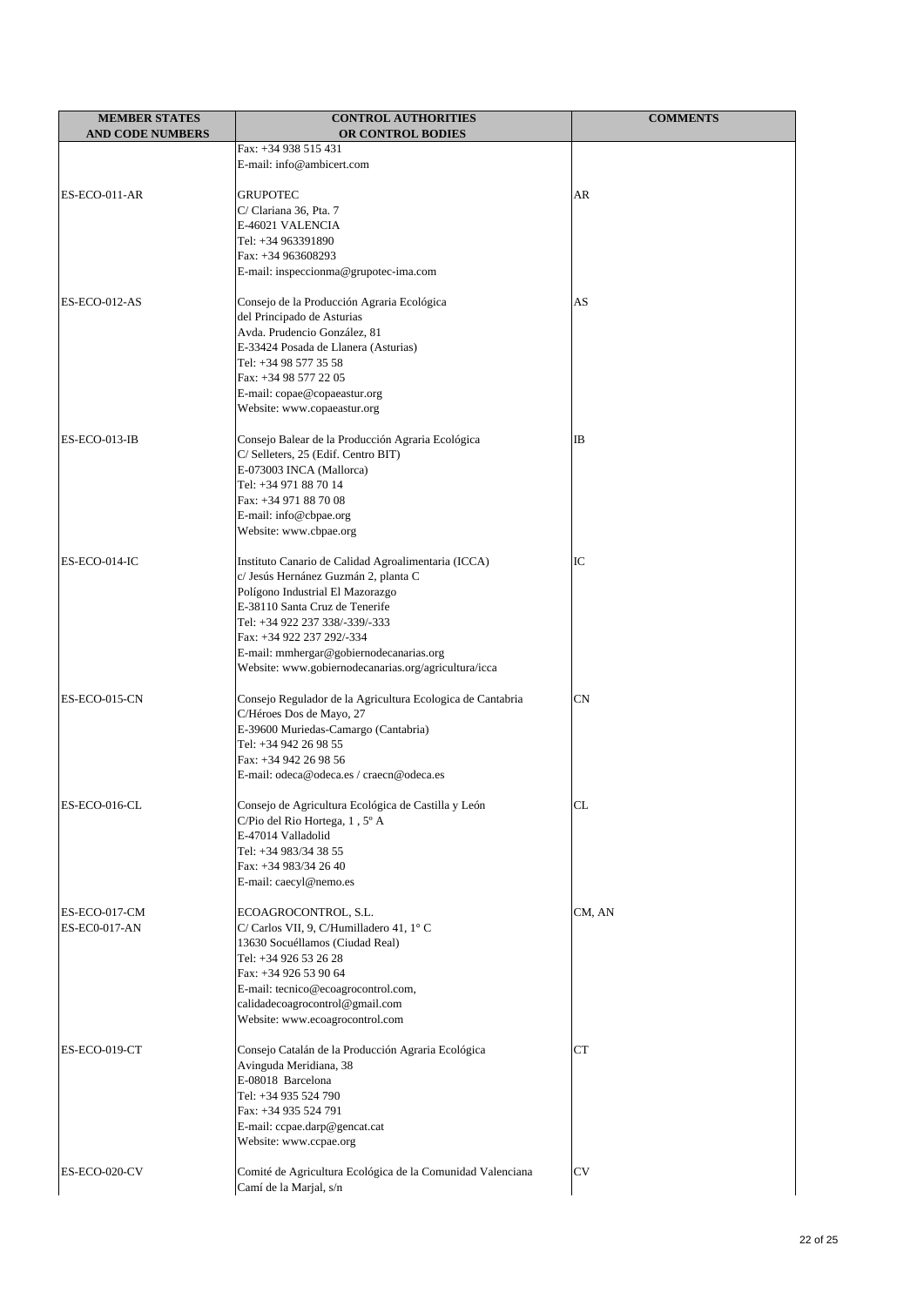| <b>MEMBER STATES</b>    | <b>CONTROL AUTHORITIES</b>                                                           | <b>COMMENTS</b> |
|-------------------------|--------------------------------------------------------------------------------------|-----------------|
| <b>AND CODE NUMBERS</b> | <b>OR CONTROL BODIES</b>                                                             |                 |
|                         | Fax: +34 938 515 431                                                                 |                 |
|                         | E-mail: info@ambicert.com                                                            |                 |
| ES-ECO-011-AR           | <b>GRUPOTEC</b>                                                                      | AR              |
|                         | C/ Clariana 36, Pta. 7                                                               |                 |
|                         | E-46021 VALENCIA                                                                     |                 |
|                         | Tel: +34 963391890                                                                   |                 |
|                         | Fax: +34 963608293                                                                   |                 |
|                         | E-mail: inspeccionma@grupotec-ima.com                                                |                 |
| ES-ECO-012-AS           | Consejo de la Producción Agraria Ecológica                                           | AS              |
|                         | del Principado de Asturias                                                           |                 |
|                         | Avda. Prudencio González, 81                                                         |                 |
|                         | E-33424 Posada de Llanera (Asturias)                                                 |                 |
|                         | Tel: +34 98 577 35 58                                                                |                 |
|                         | Fax: +34 98 577 22 05<br>E-mail: copae@copaeastur.org                                |                 |
|                         | Website: www.copaeastur.org                                                          |                 |
|                         |                                                                                      |                 |
| ES-ECO-013-IB           | Consejo Balear de la Producción Agraria Ecológica                                    | <b>IB</b>       |
|                         | C/ Selleters, 25 (Edif. Centro BIT)                                                  |                 |
|                         | E-073003 INCA (Mallorca)                                                             |                 |
|                         | Tel: +34 971 88 70 14                                                                |                 |
|                         | Fax: +34 971 88 70 08<br>E-mail: info@cbpae.org                                      |                 |
|                         | Website: www.cbpae.org                                                               |                 |
|                         |                                                                                      |                 |
| ES-ECO-014-IC           | Instituto Canario de Calidad Agroalimentaria (ICCA)                                  | IC              |
|                         | c/ Jesús Hernánez Guzmán 2, planta C                                                 |                 |
|                         | Polígono Industrial El Mazorazgo<br>E-38110 Santa Cruz de Tenerife                   |                 |
|                         | Tel: +34 922 237 338/-339/-333                                                       |                 |
|                         | Fax: +34 922 237 292/-334                                                            |                 |
|                         | E-mail: mmhergar@gobiernodecanarias.org                                              |                 |
|                         | Website: www.gobiernodecanarias.org/agricultura/icca                                 |                 |
| ES-ECO-015-CN           | Consejo Regulador de la Agricultura Ecologica de Cantabria                           | <b>CN</b>       |
|                         | C/Héroes Dos de Mayo, 27                                                             |                 |
|                         | E-39600 Muriedas-Camargo (Cantabria)                                                 |                 |
|                         | Tel: +34 942 26 98 55                                                                |                 |
|                         | Fax: +34 942 26 98 56                                                                |                 |
|                         | E-mail: odeca@odeca.es / craecn@odeca.es                                             |                 |
| ES-ECO-016-CL           | Consejo de Agricultura Ecológica de Castilla y León                                  | CL              |
|                         | C/Pio del Rio Hortega, 1, 5º A                                                       |                 |
|                         | E-47014 Valladolid                                                                   |                 |
|                         | Tel: +34 983/34 38 55                                                                |                 |
|                         | Fax: +34 983/34 26 40                                                                |                 |
|                         | E-mail: caecyl@nemo.es                                                               |                 |
| ES-ECO-017-CM           | ECOAGROCONTROL, S.L.                                                                 | CM, AN          |
| ES-EC0-017-AN           | C/ Carlos VII, 9, C/Humilladero 41, 1°C                                              |                 |
|                         | 13630 Socuéllamos (Ciudad Real)                                                      |                 |
|                         | Tel: +34 926 53 26 28                                                                |                 |
|                         | Fax: +34 926 53 90 64                                                                |                 |
|                         | E-mail: tecnico@ecoagrocontrol.com,                                                  |                 |
|                         | calidadecoagrocontrol@gmail.com<br>Website: www.ecoagrocontrol.com                   |                 |
|                         |                                                                                      |                 |
| ES-ECO-019-CT           | Consejo Catalán de la Producción Agraria Ecológica                                   | <b>CT</b>       |
|                         | Avinguda Meridiana, 38                                                               |                 |
|                         | E-08018 Barcelona                                                                    |                 |
|                         | Tel: +34 935 524 790<br>Fax: +34 935 524 791                                         |                 |
|                         | E-mail: ccpae.darp@gencat.cat                                                        |                 |
|                         | Website: www.ccpae.org                                                               |                 |
|                         |                                                                                      |                 |
| ES-ECO-020-CV           | Comité de Agricultura Ecológica de la Comunidad Valenciana<br>Camí de la Marjal, s/n | CV              |
|                         |                                                                                      |                 |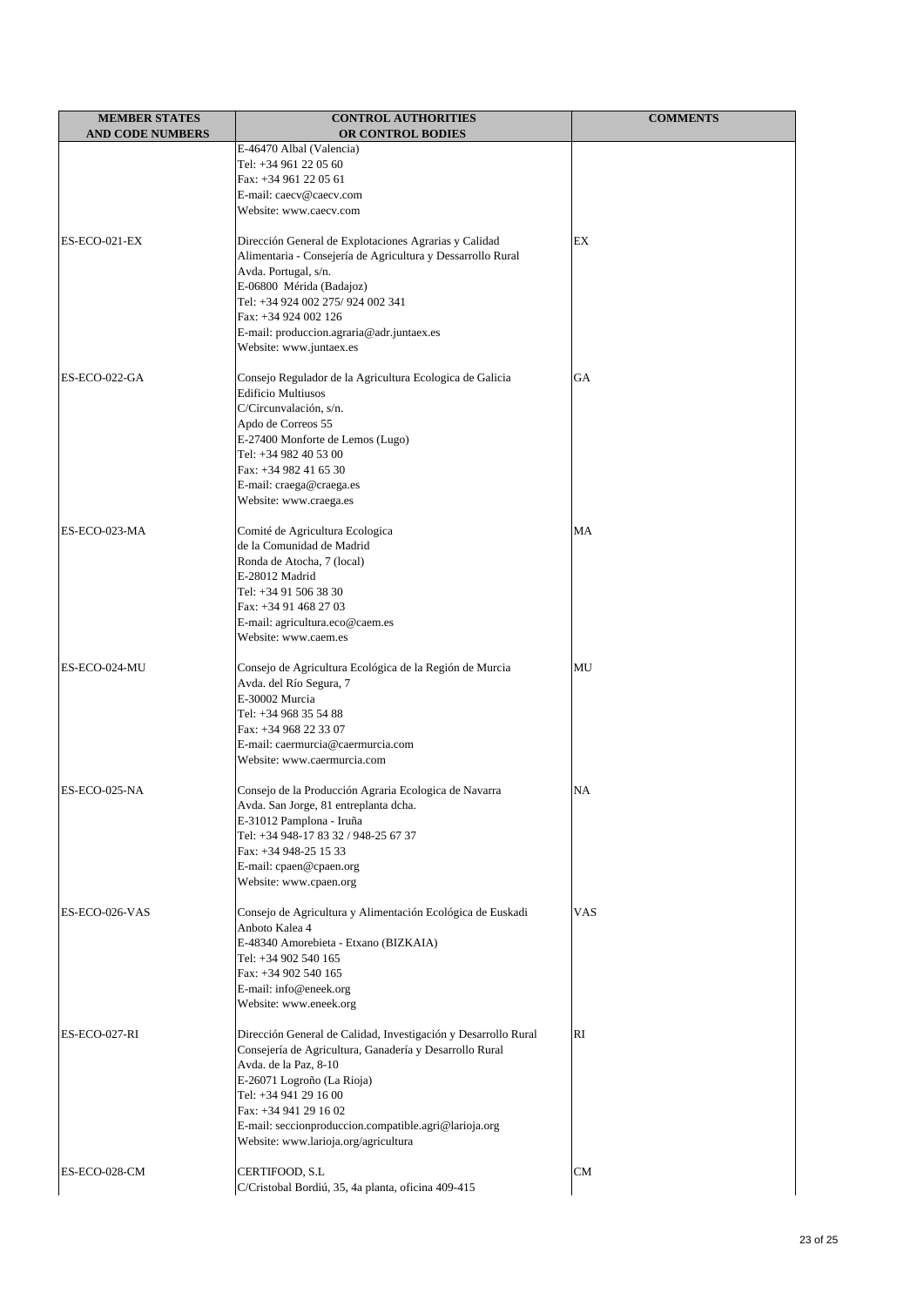| <b>MEMBER STATES</b>    | <b>CONTROL AUTHORITIES</b>                                                                     | <b>COMMENTS</b> |
|-------------------------|------------------------------------------------------------------------------------------------|-----------------|
| <b>AND CODE NUMBERS</b> | OR CONTROL BODIES                                                                              |                 |
|                         | E-46470 Albal (Valencia)                                                                       |                 |
|                         | Tel: +34 961 22 05 60                                                                          |                 |
|                         | Fax: +34 961 22 05 61                                                                          |                 |
|                         | E-mail: caecv@caecv.com<br>Website: www.caecv.com                                              |                 |
|                         |                                                                                                |                 |
| ES-ECO-021-EX           | Dirección General de Explotaciones Agrarias y Calidad                                          | EX              |
|                         | Alimentaria - Consejería de Agricultura y Dessarrollo Rural                                    |                 |
|                         | Avda. Portugal, s/n.                                                                           |                 |
|                         | E-06800 Mérida (Badajoz)                                                                       |                 |
|                         | Tel: +34 924 002 275/ 924 002 341                                                              |                 |
|                         | Fax: +34 924 002 126                                                                           |                 |
|                         | E-mail: produccion.agraria@adr.juntaex.es                                                      |                 |
|                         | Website: www.juntaex.es                                                                        |                 |
| ES-ECO-022-GA           | Consejo Regulador de la Agricultura Ecologica de Galicia                                       | GA              |
|                         | <b>Edificio Multiusos</b>                                                                      |                 |
|                         | C/Circunvalación, s/n.                                                                         |                 |
|                         | Apdo de Correos 55                                                                             |                 |
|                         | E-27400 Monforte de Lemos (Lugo)                                                               |                 |
|                         | Tel: +34 982 40 53 00                                                                          |                 |
|                         | Fax: +34 982 41 65 30                                                                          |                 |
|                         | E-mail: craega@craega.es                                                                       |                 |
|                         | Website: www.craega.es                                                                         |                 |
| ES-ECO-023-MA           | Comité de Agricultura Ecologica                                                                | <b>MA</b>       |
|                         | de la Comunidad de Madrid                                                                      |                 |
|                         | Ronda de Atocha, 7 (local)                                                                     |                 |
|                         | E-28012 Madrid                                                                                 |                 |
|                         | Tel: +34 91 506 38 30                                                                          |                 |
|                         | Fax: +34 91 468 27 03                                                                          |                 |
|                         | E-mail: agricultura.eco@caem.es                                                                |                 |
|                         | Website: www.caem.es                                                                           |                 |
| ES-ECO-024-MU           | Consejo de Agricultura Ecológica de la Región de Murcia                                        | MU              |
|                         | Avda. del Río Segura, 7                                                                        |                 |
|                         | E-30002 Murcia                                                                                 |                 |
|                         | Tel: +34 968 35 54 88                                                                          |                 |
|                         | Fax: +34 968 22 33 07                                                                          |                 |
|                         | E-mail: caermurcia@caermurcia.com                                                              |                 |
|                         | Website: www.caermurcia.com                                                                    |                 |
| ES-ECO-025-NA           |                                                                                                | NA              |
|                         | Consejo de la Producción Agraria Ecologica de Navarra<br>Avda. San Jorge, 81 entreplanta dcha. |                 |
|                         | E-31012 Pamplona - Iruña                                                                       |                 |
|                         | Tel: +34 948-17 83 32 / 948-25 67 37                                                           |                 |
|                         | Fax: +34 948-25 15 33                                                                          |                 |
|                         | E-mail: cpaen@cpaen.org                                                                        |                 |
|                         | Website: www.cpaen.org                                                                         |                 |
|                         |                                                                                                |                 |
| ES-ECO-026-VAS          | Consejo de Agricultura y Alimentación Ecológica de Euskadi<br>Anboto Kalea 4                   | <b>VAS</b>      |
|                         | E-48340 Amorebieta - Etxano (BIZKAIA)                                                          |                 |
|                         | Tel: +34 902 540 165                                                                           |                 |
|                         | Fax: +34 902 540 165                                                                           |                 |
|                         | E-mail: info@eneek.org                                                                         |                 |
|                         | Website: www.eneek.org                                                                         |                 |
|                         |                                                                                                |                 |
| ES-ECO-027-RI           | Dirección General de Calidad, Investigación y Desarrollo Rural                                 | RI              |
|                         | Consejería de Agricultura, Ganadería y Desarrollo Rural<br>Avda. de la Paz, 8-10               |                 |
|                         | E-26071 Logroño (La Rioja)                                                                     |                 |
|                         | Tel: +34 941 29 16 00                                                                          |                 |
|                         | Fax: +34 941 29 16 02                                                                          |                 |
|                         | E-mail: seccionproduccion.compatible.agri@larioja.org                                          |                 |
|                         | Website: www.larioja.org/agricultura                                                           |                 |
|                         |                                                                                                |                 |
| ES-ECO-028-CM           | CERTIFOOD, S.L                                                                                 | <b>CM</b>       |
|                         | C/Cristobal Bordiú, 35, 4a planta, oficina 409-415                                             |                 |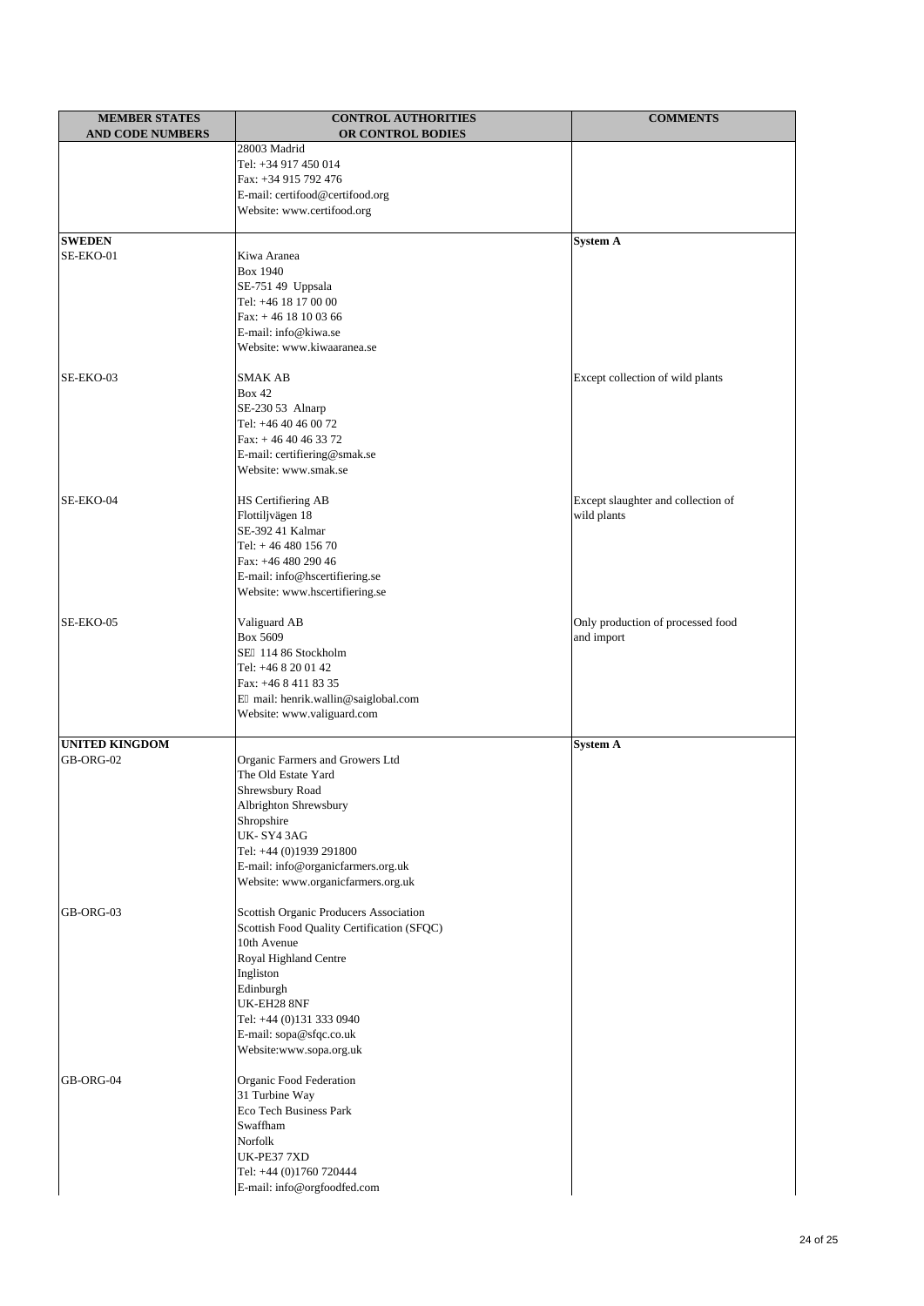| <b>MEMBER STATES</b>    | <b>CONTROL AUTHORITIES</b>                                        | <b>COMMENTS</b>                    |
|-------------------------|-------------------------------------------------------------------|------------------------------------|
| <b>AND CODE NUMBERS</b> | OR CONTROL BODIES                                                 |                                    |
|                         | 28003 Madrid                                                      |                                    |
|                         | Tel: +34 917 450 014<br>Fax: +34 915 792 476                      |                                    |
|                         | E-mail: certifood@certifood.org                                   |                                    |
|                         | Website: www.certifood.org                                        |                                    |
|                         |                                                                   |                                    |
| <b>SWEDEN</b>           |                                                                   | <b>System A</b>                    |
| SE-EKO-01               | Kiwa Aranea                                                       |                                    |
|                         | <b>Box 1940</b>                                                   |                                    |
|                         | SE-751 49 Uppsala<br>Tel: +46 18 17 00 00                         |                                    |
|                         | Fax: $+4618100366$                                                |                                    |
|                         | E-mail: info@kiwa.se                                              |                                    |
|                         | Website: www.kiwaaranea.se                                        |                                    |
|                         |                                                                   |                                    |
| SE-EKO-03               | <b>SMAK AB</b><br><b>Box 42</b>                                   | Except collection of wild plants   |
|                         | SE-230 53 Alnarp                                                  |                                    |
|                         | Tel: +46 40 46 00 72                                              |                                    |
|                         | Fax: $+4640463372$                                                |                                    |
|                         | E-mail: certifiering@smak.se                                      |                                    |
|                         | Website: www.smak.se                                              |                                    |
| SE-EKO-04               | HS Certifiering AB                                                | Except slaughter and collection of |
|                         | Flottiljvägen 18                                                  | wild plants                        |
|                         | SE-392 41 Kalmar                                                  |                                    |
|                         | Tel: +46 480 156 70                                               |                                    |
|                         | Fax: +46 480 290 46                                               |                                    |
|                         | E-mail: info@hscertifiering.se                                    |                                    |
|                         | Website: www.hscertifiering.se                                    |                                    |
| SE-EKO-05               | Valiguard AB                                                      | Only production of processed food  |
|                         | Box 5609                                                          | and import                         |
|                         | SE 114 86 Stockholm                                               |                                    |
|                         | Tel: +46 8 20 01 42                                               |                                    |
|                         | Fax: +46 8 411 83 35                                              |                                    |
|                         | E mail: henrik.wallin@saiglobal.com<br>Website: www.valiguard.com |                                    |
|                         |                                                                   |                                    |
| <b>UNITED KINGDOM</b>   |                                                                   | <b>System A</b>                    |
| GB-ORG-02               | Organic Farmers and Growers Ltd                                   |                                    |
|                         | The Old Estate Yard                                               |                                    |
|                         | Shrewsbury Road<br>Albrighton Shrewsbury                          |                                    |
|                         | Shropshire                                                        |                                    |
|                         | UK-SY43AG                                                         |                                    |
|                         | Tel: +44 (0)1939 291800                                           |                                    |
|                         | E-mail: info@organicfarmers.org.uk                                |                                    |
|                         | Website: www.organicfarmers.org.uk                                |                                    |
| GB-ORG-03               | Scottish Organic Producers Association                            |                                    |
|                         | Scottish Food Quality Certification (SFQC)                        |                                    |
|                         | 10th Avenue                                                       |                                    |
|                         | Royal Highland Centre                                             |                                    |
|                         | Ingliston                                                         |                                    |
|                         | Edinburgh<br>UK-EH28 8NF                                          |                                    |
|                         | Tel: +44 (0)131 333 0940                                          |                                    |
|                         | E-mail: sopa@sfqc.co.uk                                           |                                    |
|                         | Website:www.sopa.org.uk                                           |                                    |
|                         |                                                                   |                                    |
| GB-ORG-04               | Organic Food Federation<br>31 Turbine Way                         |                                    |
|                         | Eco Tech Business Park                                            |                                    |
|                         | Swaffham                                                          |                                    |
|                         | Norfolk                                                           |                                    |
|                         | UK-PE377XD                                                        |                                    |
|                         | Tel: +44 (0)1760 720444                                           |                                    |
|                         | E-mail: info@orgfoodfed.com                                       |                                    |